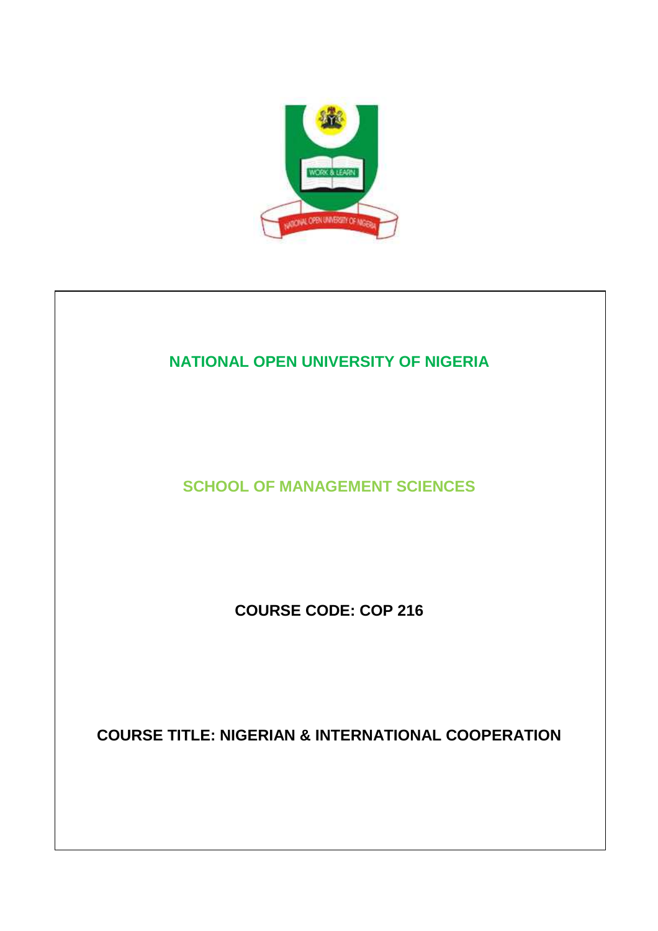

# **NATIONAL OPEN UNIVERSITY OF NIGERIA**

**SCHOOL OF MANAGEMENT SCIENCES** 

**COURSE CODE: COP 216** 

**COURSE TITLE: NIGERIAN & INTERNATIONAL COOPERATION**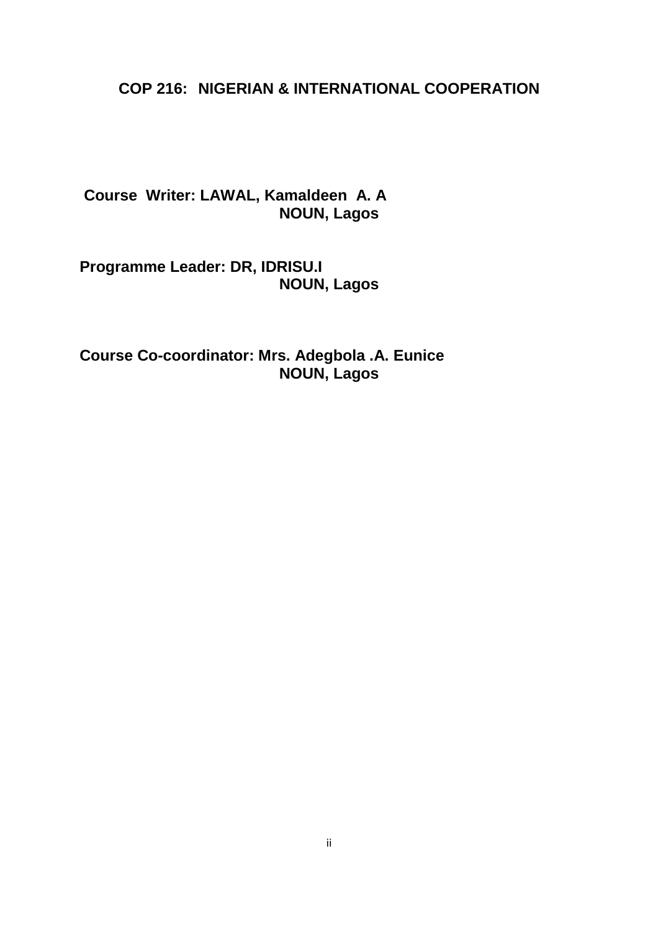## **COP 216: NIGERIAN & INTERNATIONAL COOPERATION**

 **Course Writer: LAWAL, Kamaldeen A. A NOUN, Lagos** 

**Programme Leader: DR, IDRISU.I NOUN, Lagos** 

**Course Co-coordinator: Mrs. Adegbola .A. Eunice NOUN, Lagos**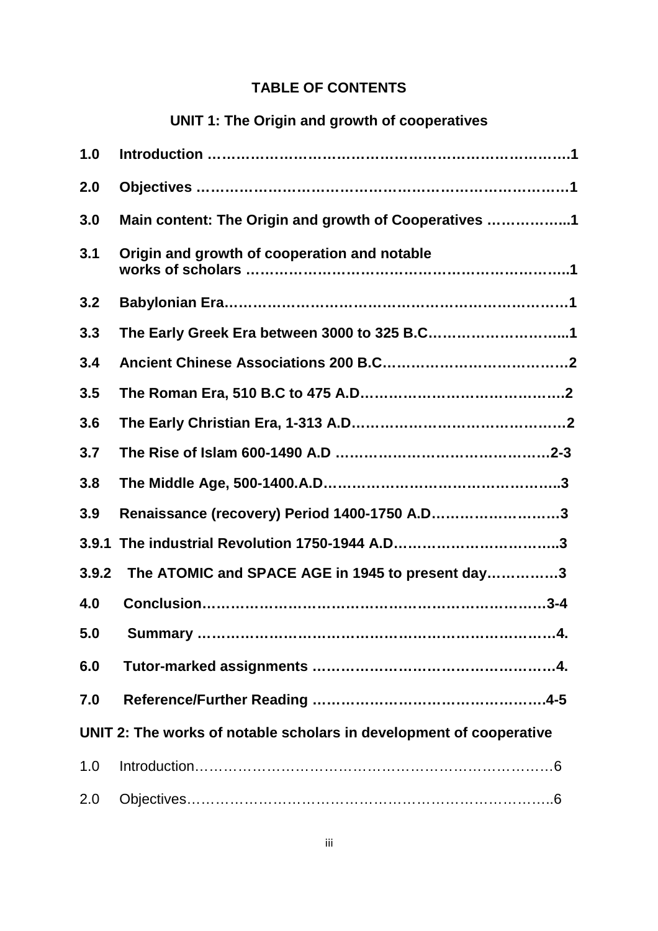## **TABLE OF CONTENTS**

# **UNIT 1: The Origin and growth of cooperatives**

| 1.0                                                                 |                                                       |
|---------------------------------------------------------------------|-------------------------------------------------------|
| 2.0                                                                 |                                                       |
| 3.0                                                                 | Main content: The Origin and growth of Cooperatives 1 |
| 3.1                                                                 | Origin and growth of cooperation and notable          |
| 3.2                                                                 |                                                       |
| 3.3                                                                 | The Early Greek Era between 3000 to 325 B.C1          |
| 3.4                                                                 |                                                       |
| 3.5                                                                 |                                                       |
| 3.6                                                                 |                                                       |
| 3.7                                                                 |                                                       |
| 3.8                                                                 |                                                       |
| 3.9                                                                 | Renaissance (recovery) Period 1400-1750 A.D3          |
| 3.9.1                                                               |                                                       |
| 3.9.2                                                               | The ATOMIC and SPACE AGE in 1945 to present day3      |
| 4.0                                                                 |                                                       |
| 5.0                                                                 | .4.                                                   |
| 6.0                                                                 |                                                       |
| 7.0                                                                 |                                                       |
| UNIT 2: The works of notable scholars in development of cooperative |                                                       |
| 1.0                                                                 |                                                       |
| 2.0                                                                 |                                                       |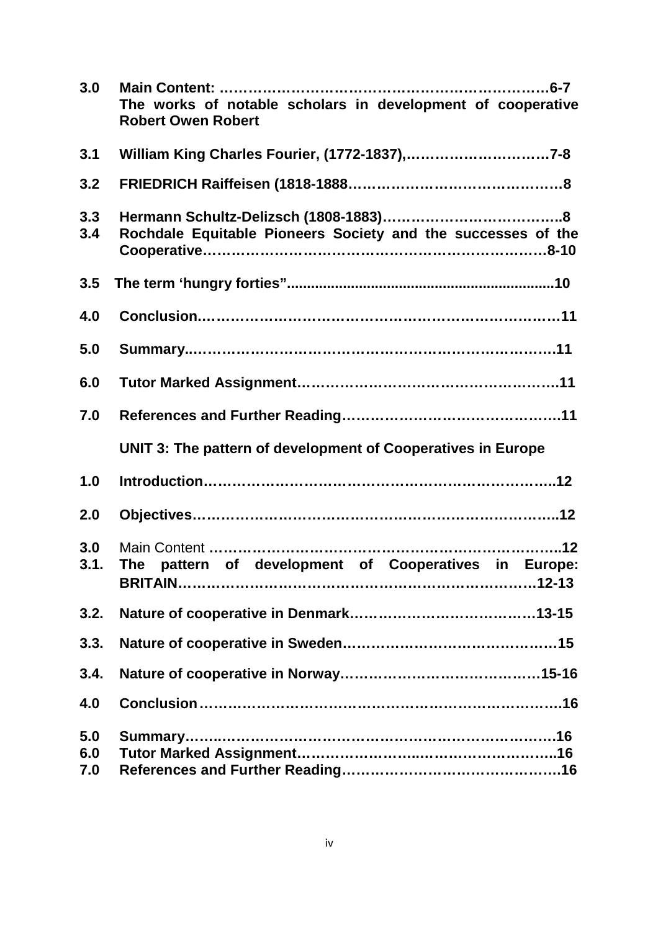| 3.0               | The works of notable scholars in development of cooperative<br><b>Robert Owen Robert</b> |
|-------------------|------------------------------------------------------------------------------------------|
| 3.1               | William King Charles Fourier, (1772-1837),7-8                                            |
| 3.2               |                                                                                          |
| 3.3<br>3.4        | Rochdale Equitable Pioneers Society and the successes of the                             |
| 3.5               |                                                                                          |
| 4.0               |                                                                                          |
| 5.0               |                                                                                          |
| 6.0               |                                                                                          |
| 7.0               |                                                                                          |
|                   | UNIT 3: The pattern of development of Cooperatives in Europe                             |
| 1.0               |                                                                                          |
| 2.0               |                                                                                          |
| 3.0<br>3.1.       | Main Content<br>The pattern of development of Cooperatives in Europe:                    |
| 3.2.              |                                                                                          |
| 3.3.              |                                                                                          |
| 3.4.              |                                                                                          |
| 4.0               |                                                                                          |
| 5.0<br>6.0<br>7.0 |                                                                                          |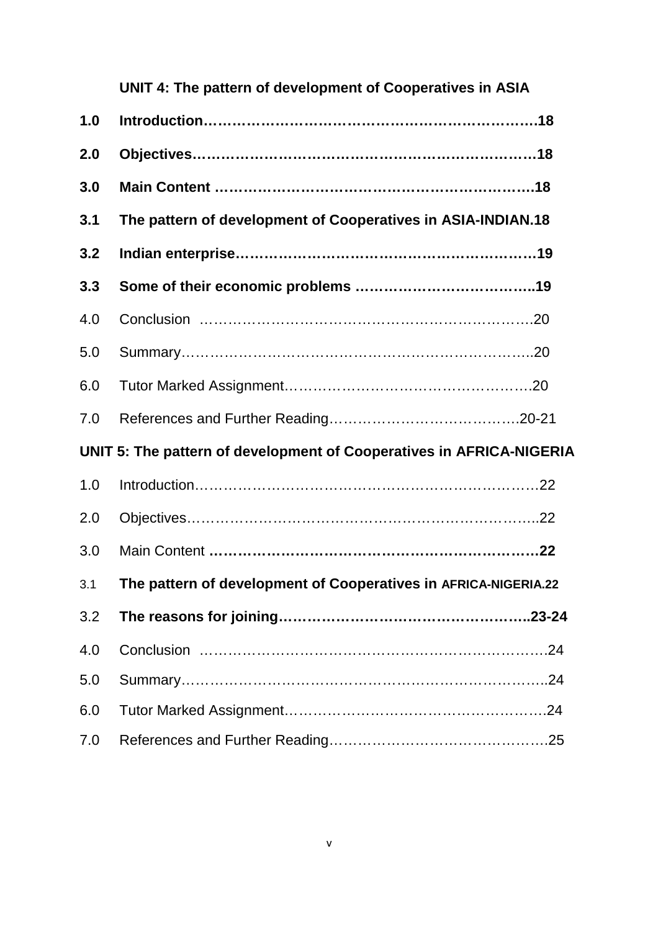|     | UNIT 4: The pattern of development of Cooperatives in ASIA           |
|-----|----------------------------------------------------------------------|
| 1.0 |                                                                      |
| 2.0 |                                                                      |
| 3.0 |                                                                      |
| 3.1 | The pattern of development of Cooperatives in ASIA-INDIAN.18         |
| 3.2 |                                                                      |
| 3.3 |                                                                      |
| 4.0 |                                                                      |
| 5.0 |                                                                      |
| 6.0 |                                                                      |
| 7.0 |                                                                      |
|     | UNIT 5: The pattern of development of Cooperatives in AFRICA-NIGERIA |
| 1.0 |                                                                      |
| 2.0 |                                                                      |
| 3.0 |                                                                      |
| 3.1 | The pattern of development of Cooperatives in AFRICA-NIGERIA.22      |
| 3.2 |                                                                      |
| 4.0 |                                                                      |
| 5.0 |                                                                      |
| 6.0 |                                                                      |
| 7.0 |                                                                      |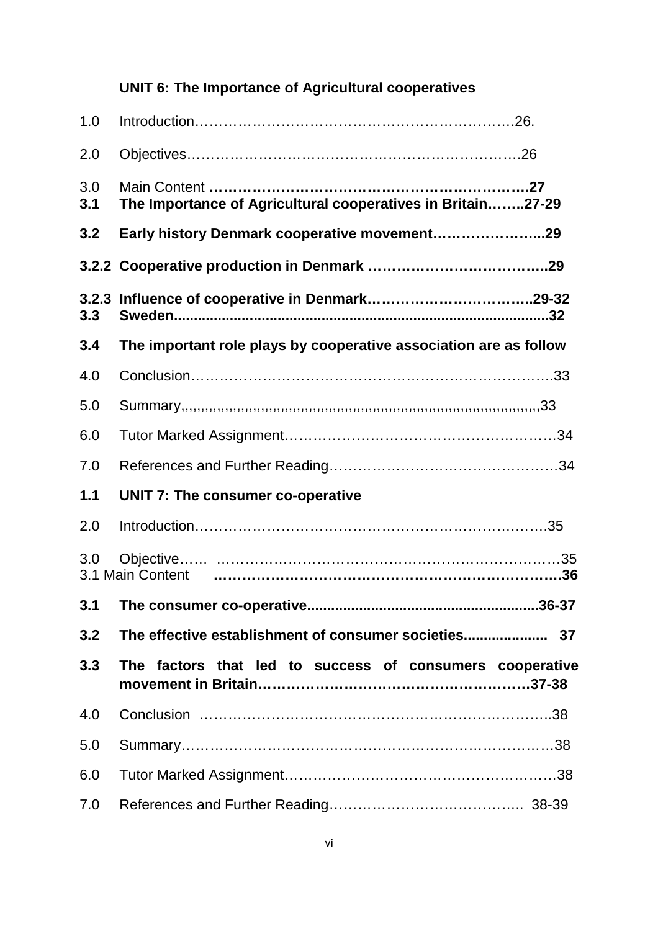# **UNIT 6: The Importance of Agricultural cooperatives**

| 1.0        |                                                                   |
|------------|-------------------------------------------------------------------|
| 2.0        |                                                                   |
| 3.0<br>3.1 | The Importance of Agricultural cooperatives in Britain27-29       |
| 3.2        | Early history Denmark cooperative movement29                      |
|            |                                                                   |
| 3.3        |                                                                   |
| 3.4        | The important role plays by cooperative association are as follow |
| 4.0        |                                                                   |
| 5.0        |                                                                   |
| 6.0        |                                                                   |
| 7.0        |                                                                   |
| $1.1$      | UNIT 7: The consumer co-operative                                 |
| 2.0        |                                                                   |
| 3.0        |                                                                   |
| 3.1        | $36 - 37$                                                         |
| 3.2        |                                                                   |
| 3.3        | The factors that led to success of consumers cooperative          |
| 4.0        |                                                                   |
| 5.0        |                                                                   |
| 6.0        |                                                                   |
| 7.0        |                                                                   |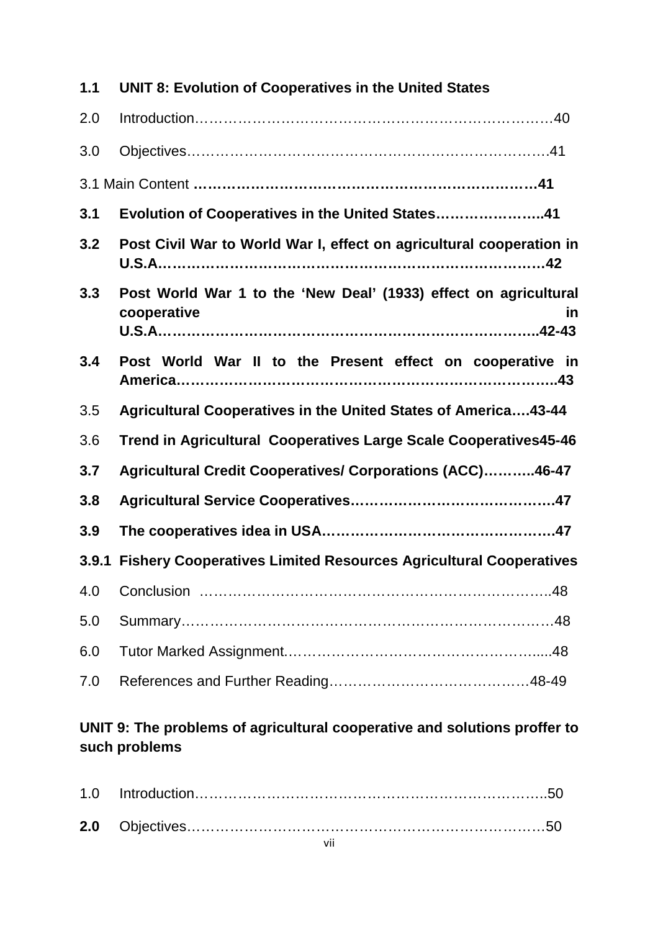| $1.1$ | <b>UNIT 8: Evolution of Cooperatives in the United States</b>                         |
|-------|---------------------------------------------------------------------------------------|
| 2.0   |                                                                                       |
| 3.0   |                                                                                       |
|       |                                                                                       |
| 3.1   | Evolution of Cooperatives in the United States41                                      |
| 3.2   | Post Civil War to World War I, effect on agricultural cooperation in                  |
| 3.3   | Post World War 1 to the 'New Deal' (1933) effect on agricultural<br>cooperative<br>in |
| 3.4   | Post World War II to the Present effect on cooperative in                             |
| 3.5   | <b>Agricultural Cooperatives in the United States of America43-44</b>                 |
| 3.6   | Trend in Agricultural Cooperatives Large Scale Cooperatives45-46                      |
| 3.7   | Agricultural Credit Cooperatives/ Corporations (ACC)46-47                             |
| 3.8   |                                                                                       |
| 3.9   |                                                                                       |
|       | 3.9.1 Fishery Cooperatives Limited Resources Agricultural Cooperatives                |
| 4.0   |                                                                                       |
| 5.0   |                                                                                       |
| 6.0   |                                                                                       |
| 7.0   |                                                                                       |

## **UNIT 9: The problems of agricultural cooperative and solutions proffer to such problems**

| . |  |
|---|--|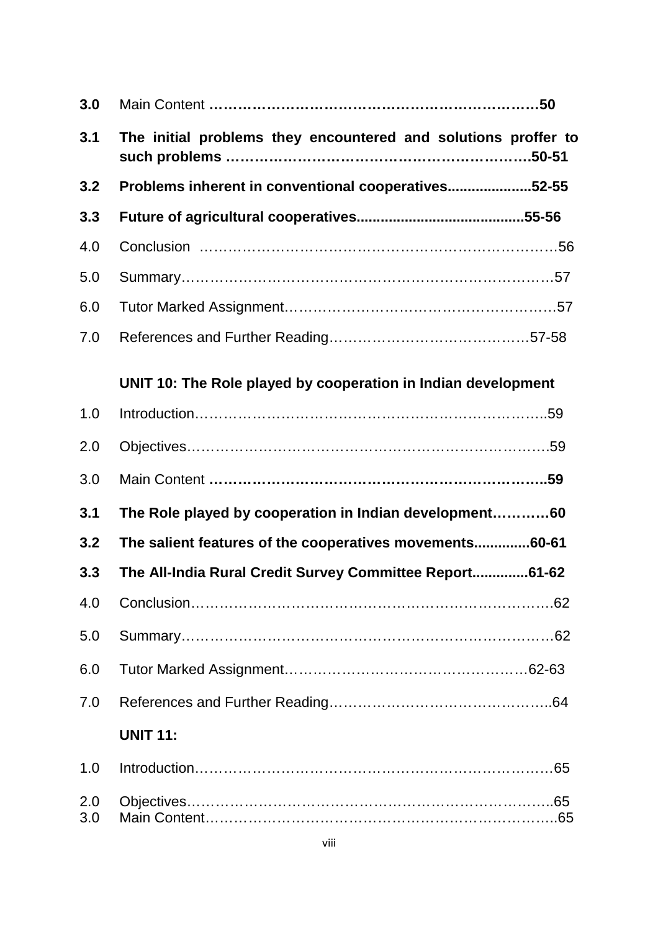| 3.0        |                                                                |
|------------|----------------------------------------------------------------|
| 3.1        | The initial problems they encountered and solutions proffer to |
| 3.2        | Problems inherent in conventional cooperatives52-55            |
| 3.3        |                                                                |
| 4.0        |                                                                |
| 5.0        |                                                                |
| 6.0        |                                                                |
| 7.0        |                                                                |
|            | UNIT 10: The Role played by cooperation in Indian development  |
| 1.0        |                                                                |
| 2.0        |                                                                |
| 3.0        |                                                                |
| 3.1        | The Role played by cooperation in Indian development60         |
| 3.2        | The salient features of the cooperatives movements60-61        |
| 3.3        | The All-India Rural Credit Survey Committee Report61-62        |
| 4.0        |                                                                |
| 5.0        |                                                                |
| 6.0        |                                                                |
| 7.0        |                                                                |
|            | <b>UNIT 11:</b>                                                |
| 1.0        |                                                                |
| 2.0<br>3.0 |                                                                |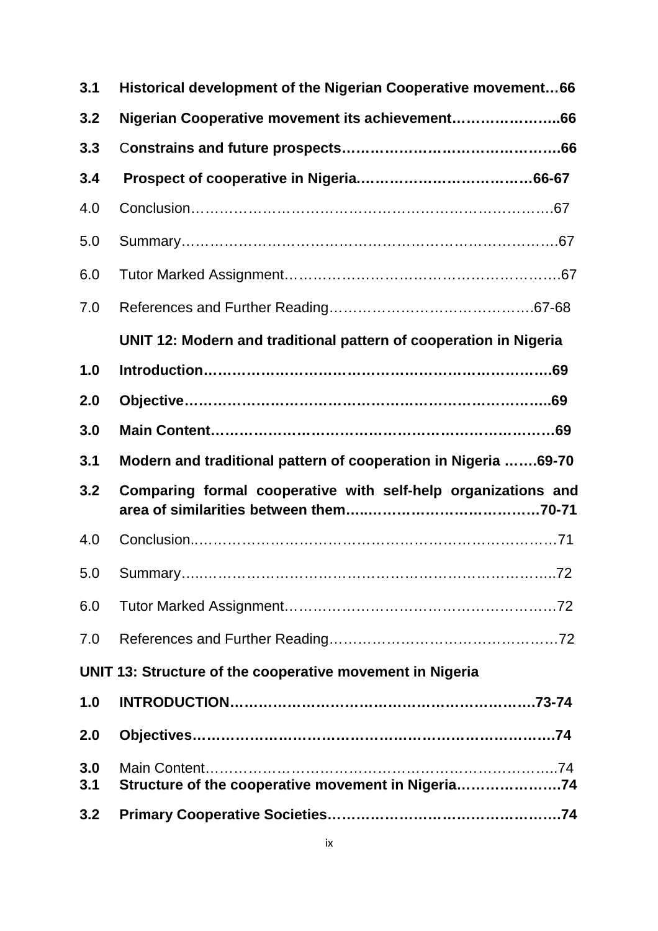| 3.1        | Historical development of the Nigerian Cooperative movement66     |  |
|------------|-------------------------------------------------------------------|--|
| 3.2        |                                                                   |  |
| 3.3        |                                                                   |  |
| 3.4        |                                                                   |  |
| 4.0        |                                                                   |  |
| 5.0        |                                                                   |  |
| 6.0        |                                                                   |  |
| 7.0        |                                                                   |  |
|            | UNIT 12: Modern and traditional pattern of cooperation in Nigeria |  |
| 1.0        |                                                                   |  |
| 2.0        |                                                                   |  |
| 3.0        |                                                                   |  |
| 3.1        | Modern and traditional pattern of cooperation in Nigeria 69-70    |  |
|            |                                                                   |  |
| 3.2        | Comparing formal cooperative with self-help organizations and     |  |
| 4.0        |                                                                   |  |
|            |                                                                   |  |
| 6.0        |                                                                   |  |
| 7.0        |                                                                   |  |
|            | UNIT 13: Structure of the cooperative movement in Nigeria         |  |
| 1.0        |                                                                   |  |
| 2.0        |                                                                   |  |
| 3.0<br>3.1 | Structure of the cooperative movement in Nigeria74                |  |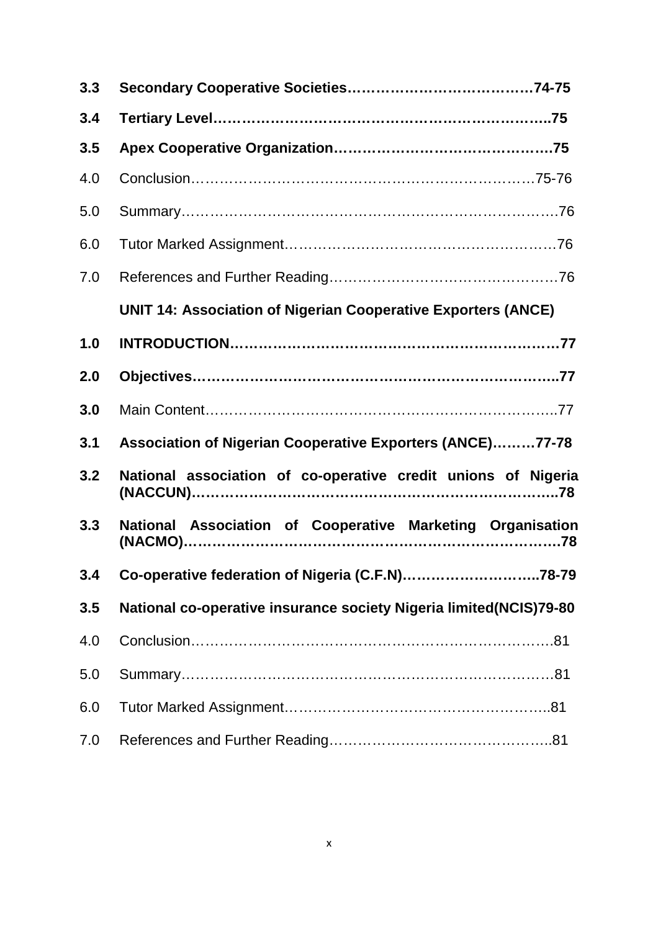| 3.3 |                                                                      |
|-----|----------------------------------------------------------------------|
| 3.4 |                                                                      |
| 3.5 |                                                                      |
| 4.0 |                                                                      |
| 5.0 |                                                                      |
| 6.0 |                                                                      |
| 7.0 |                                                                      |
|     | <b>UNIT 14: Association of Nigerian Cooperative Exporters (ANCE)</b> |
| 1.0 |                                                                      |
| 2.0 |                                                                      |
| 3.0 |                                                                      |
| 3.1 | Association of Nigerian Cooperative Exporters (ANCE)77-78            |
| 3.2 | National association of co-operative credit unions of Nigeria        |
| 3.3 | National Association of Cooperative Marketing Organisation           |
|     | 3.4 Co-operative federation of Nigeria (C.F.N)78-79                  |
| 3.5 | National co-operative insurance society Nigeria limited(NCIS)79-80   |
| 4.0 |                                                                      |
| 5.0 |                                                                      |
| 6.0 |                                                                      |
| 7.0 |                                                                      |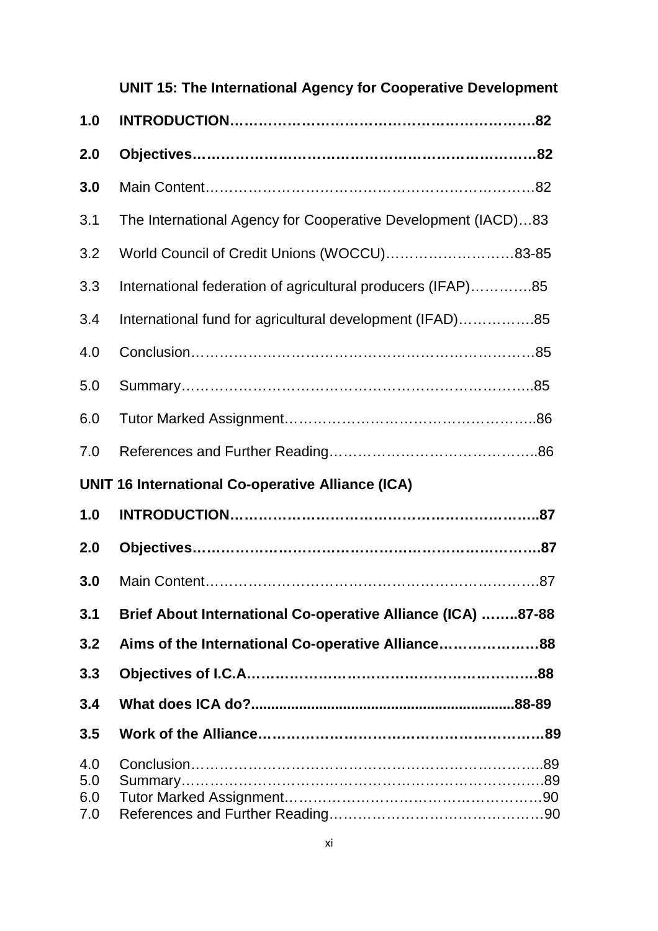|                          | <b>UNIT 15: The International Agency for Cooperative Development</b> |
|--------------------------|----------------------------------------------------------------------|
| 1.0                      |                                                                      |
| 2.0                      |                                                                      |
| 3.0                      |                                                                      |
| 3.1                      | The International Agency for Cooperative Development (IACD)83        |
| 3.2                      | World Council of Credit Unions (WOCCU)83-85                          |
| 3.3                      | International federation of agricultural producers (IFAP)85          |
| 3.4                      | International fund for agricultural development (IFAD)85             |
| 4.0                      |                                                                      |
| 5.0                      |                                                                      |
| 6.0                      |                                                                      |
| 7.0                      |                                                                      |
|                          | <b>UNIT 16 International Co-operative Alliance (ICA)</b>             |
| 1.0                      |                                                                      |
| 2.0                      |                                                                      |
| 3.0                      |                                                                      |
| 3.1                      | Brief About International Co-operative Alliance (ICA) 87-88          |
| 3.2                      | Aims of the International Co-operative Alliance88                    |
| 3.3                      |                                                                      |
| 3.4                      |                                                                      |
| 3.5                      |                                                                      |
| 4.0<br>5.0<br>6.0<br>7.0 |                                                                      |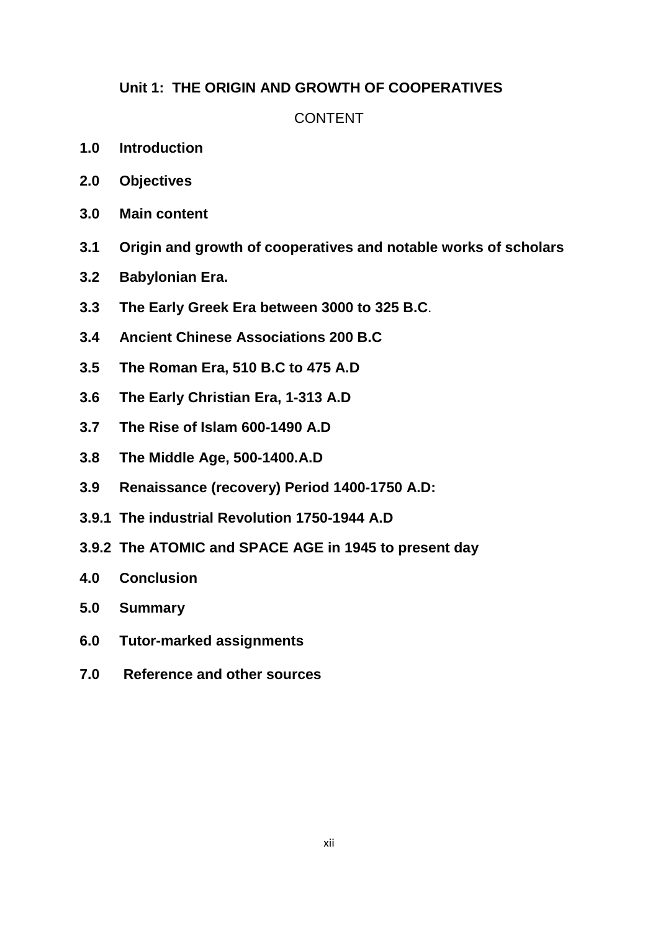## **Unit 1: THE ORIGIN AND GROWTH OF COOPERATIVES**

## CONTENT

- **1.0 Introduction**
- **2.0 Objectives**
- **3.0 Main content**
- **3.1 Origin and growth of cooperatives and notable works of scholars**
- **3.2 Babylonian Era.**
- **3.3 The Early Greek Era between 3000 to 325 B.C**.
- **3.4 Ancient Chinese Associations 200 B.C**
- **3.5 The Roman Era, 510 B.C to 475 A.D**
- **3.6 The Early Christian Era, 1-313 A.D**
- **3.7 The Rise of Islam 600-1490 A.D**
- **3.8 The Middle Age, 500-1400.A.D**
- **3.9 Renaissance (recovery) Period 1400-1750 A.D:**
- **3.9.1 The industrial Revolution 1750-1944 A.D**
- **3.9.2 The ATOMIC and SPACE AGE in 1945 to present day**
- **4.0 Conclusion**
- **5.0 Summary**
- **6.0 Tutor-marked assignments**
- **7.0 Reference and other sources**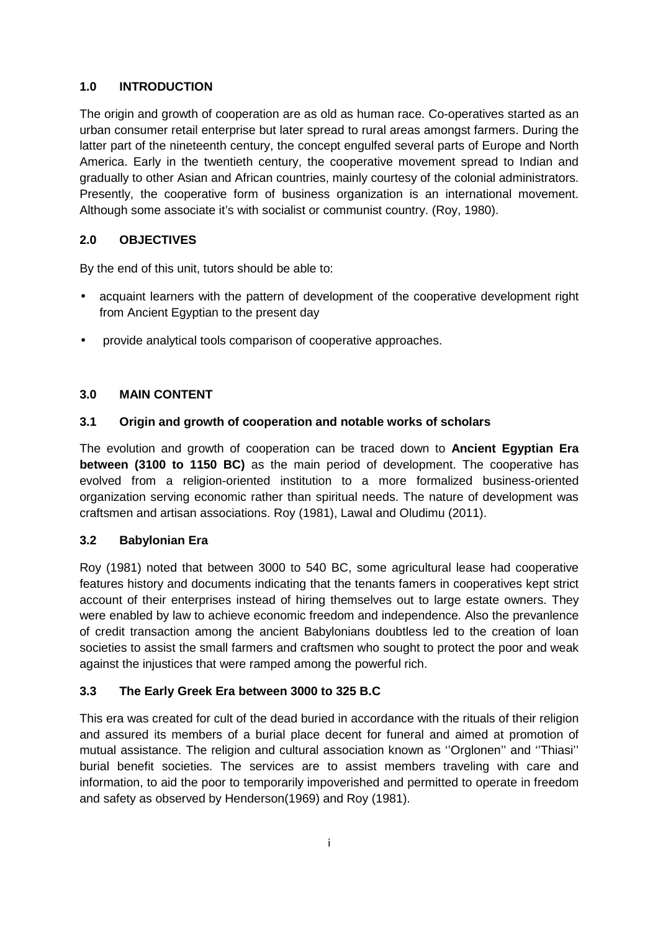## **1.0 INTRODUCTION**

The origin and growth of cooperation are as old as human race. Co-operatives started as an urban consumer retail enterprise but later spread to rural areas amongst farmers. During the latter part of the nineteenth century, the concept engulfed several parts of Europe and North America. Early in the twentieth century, the cooperative movement spread to Indian and gradually to other Asian and African countries, mainly courtesy of the colonial administrators. Presently, the cooperative form of business organization is an international movement. Although some associate it's with socialist or communist country. (Roy, 1980).

## **2.0 OBJECTIVES**

By the end of this unit, tutors should be able to:

- acquaint learners with the pattern of development of the cooperative development right from Ancient Egyptian to the present day
- provide analytical tools comparison of cooperative approaches.

## **3.0 MAIN CONTENT**

## **3.1 Origin and growth of cooperation and notable works of scholars**

The evolution and growth of cooperation can be traced down to **Ancient Egyptian Era between (3100 to 1150 BC)** as the main period of development. The cooperative has evolved from a religion-oriented institution to a more formalized business-oriented organization serving economic rather than spiritual needs. The nature of development was craftsmen and artisan associations. Roy (1981), Lawal and Oludimu (2011).

#### **3.2 Babylonian Era**

Roy (1981) noted that between 3000 to 540 BC, some agricultural lease had cooperative features history and documents indicating that the tenants famers in cooperatives kept strict account of their enterprises instead of hiring themselves out to large estate owners. They were enabled by law to achieve economic freedom and independence. Also the prevanlence of credit transaction among the ancient Babylonians doubtless led to the creation of loan societies to assist the small farmers and craftsmen who sought to protect the poor and weak against the injustices that were ramped among the powerful rich.

## **3.3 The Early Greek Era between 3000 to 325 B.C**

This era was created for cult of the dead buried in accordance with the rituals of their religion and assured its members of a burial place decent for funeral and aimed at promotion of mutual assistance. The religion and cultural association known as ''Orglonen'' and ''Thiasi'' burial benefit societies. The services are to assist members traveling with care and information, to aid the poor to temporarily impoverished and permitted to operate in freedom and safety as observed by Henderson(1969) and Roy (1981).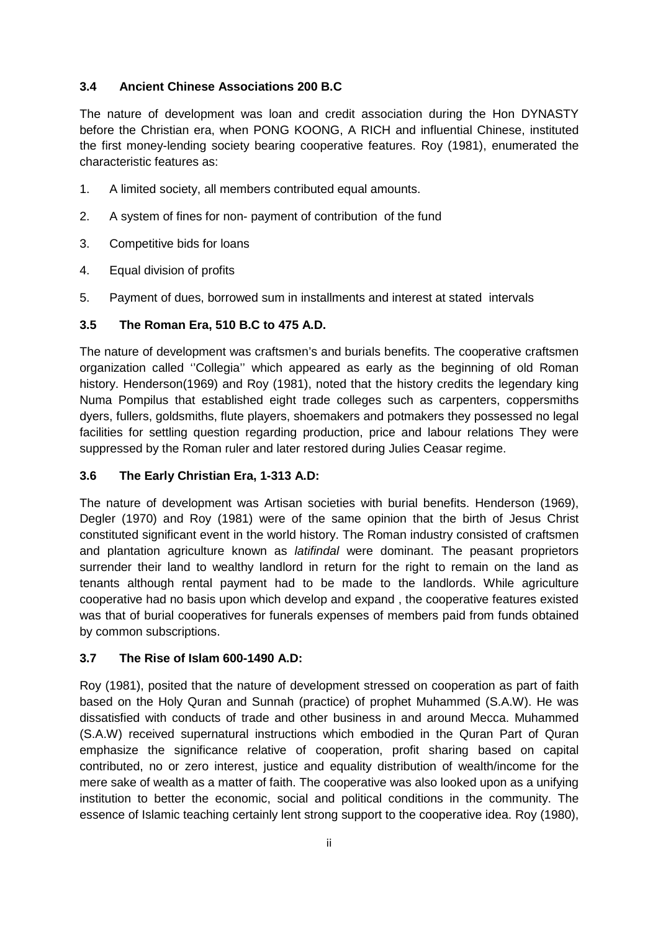## **3.4 Ancient Chinese Associations 200 B.C**

The nature of development was loan and credit association during the Hon DYNASTY before the Christian era, when PONG KOONG, A RICH and influential Chinese, instituted the first money-lending society bearing cooperative features. Roy (1981), enumerated the characteristic features as:

- 1. A limited society, all members contributed equal amounts.
- 2. A system of fines for non- payment of contribution of the fund
- 3. Competitive bids for loans
- 4. Equal division of profits
- 5. Payment of dues, borrowed sum in installments and interest at stated intervals

## **3.5 The Roman Era, 510 B.C to 475 A.D.**

The nature of development was craftsmen's and burials benefits. The cooperative craftsmen organization called ''Collegia'' which appeared as early as the beginning of old Roman history. Henderson(1969) and Roy (1981), noted that the history credits the legendary king Numa Pompilus that established eight trade colleges such as carpenters, coppersmiths dyers, fullers, goldsmiths, flute players, shoemakers and potmakers they possessed no legal facilities for settling question regarding production, price and labour relations They were suppressed by the Roman ruler and later restored during Julies Ceasar regime.

## **3.6 The Early Christian Era, 1-313 A.D:**

The nature of development was Artisan societies with burial benefits. Henderson (1969), Degler (1970) and Roy (1981) were of the same opinion that the birth of Jesus Christ constituted significant event in the world history. The Roman industry consisted of craftsmen and plantation agriculture known as latifindal were dominant. The peasant proprietors surrender their land to wealthy landlord in return for the right to remain on the land as tenants although rental payment had to be made to the landlords. While agriculture cooperative had no basis upon which develop and expand , the cooperative features existed was that of burial cooperatives for funerals expenses of members paid from funds obtained by common subscriptions.

#### **3.7 The Rise of Islam 600-1490 A.D:**

Roy (1981), posited that the nature of development stressed on cooperation as part of faith based on the Holy Quran and Sunnah (practice) of prophet Muhammed (S.A.W). He was dissatisfied with conducts of trade and other business in and around Mecca. Muhammed (S.A.W) received supernatural instructions which embodied in the Quran Part of Quran emphasize the significance relative of cooperation, profit sharing based on capital contributed, no or zero interest, justice and equality distribution of wealth/income for the mere sake of wealth as a matter of faith. The cooperative was also looked upon as a unifying institution to better the economic, social and political conditions in the community. The essence of Islamic teaching certainly lent strong support to the cooperative idea. Roy (1980),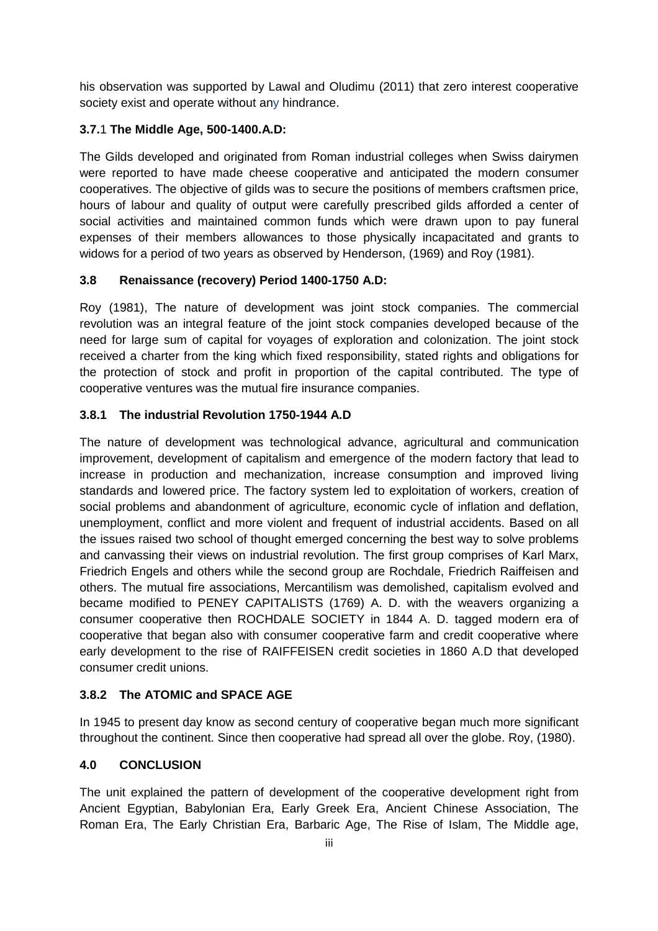his observation was supported by Lawal and Oludimu (2011) that zero interest cooperative society exist and operate without any hindrance.

## **3.7.**1 **The Middle Age, 500-1400.A.D:**

The Gilds developed and originated from Roman industrial colleges when Swiss dairymen were reported to have made cheese cooperative and anticipated the modern consumer cooperatives. The objective of gilds was to secure the positions of members craftsmen price, hours of labour and quality of output were carefully prescribed gilds afforded a center of social activities and maintained common funds which were drawn upon to pay funeral expenses of their members allowances to those physically incapacitated and grants to widows for a period of two years as observed by Henderson, (1969) and Roy (1981).

## **3.8 Renaissance (recovery) Period 1400-1750 A.D:**

Roy (1981), The nature of development was joint stock companies. The commercial revolution was an integral feature of the joint stock companies developed because of the need for large sum of capital for voyages of exploration and colonization. The joint stock received a charter from the king which fixed responsibility, stated rights and obligations for the protection of stock and profit in proportion of the capital contributed. The type of cooperative ventures was the mutual fire insurance companies.

## **3.8.1 The industrial Revolution 1750-1944 A.D**

The nature of development was technological advance, agricultural and communication improvement, development of capitalism and emergence of the modern factory that lead to increase in production and mechanization, increase consumption and improved living standards and lowered price. The factory system led to exploitation of workers, creation of social problems and abandonment of agriculture, economic cycle of inflation and deflation, unemployment, conflict and more violent and frequent of industrial accidents. Based on all the issues raised two school of thought emerged concerning the best way to solve problems and canvassing their views on industrial revolution. The first group comprises of Karl Marx, Friedrich Engels and others while the second group are Rochdale, Friedrich Raiffeisen and others. The mutual fire associations, Mercantilism was demolished, capitalism evolved and became modified to PENEY CAPITALISTS (1769) A. D. with the weavers organizing a consumer cooperative then ROCHDALE SOCIETY in 1844 A. D. tagged modern era of cooperative that began also with consumer cooperative farm and credit cooperative where early development to the rise of RAIFFEISEN credit societies in 1860 A.D that developed consumer credit unions.

## **3.8.2 The ATOMIC and SPACE AGE**

In 1945 to present day know as second century of cooperative began much more significant throughout the continent. Since then cooperative had spread all over the globe. Roy, (1980).

#### **4.0 CONCLUSION**

The unit explained the pattern of development of the cooperative development right from Ancient Egyptian, Babylonian Era, Early Greek Era, Ancient Chinese Association, The Roman Era, The Early Christian Era, Barbaric Age, The Rise of Islam, The Middle age,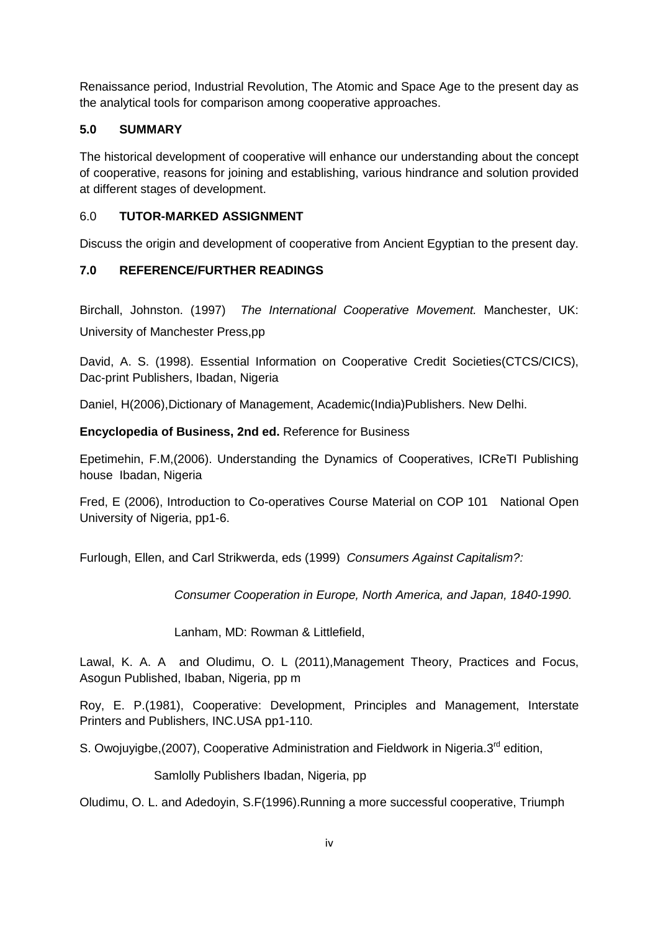Renaissance period, Industrial Revolution, The Atomic and Space Age to the present day as the analytical tools for comparison among cooperative approaches.

## **5.0 SUMMARY**

The historical development of cooperative will enhance our understanding about the concept of cooperative, reasons for joining and establishing, various hindrance and solution provided at different stages of development.

## 6.0 **TUTOR-MARKED ASSIGNMENT**

Discuss the origin and development of cooperative from Ancient Egyptian to the present day.

## **7.0 REFERENCE/FURTHER READINGS**

Birchall, Johnston. (1997) The International Cooperative Movement. Manchester, UK: University of Manchester Press,pp

David, A. S. (1998). Essential Information on Cooperative Credit Societies(CTCS/CICS), Dac-print Publishers, Ibadan, Nigeria

Daniel, H(2006),Dictionary of Management, Academic(India)Publishers. New Delhi.

## **Encyclopedia of Business, 2nd ed.** Reference for Business

Epetimehin, F.M,(2006). Understanding the Dynamics of Cooperatives, ICReTI Publishing house Ibadan, Nigeria

Fred, E (2006), Introduction to Co-operatives Course Material on COP 101 National Open University of Nigeria, pp1-6.

Furlough, Ellen, and Carl Strikwerda, eds (1999) Consumers Against Capitalism?:

Consumer Cooperation in Europe, North America, and Japan, 1840-1990.

Lanham, MD: Rowman & Littlefield,

Lawal, K. A. A and Oludimu, O. L (2011),Management Theory, Practices and Focus, Asogun Published, Ibaban, Nigeria, pp m

Roy, E. P.(1981), Cooperative: Development, Principles and Management, Interstate Printers and Publishers, INC.USA pp1-110.

S. Owojuvigbe, (2007), Cooperative Administration and Fieldwork in Nigeria.3<sup>rd</sup> edition,

Samlolly Publishers Ibadan, Nigeria, pp

Oludimu, O. L. and Adedoyin, S.F(1996).Running a more successful cooperative, Triumph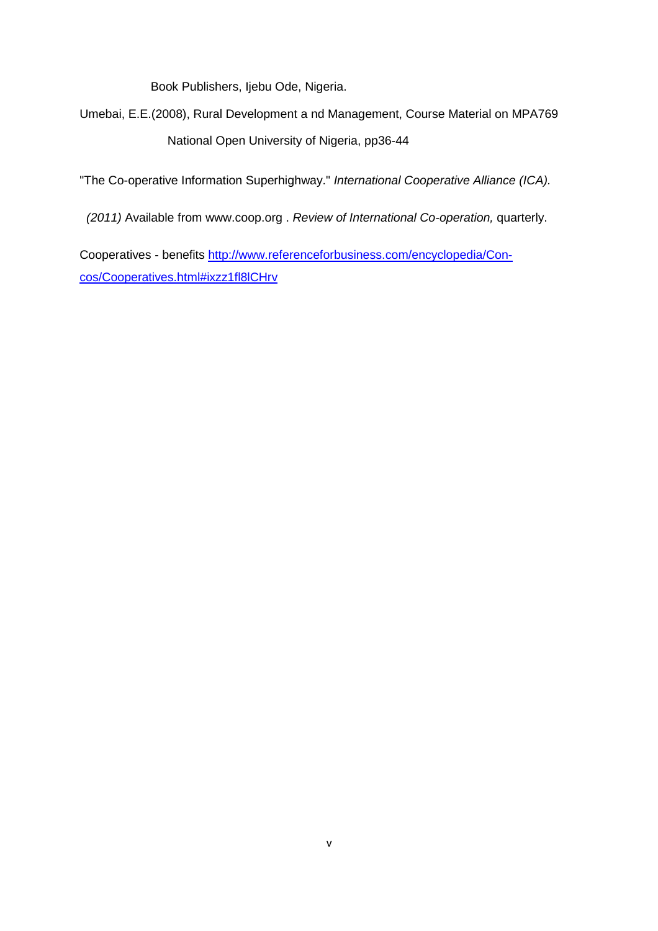Book Publishers, Ijebu Ode, Nigeria.

Umebai, E.E.(2008), Rural Development a nd Management, Course Material on MPA769 National Open University of Nigeria, pp36-44

"The Co-operative Information Superhighway." International Cooperative Alliance (ICA).

(2011) Available from www.coop.org . Review of International Co-operation, quarterly.

Cooperatives - benefits http://www.referenceforbusiness.com/encyclopedia/Concos/Cooperatives.html#ixzz1fl8lCHrv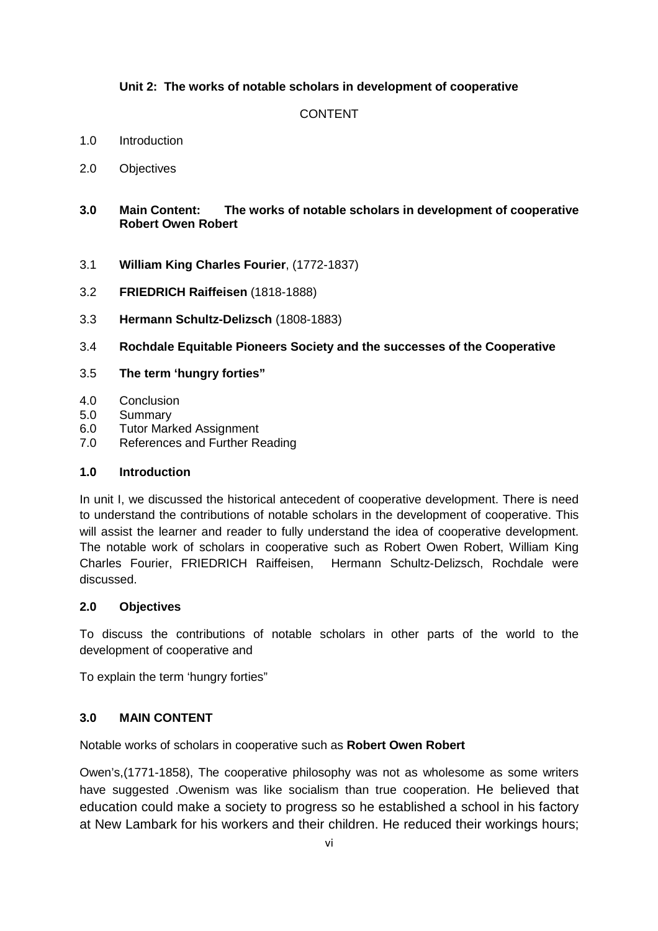#### **Unit 2: The works of notable scholars in development of cooperative**

#### **CONTENT**

- 1.0 Introduction
- 2.0 Objectives
- **3.0 Main Content: The works of notable scholars in development of cooperative Robert Owen Robert**
- 3.1 **William King Charles Fourier**, (1772-1837)
- 3.2 **FRIEDRICH Raiffeisen** (1818-1888)
- 3.3 **Hermann Schultz-Delizsch** (1808-1883)
- 3.4 **Rochdale Equitable Pioneers Society and the successes of the Cooperative**
- 3.5 **The term 'hungry forties"**
- 4.0 Conclusion
- 5.0 Summary
- 6.0 Tutor Marked Assignment
- 7.0 References and Further Reading

#### **1.0 Introduction**

In unit I, we discussed the historical antecedent of cooperative development. There is need to understand the contributions of notable scholars in the development of cooperative. This will assist the learner and reader to fully understand the idea of cooperative development. The notable work of scholars in cooperative such as Robert Owen Robert, William King Charles Fourier, FRIEDRICH Raiffeisen, Hermann Schultz-Delizsch, Rochdale were discussed.

#### **2.0 Objectives**

To discuss the contributions of notable scholars in other parts of the world to the development of cooperative and

To explain the term 'hungry forties"

#### **3.0 MAIN CONTENT**

Notable works of scholars in cooperative such as **Robert Owen Robert**

Owen's,(1771-1858), The cooperative philosophy was not as wholesome as some writers have suggested .Owenism was like socialism than true cooperation. He believed that education could make a society to progress so he established a school in his factory at New Lambark for his workers and their children. He reduced their workings hours;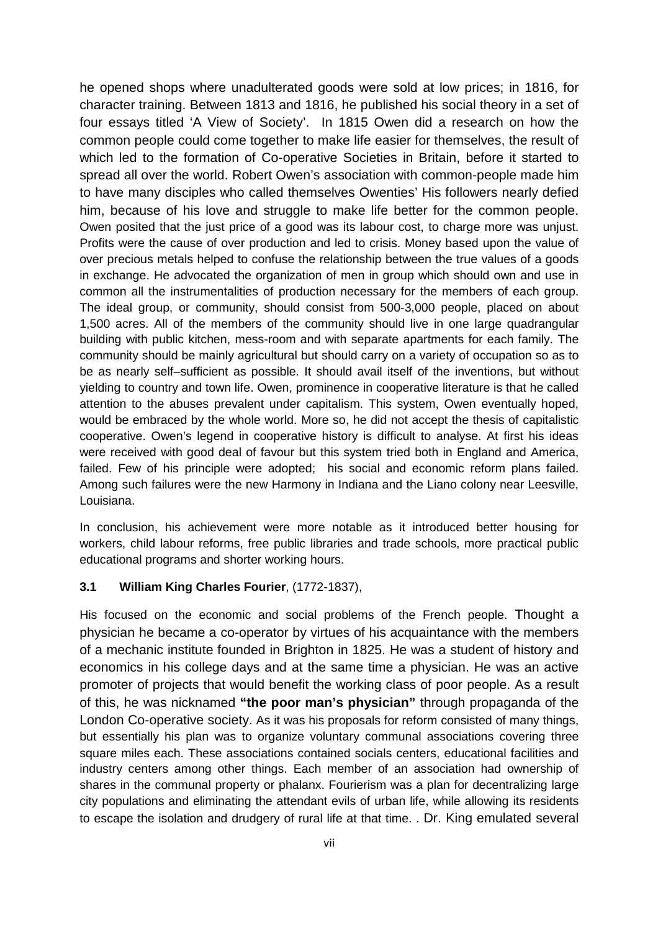he opened shops where unadulterated goods were sold at low prices; in 1816, for character training. Between 1813 and 1816, he published his social theory in a set of four essays titled 'A View of Society'. In 1815 Owen did a research on how the common people could come together to make life easier for themselves, the result of which led to the formation of Co-operative Societies in Britain, before it started to spread all over the world. Robert Owen's association with common-people made him to have many disciples who called themselves Owenties' His followers nearly defied him, because of his love and struggle to make life better for the common people. Owen posited that the just price of a good was its labour cost, to charge more was unjust. Profits were the cause of over production and led to crisis. Money based upon the value of over precious metals helped to confuse the relationship between the true values of a goods in exchange. He advocated the organization of men in group which should own and use in common all the instrumentalities of production necessary for the members of each group. The ideal group, or community, should consist from 500-3,000 people, placed on about 1,500 acres. All of the members of the community should live in one large quadrangular building with public kitchen, mess-room and with separate apartments for each family. The community should be mainly agricultural but should carry on a variety of occupation so as to be as nearly self–sufficient as possible. It should avail itself of the inventions, but without yielding to country and town life. Owen, prominence in cooperative literature is that he called attention to the abuses prevalent under capitalism. This system, Owen eventually hoped, would be embraced by the whole world. More so, he did not accept the thesis of capitalistic cooperative. Owen's legend in cooperative history is difficult to analyse. At first his ideas were received with good deal of favour but this system tried both in England and America, failed. Few of his principle were adopted; his social and economic reform plans failed. Among such failures were the new Harmony in Indiana and the Liano colony near Leesville, Louisiana.

In conclusion, his achievement were more notable as it introduced better housing for workers, child labour reforms, free public libraries and trade schools, more practical public educational programs and shorter working hours.

#### **3.1 William King Charles Fourier**, (1772-1837),

His focused on the economic and social problems of the French people. Thought a physician he became a co-operator by virtues of his acquaintance with the members of a mechanic institute founded in Brighton in 1825. He was a student of history and economics in his college days and at the same time a physician. He was an active promoter of projects that would benefit the working class of poor people. As a result of this, he was nicknamed **"the poor man's physician"** through propaganda of the London Co-operative society. As it was his proposals for reform consisted of many things, but essentially his plan was to organize voluntary communal associations covering three square miles each. These associations contained socials centers, educational facilities and industry centers among other things. Each member of an association had ownership of shares in the communal property or phalanx. Fourierism was a plan for decentralizing large city populations and eliminating the attendant evils of urban life, while allowing its residents to escape the isolation and drudgery of rural life at that time. . Dr. King emulated several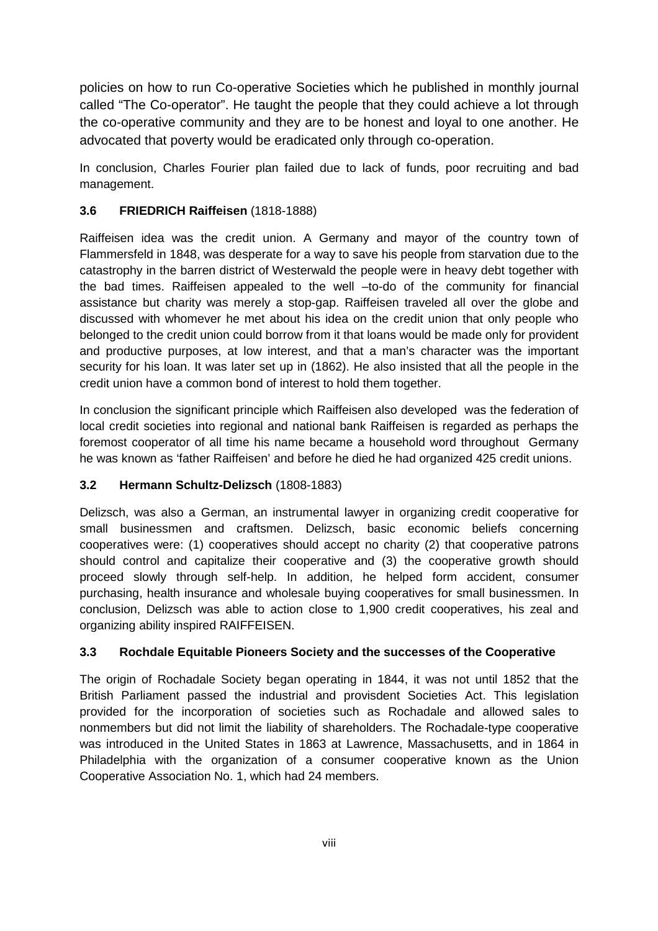policies on how to run Co-operative Societies which he published in monthly journal called "The Co-operator". He taught the people that they could achieve a lot through the co-operative community and they are to be honest and loyal to one another. He advocated that poverty would be eradicated only through co-operation.

In conclusion, Charles Fourier plan failed due to lack of funds, poor recruiting and bad management.

## **3.6 FRIEDRICH Raiffeisen** (1818-1888)

Raiffeisen idea was the credit union. A Germany and mayor of the country town of Flammersfeld in 1848, was desperate for a way to save his people from starvation due to the catastrophy in the barren district of Westerwald the people were in heavy debt together with the bad times. Raiffeisen appealed to the well –to-do of the community for financial assistance but charity was merely a stop-gap. Raiffeisen traveled all over the globe and discussed with whomever he met about his idea on the credit union that only people who belonged to the credit union could borrow from it that loans would be made only for provident and productive purposes, at low interest, and that a man's character was the important security for his loan. It was later set up in (1862). He also insisted that all the people in the credit union have a common bond of interest to hold them together.

In conclusion the significant principle which Raiffeisen also developed was the federation of local credit societies into regional and national bank Raiffeisen is regarded as perhaps the foremost cooperator of all time his name became a household word throughout Germany he was known as 'father Raiffeisen' and before he died he had organized 425 credit unions.

## **3.2 Hermann Schultz-Delizsch** (1808-1883)

Delizsch, was also a German, an instrumental lawyer in organizing credit cooperative for small businessmen and craftsmen. Delizsch, basic economic beliefs concerning cooperatives were: (1) cooperatives should accept no charity (2) that cooperative patrons should control and capitalize their cooperative and (3) the cooperative growth should proceed slowly through self-help. In addition, he helped form accident, consumer purchasing, health insurance and wholesale buying cooperatives for small businessmen. In conclusion, Delizsch was able to action close to 1,900 credit cooperatives, his zeal and organizing ability inspired RAIFFEISEN.

## **3.3 Rochdale Equitable Pioneers Society and the successes of the Cooperative**

The origin of Rochadale Society began operating in 1844, it was not until 1852 that the British Parliament passed the industrial and provisdent Societies Act. This legislation provided for the incorporation of societies such as Rochadale and allowed sales to nonmembers but did not limit the liability of shareholders. The Rochadale-type cooperative was introduced in the United States in 1863 at Lawrence, Massachusetts, and in 1864 in Philadelphia with the organization of a consumer cooperative known as the Union Cooperative Association No. 1, which had 24 members.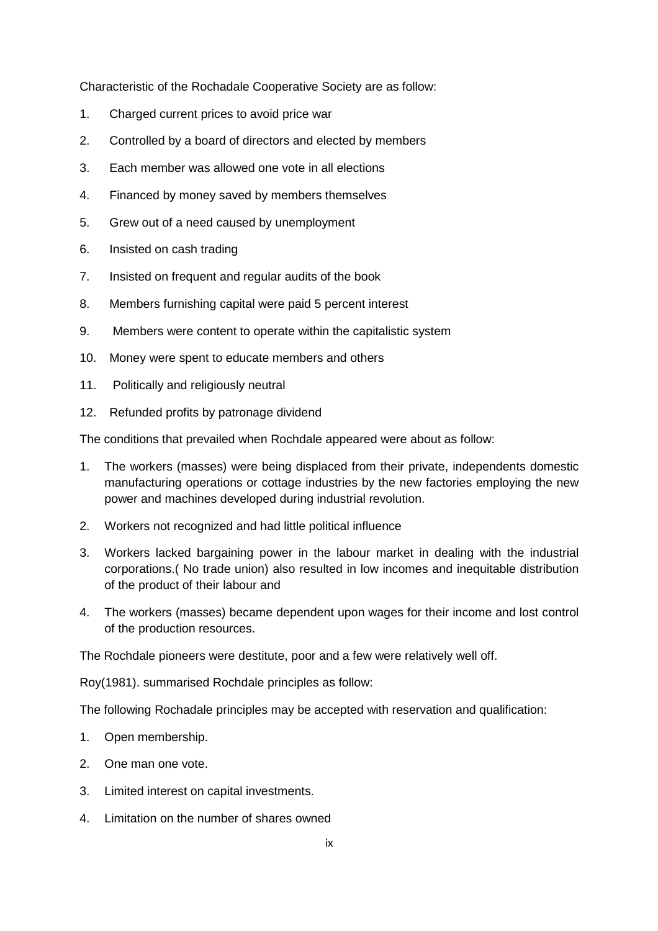Characteristic of the Rochadale Cooperative Society are as follow:

- 1. Charged current prices to avoid price war
- 2. Controlled by a board of directors and elected by members
- 3. Each member was allowed one vote in all elections
- 4. Financed by money saved by members themselves
- 5. Grew out of a need caused by unemployment
- 6. Insisted on cash trading
- 7. Insisted on frequent and regular audits of the book
- 8. Members furnishing capital were paid 5 percent interest
- 9. Members were content to operate within the capitalistic system
- 10. Money were spent to educate members and others
- 11. Politically and religiously neutral
- 12. Refunded profits by patronage dividend

The conditions that prevailed when Rochdale appeared were about as follow:

- 1. The workers (masses) were being displaced from their private, independents domestic manufacturing operations or cottage industries by the new factories employing the new power and machines developed during industrial revolution.
- 2. Workers not recognized and had little political influence
- 3. Workers lacked bargaining power in the labour market in dealing with the industrial corporations.( No trade union) also resulted in low incomes and inequitable distribution of the product of their labour and
- 4. The workers (masses) became dependent upon wages for their income and lost control of the production resources.

The Rochdale pioneers were destitute, poor and a few were relatively well off.

Roy(1981). summarised Rochdale principles as follow:

The following Rochadale principles may be accepted with reservation and qualification:

- 1. Open membership.
- 2. One man one vote.
- 3. Limited interest on capital investments.
- 4. Limitation on the number of shares owned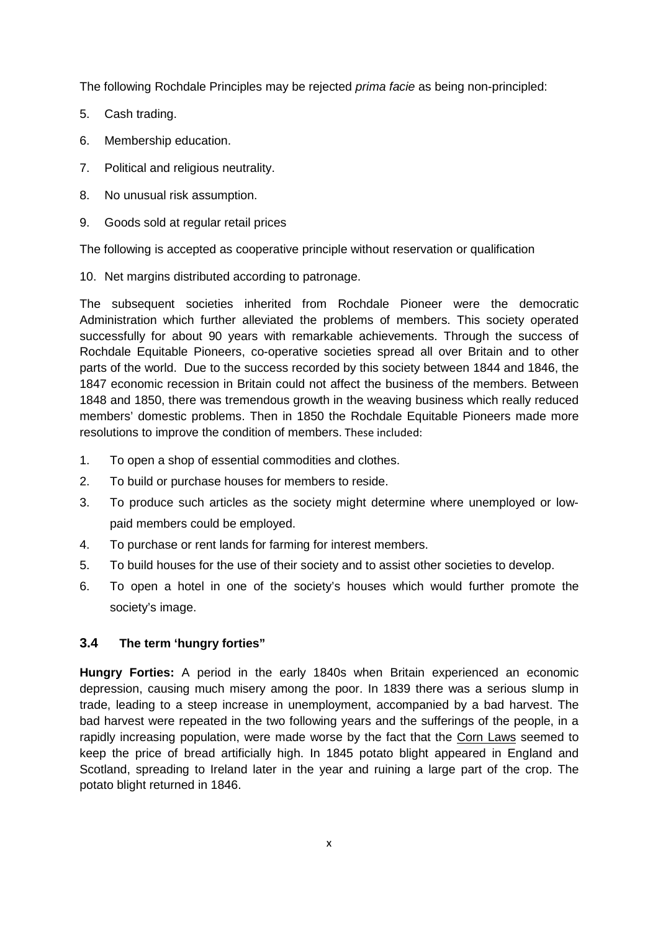The following Rochdale Principles may be rejected prima facie as being non-principled:

- 5. Cash trading.
- 6. Membership education.
- 7. Political and religious neutrality.
- 8. No unusual risk assumption.
- 9. Goods sold at regular retail prices

The following is accepted as cooperative principle without reservation or qualification

10. Net margins distributed according to patronage.

The subsequent societies inherited from Rochdale Pioneer were the democratic Administration which further alleviated the problems of members. This society operated successfully for about 90 years with remarkable achievements. Through the success of Rochdale Equitable Pioneers, co-operative societies spread all over Britain and to other parts of the world. Due to the success recorded by this society between 1844 and 1846, the 1847 economic recession in Britain could not affect the business of the members. Between 1848 and 1850, there was tremendous growth in the weaving business which really reduced members' domestic problems. Then in 1850 the Rochdale Equitable Pioneers made more resolutions to improve the condition of members. These included:

- 1. To open a shop of essential commodities and clothes.
- 2. To build or purchase houses for members to reside.
- 3. To produce such articles as the society might determine where unemployed or lowpaid members could be employed.
- 4. To purchase or rent lands for farming for interest members.
- 5. To build houses for the use of their society and to assist other societies to develop.
- 6. To open a hotel in one of the society's houses which would further promote the society's image.

## **3.4 The term 'hungry forties"**

**Hungry Forties:** A period in the early 1840s when Britain experienced an economic depression, causing much misery among the poor. In 1839 there was a serious slump in trade, leading to a steep increase in unemployment, accompanied by a bad harvest. The bad harvest were repeated in the two following years and the sufferings of the people, in a rapidly increasing population, were made worse by the fact that the Corn Laws seemed to keep the price of bread artificially high. In 1845 potato blight appeared in England and Scotland, spreading to Ireland later in the year and ruining a large part of the crop. The potato blight returned in 1846.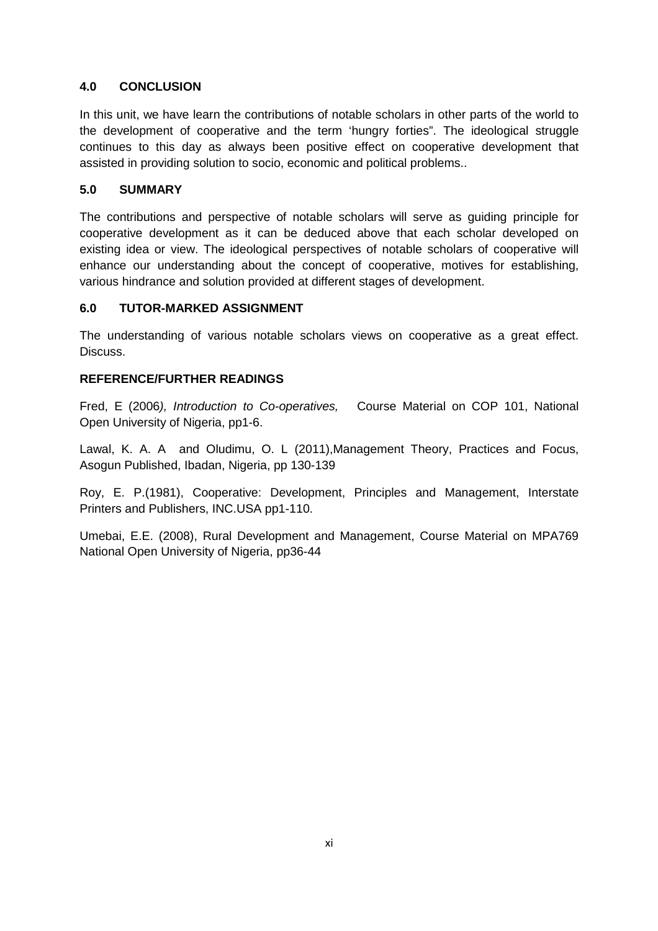## **4.0 CONCLUSION**

In this unit, we have learn the contributions of notable scholars in other parts of the world to the development of cooperative and the term 'hungry forties". The ideological struggle continues to this day as always been positive effect on cooperative development that assisted in providing solution to socio, economic and political problems..

#### **5.0 SUMMARY**

The contributions and perspective of notable scholars will serve as guiding principle for cooperative development as it can be deduced above that each scholar developed on existing idea or view. The ideological perspectives of notable scholars of cooperative will enhance our understanding about the concept of cooperative, motives for establishing, various hindrance and solution provided at different stages of development.

#### **6.0 TUTOR-MARKED ASSIGNMENT**

The understanding of various notable scholars views on cooperative as a great effect. Discuss.

#### **REFERENCE/FURTHER READINGS**

Fred, E (2006), Introduction to Co-operatives, Course Material on COP 101, National Open University of Nigeria, pp1-6.

Lawal, K. A. A and Oludimu, O. L (2011),Management Theory, Practices and Focus, Asogun Published, Ibadan, Nigeria, pp 130-139

Roy, E. P.(1981), Cooperative: Development, Principles and Management, Interstate Printers and Publishers, INC.USA pp1-110.

Umebai, E.E. (2008), Rural Development and Management, Course Material on MPA769 National Open University of Nigeria, pp36-44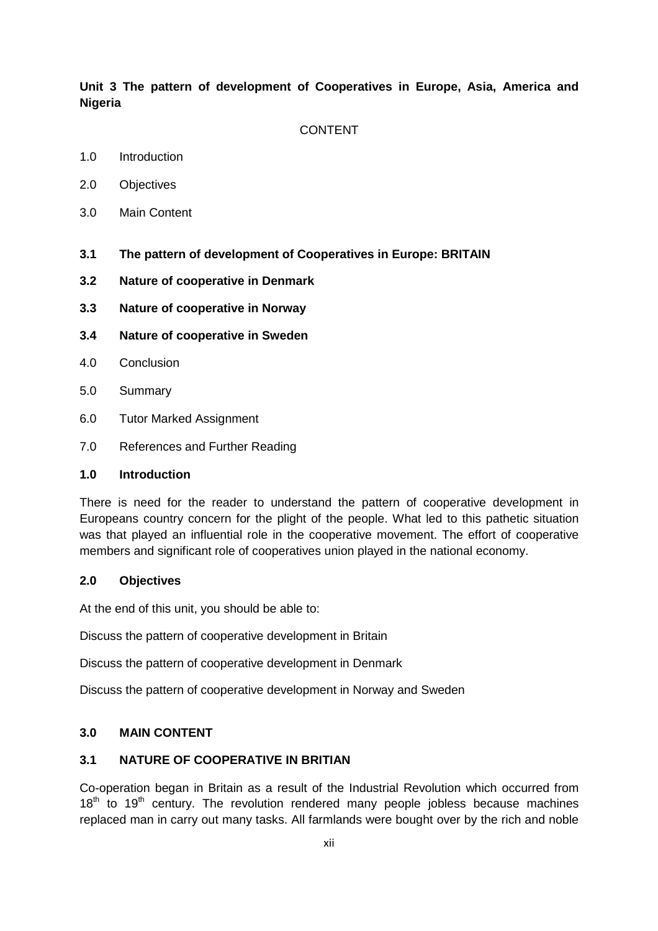**Unit 3 The pattern of development of Cooperatives in Europe, Asia, America and Nigeria**

#### **CONTENT**

- 1.0 Introduction
- 2.0 Objectives
- 3.0 Main Content
- **3.1 The pattern of development of Cooperatives in Europe: BRITAIN**
- **3.2 Nature of cooperative in Denmark**
- **3.3 Nature of cooperative in Norway**
- **3.4 Nature of cooperative in Sweden**
- 4.0 Conclusion
- 5.0 Summary
- 6.0 Tutor Marked Assignment
- 7.0 References and Further Reading

#### **1.0 Introduction**

There is need for the reader to understand the pattern of cooperative development in Europeans country concern for the plight of the people. What led to this pathetic situation was that played an influential role in the cooperative movement. The effort of cooperative members and significant role of cooperatives union played in the national economy.

#### **2.0 Objectives**

At the end of this unit, you should be able to:

Discuss the pattern of cooperative development in Britain

Discuss the pattern of cooperative development in Denmark

Discuss the pattern of cooperative development in Norway and Sweden

## **3.0 MAIN CONTENT**

## **3.1 NATURE OF COOPERATIVE IN BRITIAN**

Co-operation began in Britain as a result of the Industrial Revolution which occurred from  $18<sup>th</sup>$  to  $19<sup>th</sup>$  century. The revolution rendered many people jobless because machines replaced man in carry out many tasks. All farmlands were bought over by the rich and noble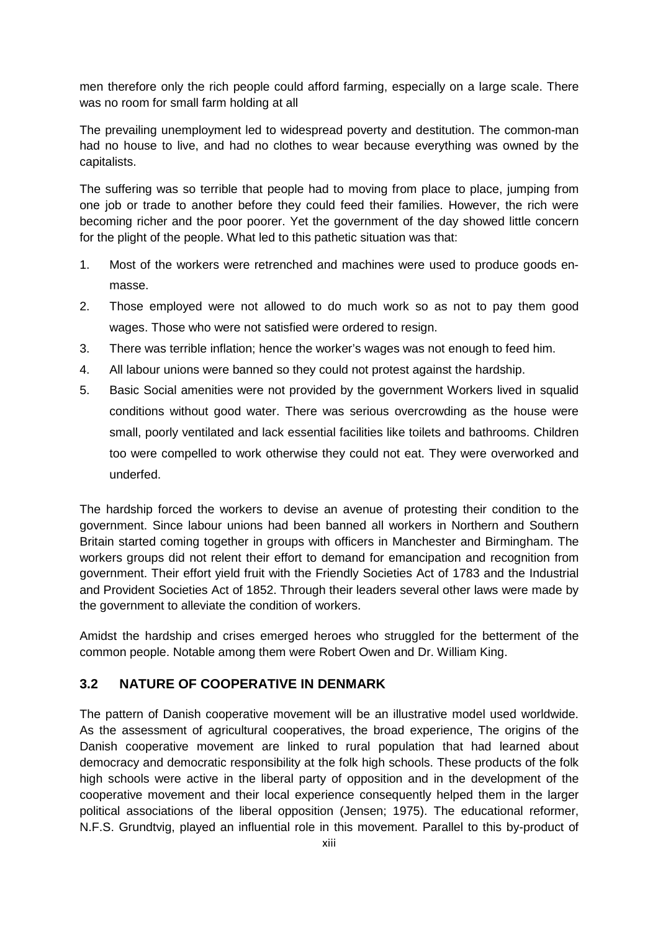men therefore only the rich people could afford farming, especially on a large scale. There was no room for small farm holding at all

The prevailing unemployment led to widespread poverty and destitution. The common-man had no house to live, and had no clothes to wear because everything was owned by the capitalists.

The suffering was so terrible that people had to moving from place to place, jumping from one job or trade to another before they could feed their families. However, the rich were becoming richer and the poor poorer. Yet the government of the day showed little concern for the plight of the people. What led to this pathetic situation was that:

- 1. Most of the workers were retrenched and machines were used to produce goods enmasse.
- 2. Those employed were not allowed to do much work so as not to pay them good wages. Those who were not satisfied were ordered to resign.
- 3. There was terrible inflation; hence the worker's wages was not enough to feed him.
- 4. All labour unions were banned so they could not protest against the hardship.
- 5. Basic Social amenities were not provided by the government Workers lived in squalid conditions without good water. There was serious overcrowding as the house were small, poorly ventilated and lack essential facilities like toilets and bathrooms. Children too were compelled to work otherwise they could not eat. They were overworked and underfed.

The hardship forced the workers to devise an avenue of protesting their condition to the government. Since labour unions had been banned all workers in Northern and Southern Britain started coming together in groups with officers in Manchester and Birmingham. The workers groups did not relent their effort to demand for emancipation and recognition from government. Their effort yield fruit with the Friendly Societies Act of 1783 and the Industrial and Provident Societies Act of 1852. Through their leaders several other laws were made by the government to alleviate the condition of workers.

Amidst the hardship and crises emerged heroes who struggled for the betterment of the common people. Notable among them were Robert Owen and Dr. William King.

## **3.2 NATURE OF COOPERATIVE IN DENMARK**

The pattern of Danish cooperative movement will be an illustrative model used worldwide. As the assessment of agricultural cooperatives, the broad experience, The origins of the Danish cooperative movement are linked to rural population that had learned about democracy and democratic responsibility at the folk high schools. These products of the folk high schools were active in the liberal party of opposition and in the development of the cooperative movement and their local experience consequently helped them in the larger political associations of the liberal opposition (Jensen; 1975). The educational reformer, N.F.S. Grundtvig, played an influential role in this movement. Parallel to this by-product of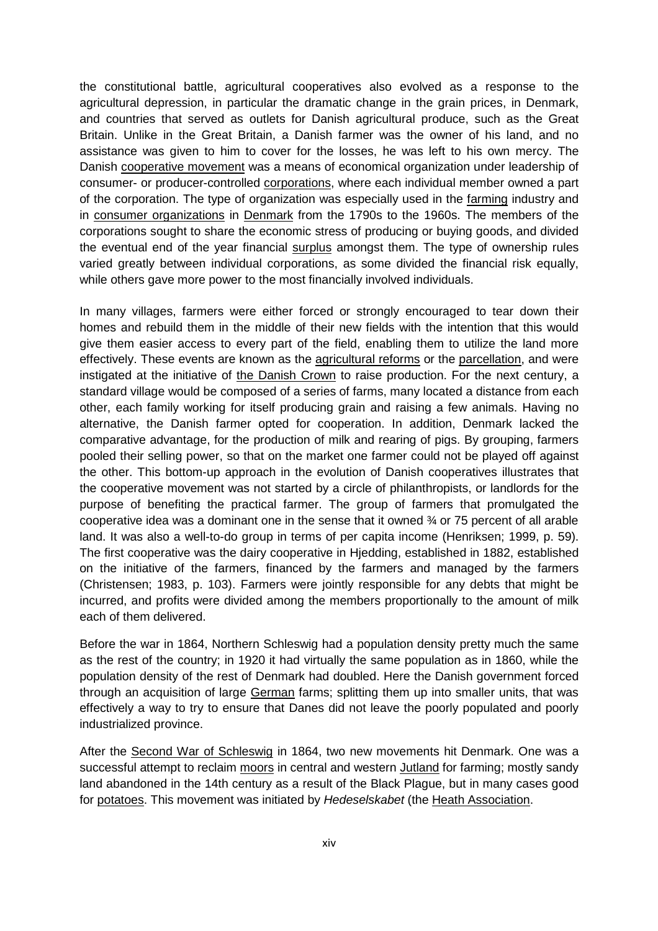the constitutional battle, agricultural cooperatives also evolved as a response to the agricultural depression, in particular the dramatic change in the grain prices, in Denmark, and countries that served as outlets for Danish agricultural produce, such as the Great Britain. Unlike in the Great Britain, a Danish farmer was the owner of his land, and no assistance was given to him to cover for the losses, he was left to his own mercy. The Danish cooperative movement was a means of economical organization under leadership of consumer- or producer-controlled corporations, where each individual member owned a part of the corporation. The type of organization was especially used in the farming industry and in consumer organizations in Denmark from the 1790s to the 1960s. The members of the corporations sought to share the economic stress of producing or buying goods, and divided the eventual end of the year financial surplus amongst them. The type of ownership rules varied greatly between individual corporations, as some divided the financial risk equally, while others gave more power to the most financially involved individuals.

In many villages, farmers were either forced or strongly encouraged to tear down their homes and rebuild them in the middle of their new fields with the intention that this would give them easier access to every part of the field, enabling them to utilize the land more effectively. These events are known as the agricultural reforms or the parcellation, and were instigated at the initiative of the Danish Crown to raise production. For the next century, a standard village would be composed of a series of farms, many located a distance from each other, each family working for itself producing grain and raising a few animals. Having no alternative, the Danish farmer opted for cooperation. In addition, Denmark lacked the comparative advantage, for the production of milk and rearing of pigs. By grouping, farmers pooled their selling power, so that on the market one farmer could not be played off against the other. This bottom-up approach in the evolution of Danish cooperatives illustrates that the cooperative movement was not started by a circle of philanthropists, or landlords for the purpose of benefiting the practical farmer. The group of farmers that promulgated the cooperative idea was a dominant one in the sense that it owned  $\frac{3}{4}$  or 75 percent of all arable land. It was also a well-to-do group in terms of per capita income (Henriksen; 1999, p. 59). The first cooperative was the dairy cooperative in Hjedding, established in 1882, established on the initiative of the farmers, financed by the farmers and managed by the farmers (Christensen; 1983, p. 103). Farmers were jointly responsible for any debts that might be incurred, and profits were divided among the members proportionally to the amount of milk each of them delivered.

Before the war in 1864, Northern Schleswig had a population density pretty much the same as the rest of the country; in 1920 it had virtually the same population as in 1860, while the population density of the rest of Denmark had doubled. Here the Danish government forced through an acquisition of large German farms; splitting them up into smaller units, that was effectively a way to try to ensure that Danes did not leave the poorly populated and poorly industrialized province.

After the Second War of Schleswig in 1864, two new movements hit Denmark. One was a successful attempt to reclaim moors in central and western Jutland for farming; mostly sandy land abandoned in the 14th century as a result of the Black Plague, but in many cases good for potatoes. This movement was initiated by Hedeselskabet (the Heath Association.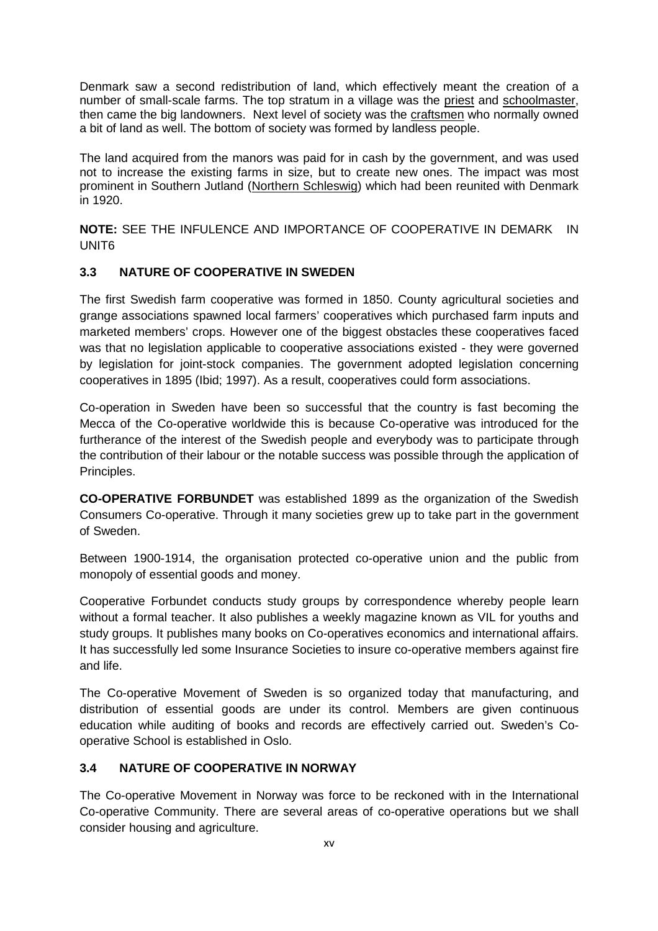Denmark saw a second redistribution of land, which effectively meant the creation of a number of small-scale farms. The top stratum in a village was the priest and schoolmaster, then came the big landowners. Next level of society was the craftsmen who normally owned a bit of land as well. The bottom of society was formed by landless people.

The land acquired from the manors was paid for in cash by the government, and was used not to increase the existing farms in size, but to create new ones. The impact was most prominent in Southern Jutland (Northern Schleswig) which had been reunited with Denmark in 1920.

**NOTE:** SEE THE INFULENCE AND IMPORTANCE OF COOPERATIVE IN DEMARK IN UNIT6

## **3.3 NATURE OF COOPERATIVE IN SWEDEN**

The first Swedish farm cooperative was formed in 1850. County agricultural societies and grange associations spawned local farmers' cooperatives which purchased farm inputs and marketed members' crops. However one of the biggest obstacles these cooperatives faced was that no legislation applicable to cooperative associations existed - they were governed by legislation for joint-stock companies. The government adopted legislation concerning cooperatives in 1895 (Ibid; 1997). As a result, cooperatives could form associations.

Co-operation in Sweden have been so successful that the country is fast becoming the Mecca of the Co-operative worldwide this is because Co-operative was introduced for the furtherance of the interest of the Swedish people and everybody was to participate through the contribution of their labour or the notable success was possible through the application of Principles.

**CO-OPERATIVE FORBUNDET** was established 1899 as the organization of the Swedish Consumers Co-operative. Through it many societies grew up to take part in the government of Sweden.

Between 1900-1914, the organisation protected co-operative union and the public from monopoly of essential goods and money.

Cooperative Forbundet conducts study groups by correspondence whereby people learn without a formal teacher. It also publishes a weekly magazine known as VIL for youths and study groups. It publishes many books on Co-operatives economics and international affairs. It has successfully led some Insurance Societies to insure co-operative members against fire and life.

The Co-operative Movement of Sweden is so organized today that manufacturing, and distribution of essential goods are under its control. Members are given continuous education while auditing of books and records are effectively carried out. Sweden's Cooperative School is established in Oslo.

## **3.4 NATURE OF COOPERATIVE IN NORWAY**

The Co-operative Movement in Norway was force to be reckoned with in the International Co-operative Community. There are several areas of co-operative operations but we shall consider housing and agriculture.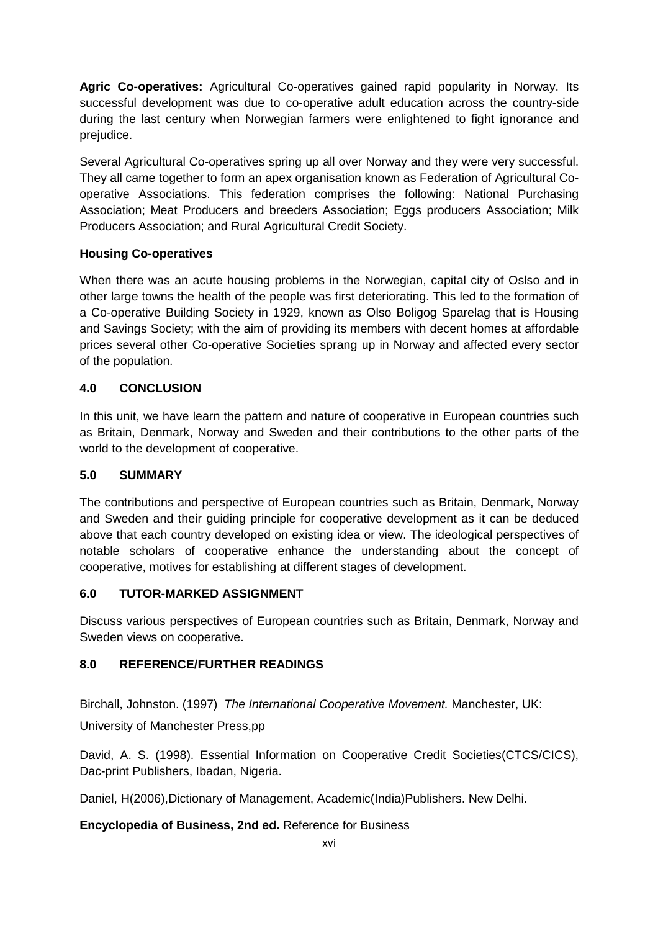**Agric Co-operatives:** Agricultural Co-operatives gained rapid popularity in Norway. Its successful development was due to co-operative adult education across the country-side during the last century when Norwegian farmers were enlightened to fight ignorance and prejudice.

Several Agricultural Co-operatives spring up all over Norway and they were very successful. They all came together to form an apex organisation known as Federation of Agricultural Cooperative Associations. This federation comprises the following: National Purchasing Association; Meat Producers and breeders Association; Eggs producers Association; Milk Producers Association; and Rural Agricultural Credit Society.

## **Housing Co-operatives**

When there was an acute housing problems in the Norwegian, capital city of Oslso and in other large towns the health of the people was first deteriorating. This led to the formation of a Co-operative Building Society in 1929, known as Olso Boligog Sparelag that is Housing and Savings Society; with the aim of providing its members with decent homes at affordable prices several other Co-operative Societies sprang up in Norway and affected every sector of the population.

## **4.0 CONCLUSION**

In this unit, we have learn the pattern and nature of cooperative in European countries such as Britain, Denmark, Norway and Sweden and their contributions to the other parts of the world to the development of cooperative.

#### **5.0 SUMMARY**

The contributions and perspective of European countries such as Britain, Denmark, Norway and Sweden and their guiding principle for cooperative development as it can be deduced above that each country developed on existing idea or view. The ideological perspectives of notable scholars of cooperative enhance the understanding about the concept of cooperative, motives for establishing at different stages of development.

#### **6.0 TUTOR-MARKED ASSIGNMENT**

Discuss various perspectives of European countries such as Britain, Denmark, Norway and Sweden views on cooperative.

#### **8.0 REFERENCE/FURTHER READINGS**

Birchall, Johnston. (1997) The International Cooperative Movement. Manchester, UK:

University of Manchester Press,pp

David, A. S. (1998). Essential Information on Cooperative Credit Societies(CTCS/CICS), Dac-print Publishers, Ibadan, Nigeria.

Daniel, H(2006),Dictionary of Management, Academic(India)Publishers. New Delhi.

## **Encyclopedia of Business, 2nd ed.** Reference for Business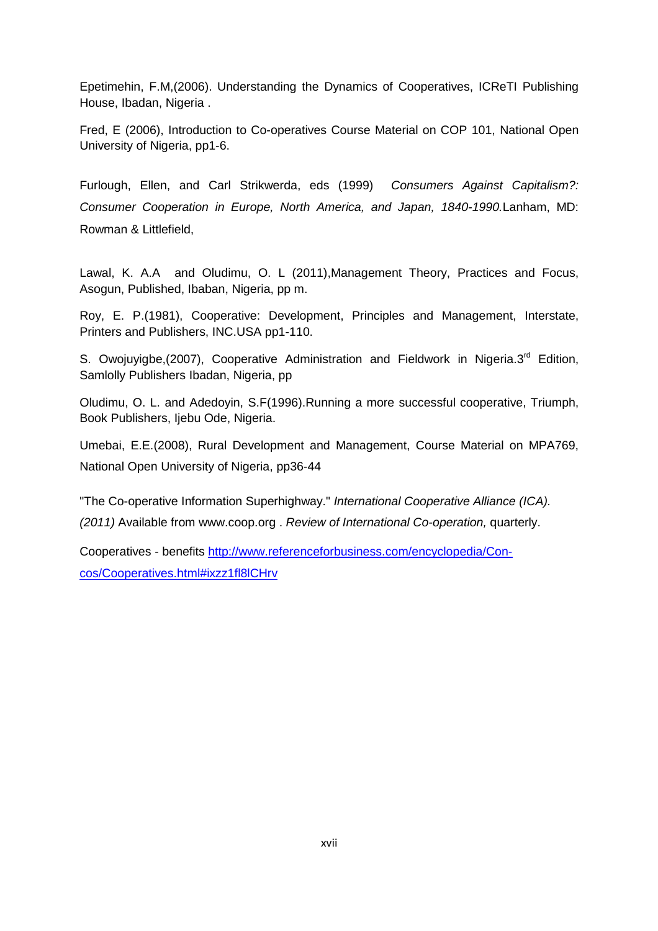Epetimehin, F.M,(2006). Understanding the Dynamics of Cooperatives, ICReTI Publishing House, Ibadan, Nigeria .

Fred, E (2006), Introduction to Co-operatives Course Material on COP 101, National Open University of Nigeria, pp1-6.

Furlough, Ellen, and Carl Strikwerda, eds (1999) Consumers Against Capitalism?: Consumer Cooperation in Europe, North America, and Japan, 1840-1990.Lanham, MD: Rowman & Littlefield,

Lawal, K. A.A and Oludimu, O. L (2011),Management Theory, Practices and Focus, Asogun, Published, Ibaban, Nigeria, pp m.

Roy, E. P.(1981), Cooperative: Development, Principles and Management, Interstate, Printers and Publishers, INC.USA pp1-110.

S. Owojuvigbe, (2007), Cooperative Administration and Fieldwork in Nigeria.3<sup>rd</sup> Edition, Samlolly Publishers Ibadan, Nigeria, pp

Oludimu, O. L. and Adedoyin, S.F(1996).Running a more successful cooperative, Triumph, Book Publishers, Ijebu Ode, Nigeria.

Umebai, E.E.(2008), Rural Development and Management, Course Material on MPA769, National Open University of Nigeria, pp36-44

"The Co-operative Information Superhighway." International Cooperative Alliance (ICA). (2011) Available from www.coop.org . Review of International Co-operation, quarterly.

Cooperatives - benefits http://www.referenceforbusiness.com/encyclopedia/Concos/Cooperatives.html#ixzz1fl8lCHrv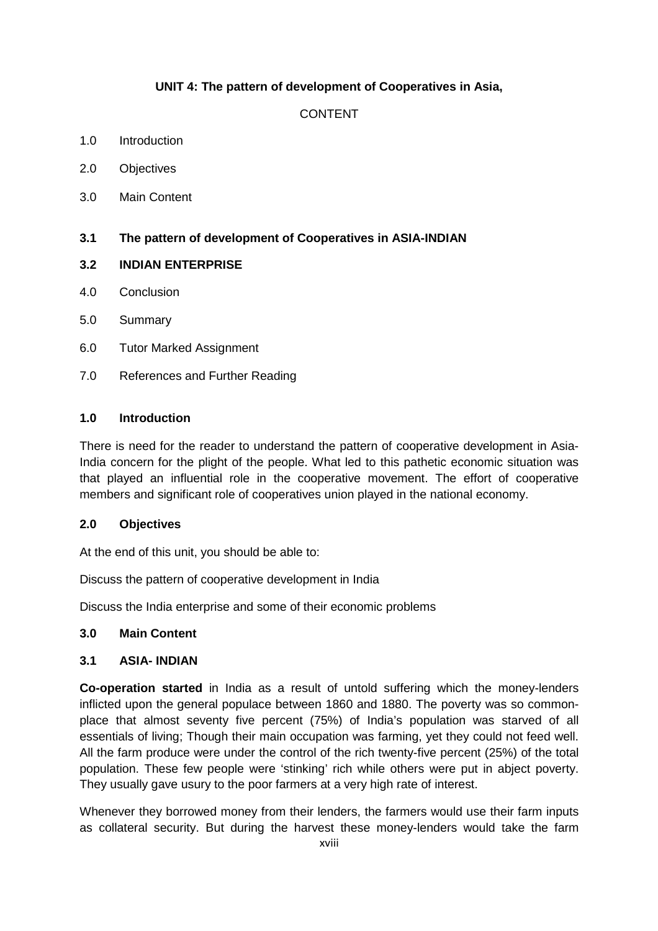## **UNIT 4: The pattern of development of Cooperatives in Asia,**

#### **CONTENT**

- 1.0 Introduction
- 2.0 Objectives
- 3.0 Main Content
- **3.1 The pattern of development of Cooperatives in ASIA-INDIAN**

## **3.2 INDIAN ENTERPRISE**

- 4.0 Conclusion
- 5.0 Summary
- 6.0 Tutor Marked Assignment
- 7.0 References and Further Reading

#### **1.0 Introduction**

There is need for the reader to understand the pattern of cooperative development in Asia-India concern for the plight of the people. What led to this pathetic economic situation was that played an influential role in the cooperative movement. The effort of cooperative members and significant role of cooperatives union played in the national economy.

#### **2.0 Objectives**

At the end of this unit, you should be able to:

Discuss the pattern of cooperative development in India

Discuss the India enterprise and some of their economic problems

#### **3.0 Main Content**

#### **3.1 ASIA- INDIAN**

**Co-operation started** in India as a result of untold suffering which the money-lenders inflicted upon the general populace between 1860 and 1880. The poverty was so commonplace that almost seventy five percent (75%) of India's population was starved of all essentials of living; Though their main occupation was farming, yet they could not feed well. All the farm produce were under the control of the rich twenty-five percent (25%) of the total population. These few people were 'stinking' rich while others were put in abject poverty. They usually gave usury to the poor farmers at a very high rate of interest.

Whenever they borrowed money from their lenders, the farmers would use their farm inputs as collateral security. But during the harvest these money-lenders would take the farm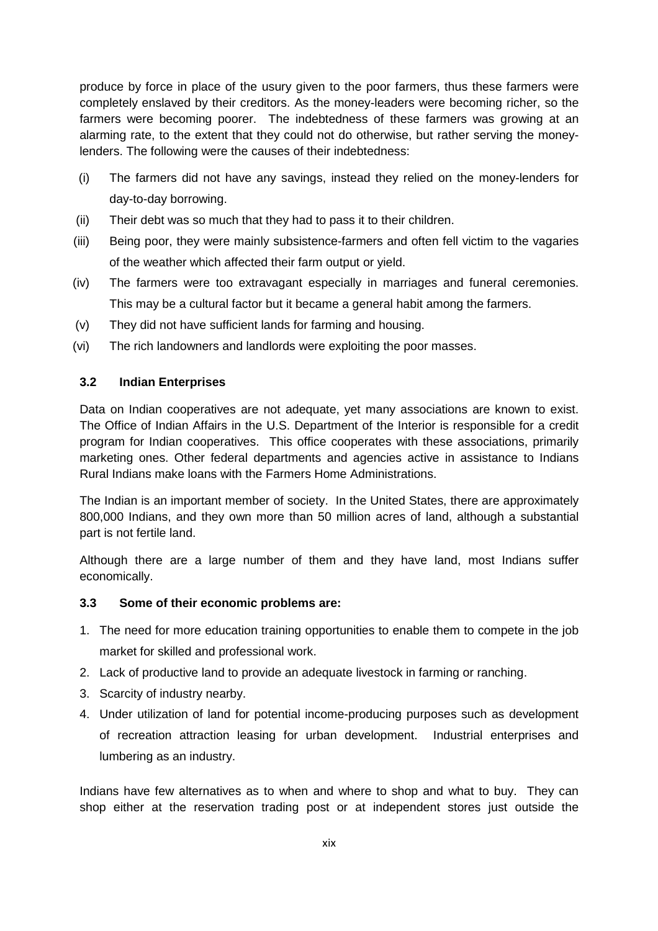produce by force in place of the usury given to the poor farmers, thus these farmers were completely enslaved by their creditors. As the money-leaders were becoming richer, so the farmers were becoming poorer. The indebtedness of these farmers was growing at an alarming rate, to the extent that they could not do otherwise, but rather serving the moneylenders. The following were the causes of their indebtedness:

- (i) The farmers did not have any savings, instead they relied on the money-lenders for day-to-day borrowing.
- (ii) Their debt was so much that they had to pass it to their children.
- (iii) Being poor, they were mainly subsistence-farmers and often fell victim to the vagaries of the weather which affected their farm output or yield.
- (iv) The farmers were too extravagant especially in marriages and funeral ceremonies. This may be a cultural factor but it became a general habit among the farmers.
- (v) They did not have sufficient lands for farming and housing.
- (vi) The rich landowners and landlords were exploiting the poor masses.

#### **3.2 Indian Enterprises**

Data on Indian cooperatives are not adequate, yet many associations are known to exist. The Office of Indian Affairs in the U.S. Department of the Interior is responsible for a credit program for Indian cooperatives. This office cooperates with these associations, primarily marketing ones. Other federal departments and agencies active in assistance to Indians Rural Indians make loans with the Farmers Home Administrations.

The Indian is an important member of society. In the United States, there are approximately 800,000 Indians, and they own more than 50 million acres of land, although a substantial part is not fertile land.

Although there are a large number of them and they have land, most Indians suffer economically.

#### **3.3 Some of their economic problems are:**

- 1. The need for more education training opportunities to enable them to compete in the job market for skilled and professional work.
- 2. Lack of productive land to provide an adequate livestock in farming or ranching.
- 3. Scarcity of industry nearby.
- 4. Under utilization of land for potential income-producing purposes such as development of recreation attraction leasing for urban development. Industrial enterprises and lumbering as an industry.

Indians have few alternatives as to when and where to shop and what to buy. They can shop either at the reservation trading post or at independent stores just outside the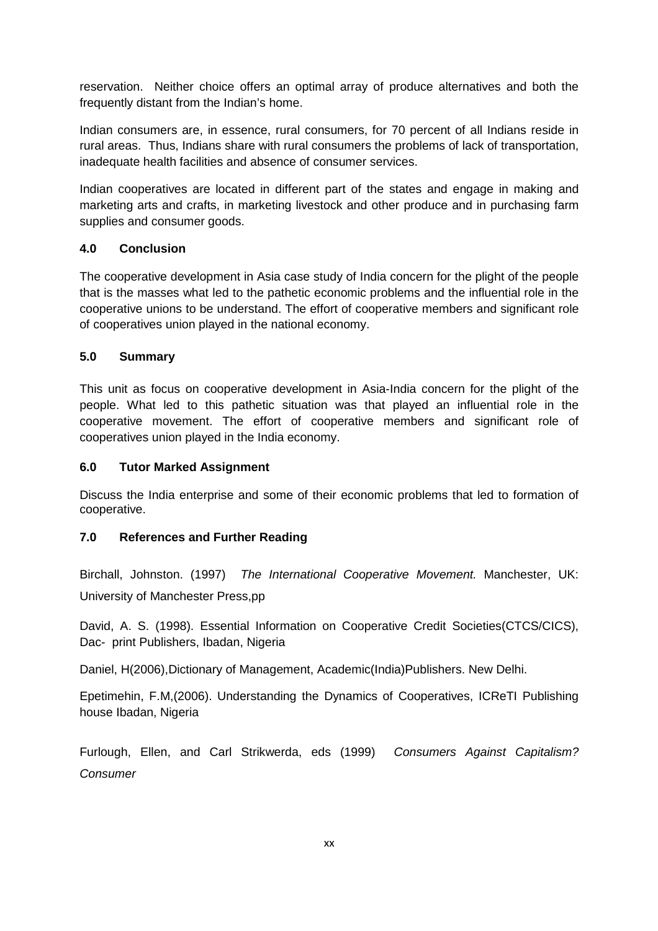reservation. Neither choice offers an optimal array of produce alternatives and both the frequently distant from the Indian's home.

Indian consumers are, in essence, rural consumers, for 70 percent of all Indians reside in rural areas. Thus, Indians share with rural consumers the problems of lack of transportation, inadequate health facilities and absence of consumer services.

Indian cooperatives are located in different part of the states and engage in making and marketing arts and crafts, in marketing livestock and other produce and in purchasing farm supplies and consumer goods.

## **4.0 Conclusion**

The cooperative development in Asia case study of India concern for the plight of the people that is the masses what led to the pathetic economic problems and the influential role in the cooperative unions to be understand. The effort of cooperative members and significant role of cooperatives union played in the national economy.

## **5.0 Summary**

This unit as focus on cooperative development in Asia-India concern for the plight of the people. What led to this pathetic situation was that played an influential role in the cooperative movement. The effort of cooperative members and significant role of cooperatives union played in the India economy.

#### **6.0 Tutor Marked Assignment**

Discuss the India enterprise and some of their economic problems that led to formation of cooperative.

## **7.0 References and Further Reading**

Birchall, Johnston. (1997) The International Cooperative Movement. Manchester, UK: University of Manchester Press,pp

David, A. S. (1998). Essential Information on Cooperative Credit Societies(CTCS/CICS), Dac- print Publishers, Ibadan, Nigeria

Daniel, H(2006),Dictionary of Management, Academic(India)Publishers. New Delhi.

Epetimehin, F.M,(2006). Understanding the Dynamics of Cooperatives, ICReTI Publishing house Ibadan, Nigeria

Furlough, Ellen, and Carl Strikwerda, eds (1999) Consumers Against Capitalism? **Consumer**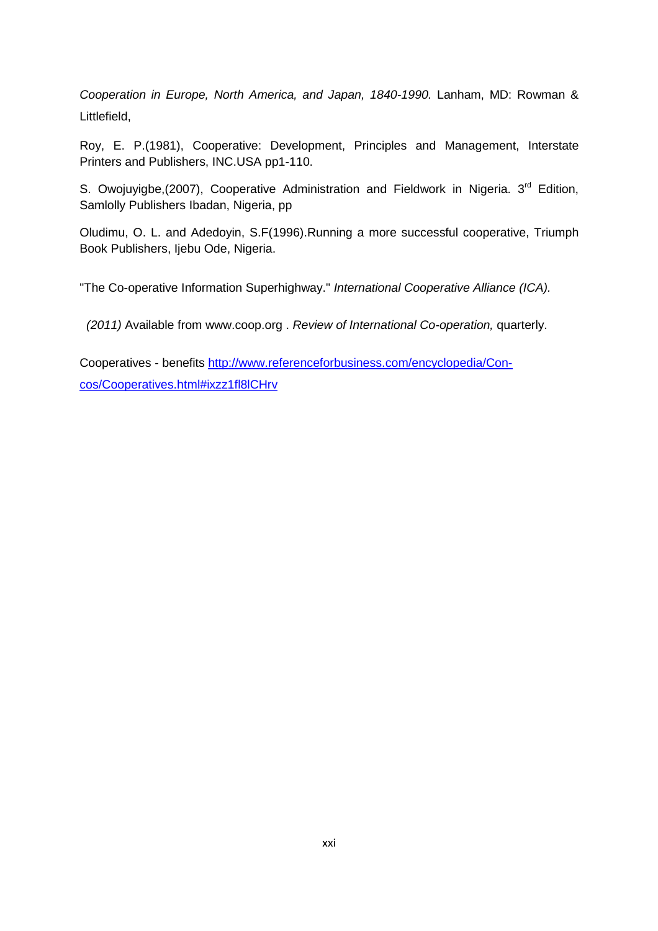Cooperation in Europe, North America, and Japan, 1840-1990. Lanham, MD: Rowman & Littlefield,

Roy, E. P.(1981), Cooperative: Development, Principles and Management, Interstate Printers and Publishers, INC.USA pp1-110.

S. Owojuyigbe,(2007), Cooperative Administration and Fieldwork in Nigeria. 3<sup>rd</sup> Edition, Samlolly Publishers Ibadan, Nigeria, pp

Oludimu, O. L. and Adedoyin, S.F(1996).Running a more successful cooperative, Triumph Book Publishers, Ijebu Ode, Nigeria.

"The Co-operative Information Superhighway." International Cooperative Alliance (ICA).

(2011) Available from www.coop.org . Review of International Co-operation, quarterly.

Cooperatives - benefits http://www.referenceforbusiness.com/encyclopedia/Concos/Cooperatives.html#ixzz1fl8lCHrv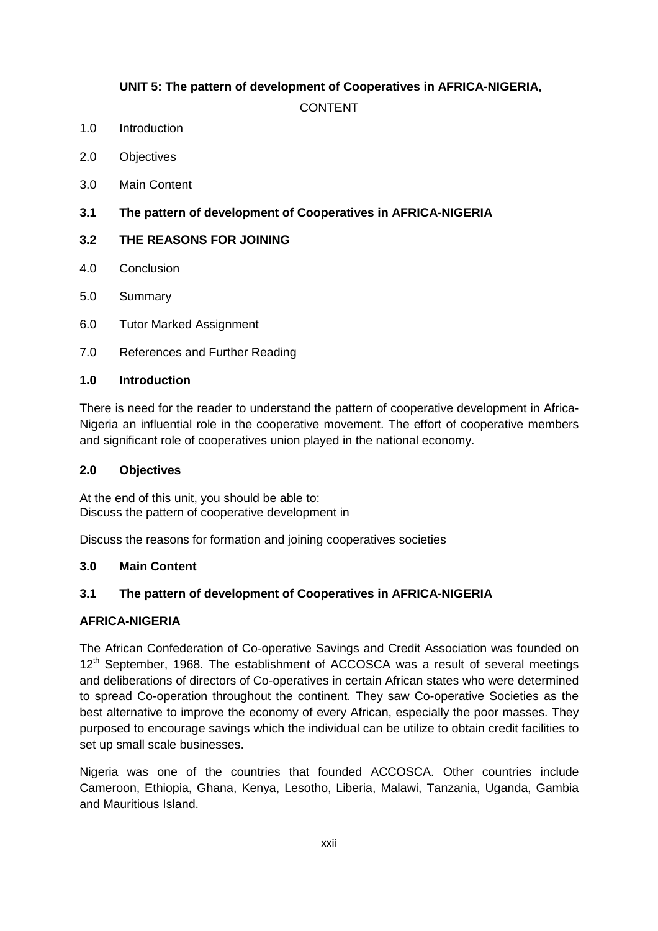## **UNIT 5: The pattern of development of Cooperatives in AFRICA-NIGERIA,**

#### CONTENT

- 1.0 Introduction
- 2.0 Objectives
- 3.0 Main Content
- **3.1 The pattern of development of Cooperatives in AFRICA-NIGERIA**

#### **3.2 THE REASONS FOR JOINING**

- 4.0 Conclusion
- 5.0 Summary
- 6.0 Tutor Marked Assignment
- 7.0 References and Further Reading

#### **1.0 Introduction**

There is need for the reader to understand the pattern of cooperative development in Africa-Nigeria an influential role in the cooperative movement. The effort of cooperative members and significant role of cooperatives union played in the national economy.

#### **2.0 Objectives**

At the end of this unit, you should be able to: Discuss the pattern of cooperative development in

Discuss the reasons for formation and joining cooperatives societies

#### **3.0 Main Content**

#### **3.1 The pattern of development of Cooperatives in AFRICA-NIGERIA**

#### **AFRICA-NIGERIA**

The African Confederation of Co-operative Savings and Credit Association was founded on  $12<sup>th</sup>$  September, 1968. The establishment of ACCOSCA was a result of several meetings and deliberations of directors of Co-operatives in certain African states who were determined to spread Co-operation throughout the continent. They saw Co-operative Societies as the best alternative to improve the economy of every African, especially the poor masses. They purposed to encourage savings which the individual can be utilize to obtain credit facilities to set up small scale businesses.

Nigeria was one of the countries that founded ACCOSCA. Other countries include Cameroon, Ethiopia, Ghana, Kenya, Lesotho, Liberia, Malawi, Tanzania, Uganda, Gambia and Mauritious Island.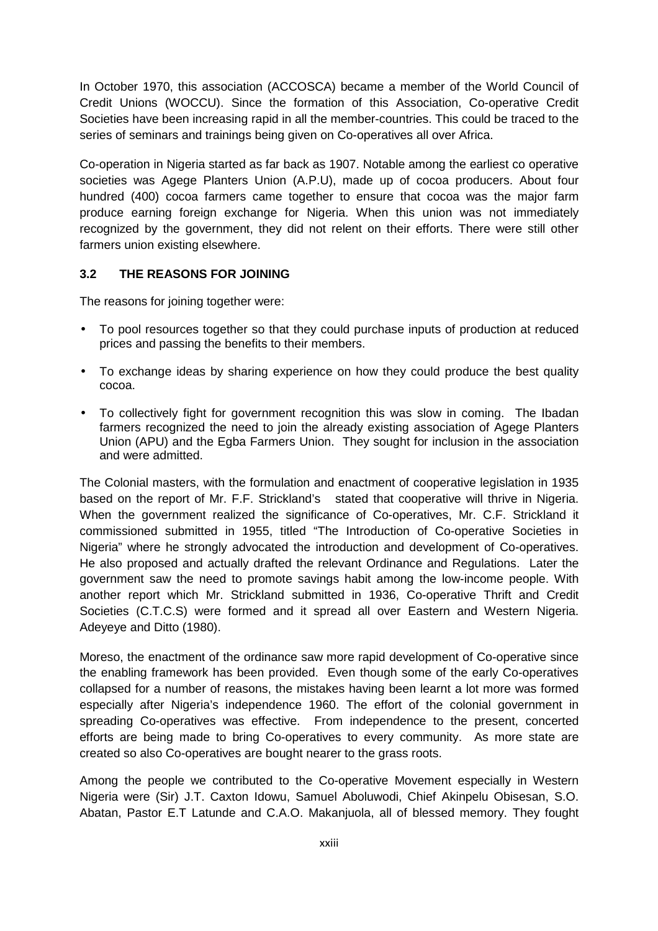In October 1970, this association (ACCOSCA) became a member of the World Council of Credit Unions (WOCCU). Since the formation of this Association, Co-operative Credit Societies have been increasing rapid in all the member-countries. This could be traced to the series of seminars and trainings being given on Co-operatives all over Africa.

Co-operation in Nigeria started as far back as 1907. Notable among the earliest co operative societies was Agege Planters Union (A.P.U), made up of cocoa producers. About four hundred (400) cocoa farmers came together to ensure that cocoa was the major farm produce earning foreign exchange for Nigeria. When this union was not immediately recognized by the government, they did not relent on their efforts. There were still other farmers union existing elsewhere.

#### **3.2 THE REASONS FOR JOINING**

The reasons for joining together were:

- To pool resources together so that they could purchase inputs of production at reduced prices and passing the benefits to their members.
- To exchange ideas by sharing experience on how they could produce the best quality cocoa.
- To collectively fight for government recognition this was slow in coming. The Ibadan farmers recognized the need to join the already existing association of Agege Planters Union (APU) and the Egba Farmers Union. They sought for inclusion in the association and were admitted.

The Colonial masters, with the formulation and enactment of cooperative legislation in 1935 based on the report of Mr. F.F. Strickland's stated that cooperative will thrive in Nigeria. When the government realized the significance of Co-operatives, Mr. C.F. Strickland it commissioned submitted in 1955, titled "The Introduction of Co-operative Societies in Nigeria" where he strongly advocated the introduction and development of Co-operatives. He also proposed and actually drafted the relevant Ordinance and Regulations. Later the government saw the need to promote savings habit among the low-income people. With another report which Mr. Strickland submitted in 1936, Co-operative Thrift and Credit Societies (C.T.C.S) were formed and it spread all over Eastern and Western Nigeria. Adeyeye and Ditto (1980).

Moreso, the enactment of the ordinance saw more rapid development of Co-operative since the enabling framework has been provided. Even though some of the early Co-operatives collapsed for a number of reasons, the mistakes having been learnt a lot more was formed especially after Nigeria's independence 1960. The effort of the colonial government in spreading Co-operatives was effective. From independence to the present, concerted efforts are being made to bring Co-operatives to every community. As more state are created so also Co-operatives are bought nearer to the grass roots.

Among the people we contributed to the Co-operative Movement especially in Western Nigeria were (Sir) J.T. Caxton Idowu, Samuel Aboluwodi, Chief Akinpelu Obisesan, S.O. Abatan, Pastor E.T Latunde and C.A.O. Makanjuola, all of blessed memory. They fought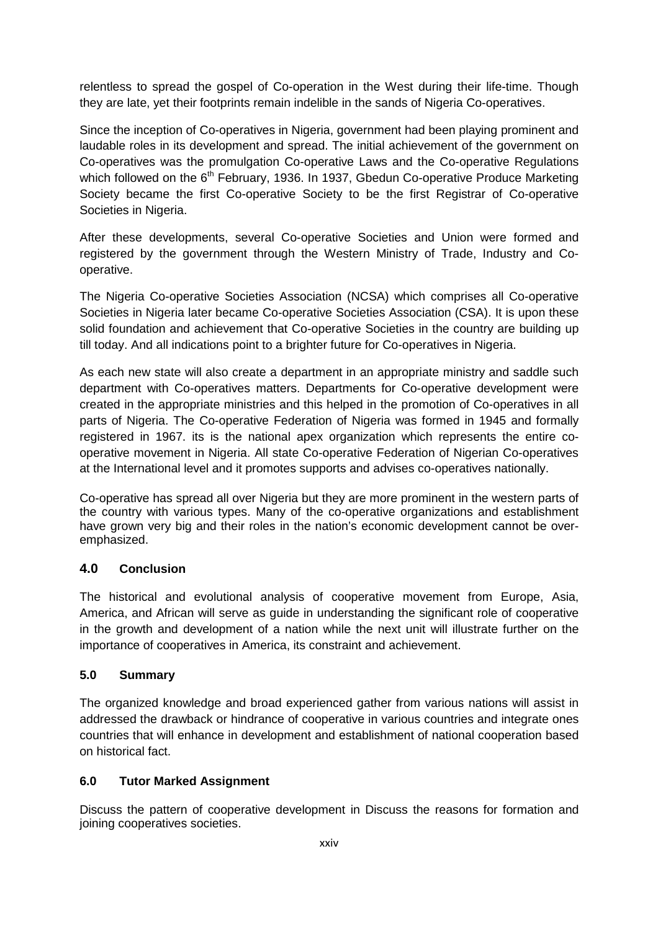relentless to spread the gospel of Co-operation in the West during their life-time. Though they are late, yet their footprints remain indelible in the sands of Nigeria Co-operatives.

Since the inception of Co-operatives in Nigeria, government had been playing prominent and laudable roles in its development and spread. The initial achievement of the government on Co-operatives was the promulgation Co-operative Laws and the Co-operative Regulations which followed on the  $6<sup>th</sup>$  February, 1936. In 1937, Gbedun Co-operative Produce Marketing Society became the first Co-operative Society to be the first Registrar of Co-operative Societies in Nigeria.

After these developments, several Co-operative Societies and Union were formed and registered by the government through the Western Ministry of Trade, Industry and Cooperative.

The Nigeria Co-operative Societies Association (NCSA) which comprises all Co-operative Societies in Nigeria later became Co-operative Societies Association (CSA). It is upon these solid foundation and achievement that Co-operative Societies in the country are building up till today. And all indications point to a brighter future for Co-operatives in Nigeria.

As each new state will also create a department in an appropriate ministry and saddle such department with Co-operatives matters. Departments for Co-operative development were created in the appropriate ministries and this helped in the promotion of Co-operatives in all parts of Nigeria. The Co-operative Federation of Nigeria was formed in 1945 and formally registered in 1967. its is the national apex organization which represents the entire cooperative movement in Nigeria. All state Co-operative Federation of Nigerian Co-operatives at the International level and it promotes supports and advises co-operatives nationally.

Co-operative has spread all over Nigeria but they are more prominent in the western parts of the country with various types. Many of the co-operative organizations and establishment have grown very big and their roles in the nation's economic development cannot be overemphasized.

## **4.0 Conclusion**

The historical and evolutional analysis of cooperative movement from Europe, Asia, America, and African will serve as guide in understanding the significant role of cooperative in the growth and development of a nation while the next unit will illustrate further on the importance of cooperatives in America, its constraint and achievement.

#### **5.0 Summary**

The organized knowledge and broad experienced gather from various nations will assist in addressed the drawback or hindrance of cooperative in various countries and integrate ones countries that will enhance in development and establishment of national cooperation based on historical fact.

#### **6.0 Tutor Marked Assignment**

Discuss the pattern of cooperative development in Discuss the reasons for formation and joining cooperatives societies.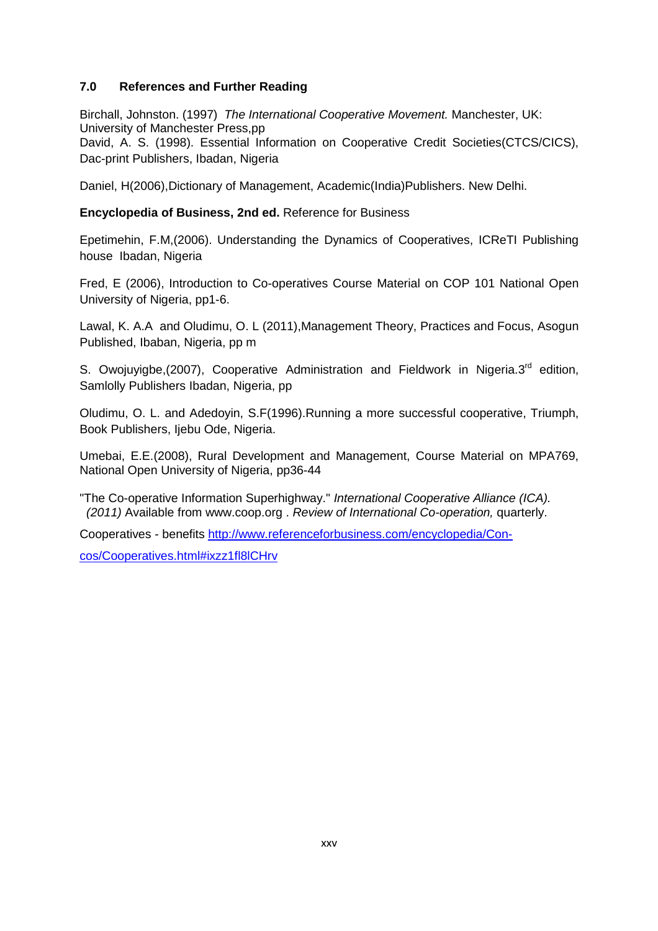### **7.0 References and Further Reading**

Birchall, Johnston. (1997) The International Cooperative Movement. Manchester, UK: University of Manchester Press,pp

David, A. S. (1998). Essential Information on Cooperative Credit Societies(CTCS/CICS), Dac-print Publishers, Ibadan, Nigeria

Daniel, H(2006),Dictionary of Management, Academic(India)Publishers. New Delhi.

**Encyclopedia of Business, 2nd ed.** Reference for Business

Epetimehin, F.M,(2006). Understanding the Dynamics of Cooperatives, ICReTI Publishing house Ibadan, Nigeria

Fred, E (2006), Introduction to Co-operatives Course Material on COP 101 National Open University of Nigeria, pp1-6.

Lawal, K. A.A and Oludimu, O. L (2011),Management Theory, Practices and Focus, Asogun Published, Ibaban, Nigeria, pp m

S. Owojuyigbe,(2007), Cooperative Administration and Fieldwork in Nigeria.3<sup>rd</sup> edition, Samlolly Publishers Ibadan, Nigeria, pp

Oludimu, O. L. and Adedoyin, S.F(1996).Running a more successful cooperative, Triumph, Book Publishers, Ijebu Ode, Nigeria.

Umebai, E.E.(2008), Rural Development and Management, Course Material on MPA769, National Open University of Nigeria, pp36-44

"The Co-operative Information Superhighway." International Cooperative Alliance (ICA). (2011) Available from www.coop.org . Review of International Co-operation, quarterly.

Cooperatives - benefits http://www.referenceforbusiness.com/encyclopedia/Con-

cos/Cooperatives.html#ixzz1fl8lCHrv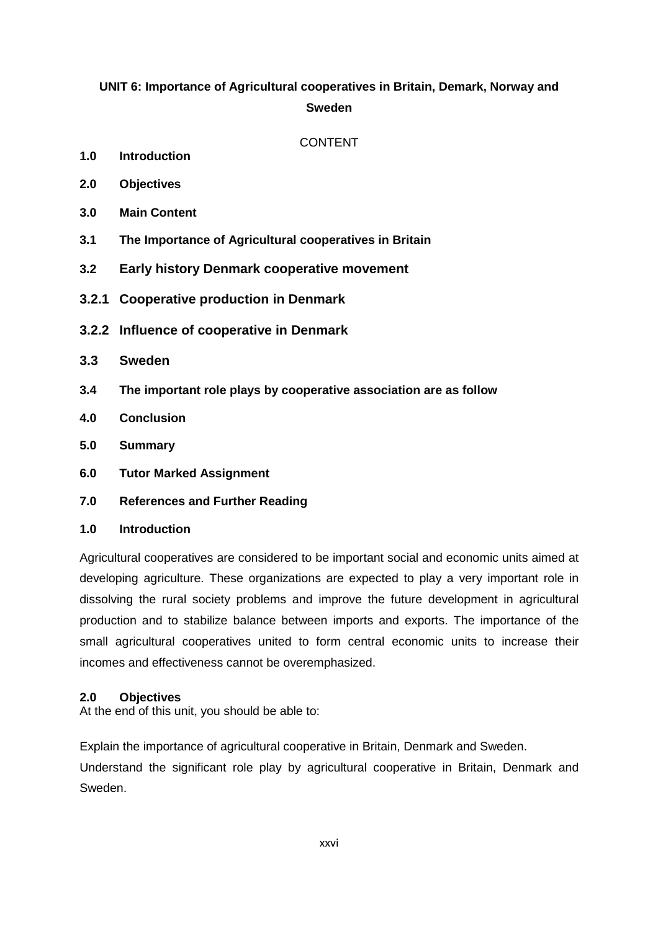# **UNIT 6: Importance of Agricultural cooperatives in Britain, Demark, Norway and Sweden**

### CONTENT

- **1.0 Introduction**
- **2.0 Objectives**
- **3.0 Main Content**
- **3.1 The Importance of Agricultural cooperatives in Britain**
- **3.2 Early history Denmark cooperative movement**
- **3.2.1 Cooperative production in Denmark**
- **3.2.2 Influence of cooperative in Denmark**
- **3.3 Sweden**
- **3.4 The important role plays by cooperative association are as follow**
- **4.0 Conclusion**
- **5.0 Summary**
- **6.0 Tutor Marked Assignment**
- **7.0 References and Further Reading**

#### **1.0 Introduction**

Agricultural cooperatives are considered to be important social and economic units aimed at developing agriculture. These organizations are expected to play a very important role in dissolving the rural society problems and improve the future development in agricultural production and to stabilize balance between imports and exports. The importance of the small agricultural cooperatives united to form central economic units to increase their incomes and effectiveness cannot be overemphasized.

#### **2.0 Objectives**

At the end of this unit, you should be able to:

Explain the importance of agricultural cooperative in Britain, Denmark and Sweden.

Understand the significant role play by agricultural cooperative in Britain, Denmark and Sweden.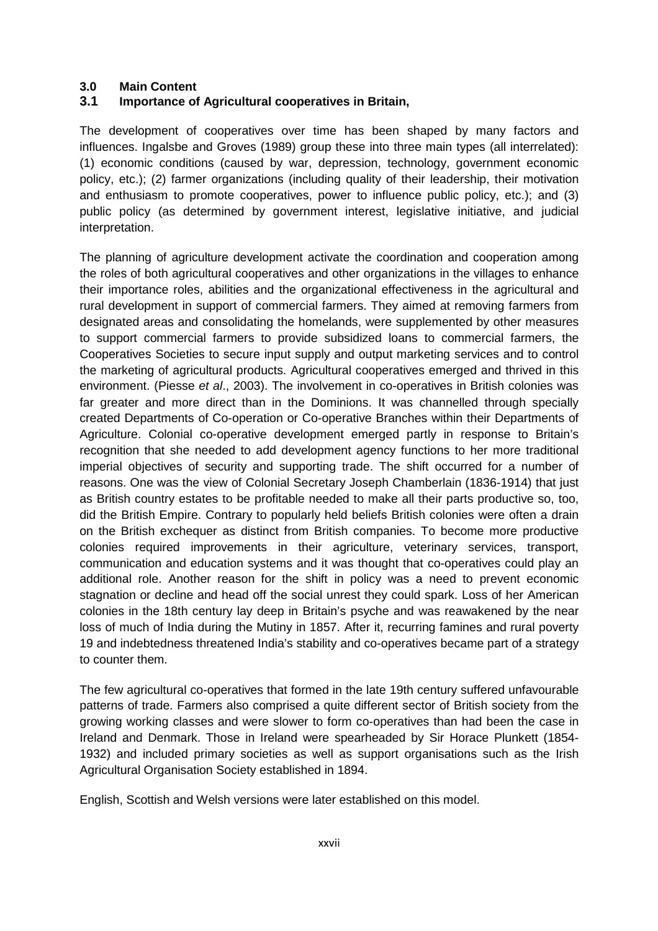#### **3.0 Main Content**

#### **3.1 Importance of Agricultural cooperatives in Britain,**

The development of cooperatives over time has been shaped by many factors and influences. Ingalsbe and Groves (1989) group these into three main types (all interrelated): (1) economic conditions (caused by war, depression, technology, government economic policy, etc.); (2) farmer organizations (including quality of their leadership, their motivation and enthusiasm to promote cooperatives, power to influence public policy, etc.); and (3) public policy (as determined by government interest, legislative initiative, and judicial interpretation.

The planning of agriculture development activate the coordination and cooperation among the roles of both agricultural cooperatives and other organizations in the villages to enhance their importance roles, abilities and the organizational effectiveness in the agricultural and rural development in support of commercial farmers. They aimed at removing farmers from designated areas and consolidating the homelands, were supplemented by other measures to support commercial farmers to provide subsidized loans to commercial farmers, the Cooperatives Societies to secure input supply and output marketing services and to control the marketing of agricultural products. Agricultural cooperatives emerged and thrived in this environment. (Piesse et al., 2003). The involvement in co-operatives in British colonies was far greater and more direct than in the Dominions. It was channelled through specially created Departments of Co-operation or Co-operative Branches within their Departments of Agriculture. Colonial co-operative development emerged partly in response to Britain's recognition that she needed to add development agency functions to her more traditional imperial objectives of security and supporting trade. The shift occurred for a number of reasons. One was the view of Colonial Secretary Joseph Chamberlain (1836-1914) that just as British country estates to be profitable needed to make all their parts productive so, too, did the British Empire. Contrary to popularly held beliefs British colonies were often a drain on the British exchequer as distinct from British companies. To become more productive colonies required improvements in their agriculture, veterinary services, transport, communication and education systems and it was thought that co-operatives could play an additional role. Another reason for the shift in policy was a need to prevent economic stagnation or decline and head off the social unrest they could spark. Loss of her American colonies in the 18th century lay deep in Britain's psyche and was reawakened by the near loss of much of India during the Mutiny in 1857. After it, recurring famines and rural poverty 19 and indebtedness threatened India's stability and co-operatives became part of a strategy to counter them.

The few agricultural co-operatives that formed in the late 19th century suffered unfavourable patterns of trade. Farmers also comprised a quite different sector of British society from the growing working classes and were slower to form co-operatives than had been the case in Ireland and Denmark. Those in Ireland were spearheaded by Sir Horace Plunkett (1854- 1932) and included primary societies as well as support organisations such as the Irish Agricultural Organisation Society established in 1894.

English, Scottish and Welsh versions were later established on this model.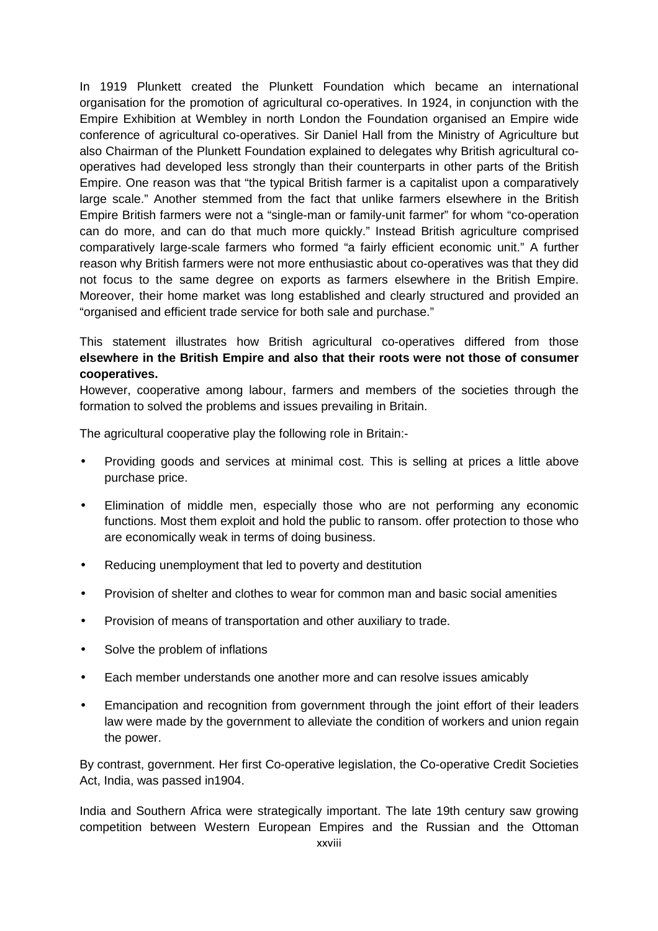In 1919 Plunkett created the Plunkett Foundation which became an international organisation for the promotion of agricultural co-operatives. In 1924, in conjunction with the Empire Exhibition at Wembley in north London the Foundation organised an Empire wide conference of agricultural co-operatives. Sir Daniel Hall from the Ministry of Agriculture but also Chairman of the Plunkett Foundation explained to delegates why British agricultural cooperatives had developed less strongly than their counterparts in other parts of the British Empire. One reason was that "the typical British farmer is a capitalist upon a comparatively large scale." Another stemmed from the fact that unlike farmers elsewhere in the British Empire British farmers were not a "single-man or family-unit farmer" for whom "co-operation can do more, and can do that much more quickly." Instead British agriculture comprised comparatively large-scale farmers who formed "a fairly efficient economic unit." A further reason why British farmers were not more enthusiastic about co-operatives was that they did not focus to the same degree on exports as farmers elsewhere in the British Empire. Moreover, their home market was long established and clearly structured and provided an "organised and efficient trade service for both sale and purchase."

# This statement illustrates how British agricultural co-operatives differed from those **elsewhere in the British Empire and also that their roots were not those of consumer cooperatives.**

However, cooperative among labour, farmers and members of the societies through the formation to solved the problems and issues prevailing in Britain.

The agricultural cooperative play the following role in Britain:-

- Providing goods and services at minimal cost. This is selling at prices a little above purchase price.
- Elimination of middle men, especially those who are not performing any economic functions. Most them exploit and hold the public to ransom. offer protection to those who are economically weak in terms of doing business.
- Reducing unemployment that led to poverty and destitution
- Provision of shelter and clothes to wear for common man and basic social amenities
- Provision of means of transportation and other auxiliary to trade.
- Solve the problem of inflations
- Each member understands one another more and can resolve issues amicably
- Emancipation and recognition from government through the joint effort of their leaders law were made by the government to alleviate the condition of workers and union regain the power.

By contrast, government. Her first Co-operative legislation, the Co-operative Credit Societies Act, India, was passed in1904.

India and Southern Africa were strategically important. The late 19th century saw growing competition between Western European Empires and the Russian and the Ottoman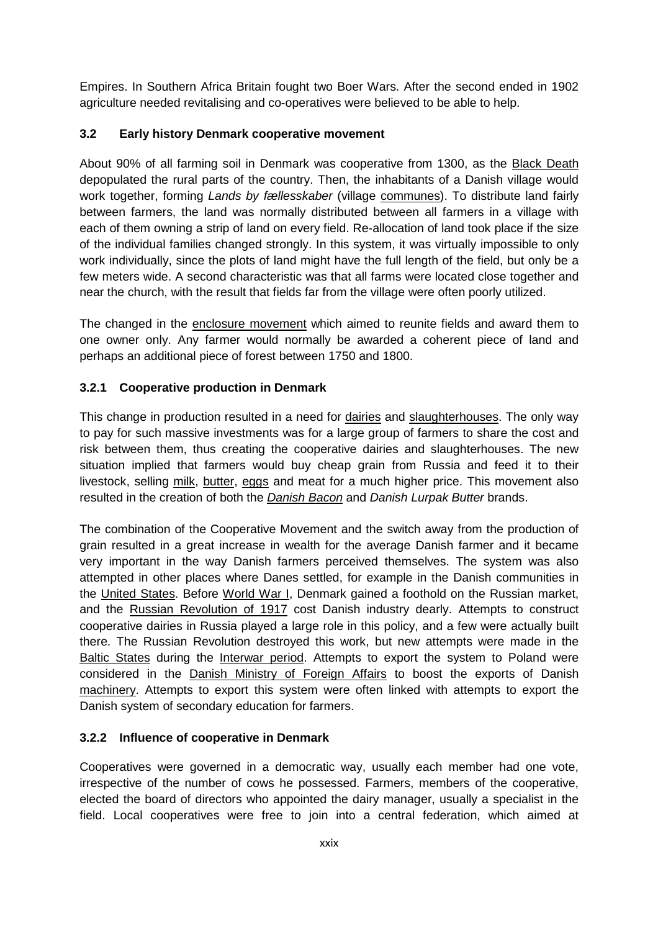Empires. In Southern Africa Britain fought two Boer Wars. After the second ended in 1902 agriculture needed revitalising and co-operatives were believed to be able to help.

## **3.2 Early history Denmark cooperative movement**

About 90% of all farming soil in Denmark was cooperative from 1300, as the Black Death depopulated the rural parts of the country. Then, the inhabitants of a Danish village would work together, forming Lands by fællesskaber (village communes). To distribute land fairly between farmers, the land was normally distributed between all farmers in a village with each of them owning a strip of land on every field. Re-allocation of land took place if the size of the individual families changed strongly. In this system, it was virtually impossible to only work individually, since the plots of land might have the full length of the field, but only be a few meters wide. A second characteristic was that all farms were located close together and near the church, with the result that fields far from the village were often poorly utilized.

The changed in the enclosure movement which aimed to reunite fields and award them to one owner only. Any farmer would normally be awarded a coherent piece of land and perhaps an additional piece of forest between 1750 and 1800.

### **3.2.1 Cooperative production in Denmark**

This change in production resulted in a need for dairies and slaughterhouses. The only way to pay for such massive investments was for a large group of farmers to share the cost and risk between them, thus creating the cooperative dairies and slaughterhouses. The new situation implied that farmers would buy cheap grain from Russia and feed it to their livestock, selling milk, butter, eggs and meat for a much higher price. This movement also resulted in the creation of both the *Danish Bacon* and *Danish Lurpak Butter brands.* 

The combination of the Cooperative Movement and the switch away from the production of grain resulted in a great increase in wealth for the average Danish farmer and it became very important in the way Danish farmers perceived themselves. The system was also attempted in other places where Danes settled, for example in the Danish communities in the United States. Before World War I, Denmark gained a foothold on the Russian market, and the Russian Revolution of 1917 cost Danish industry dearly. Attempts to construct cooperative dairies in Russia played a large role in this policy, and a few were actually built there. The Russian Revolution destroyed this work, but new attempts were made in the Baltic States during the Interwar period. Attempts to export the system to Poland were considered in the Danish Ministry of Foreign Affairs to boost the exports of Danish machinery. Attempts to export this system were often linked with attempts to export the Danish system of secondary education for farmers.

#### **3.2.2 Influence of cooperative in Denmark**

Cooperatives were governed in a democratic way, usually each member had one vote, irrespective of the number of cows he possessed. Farmers, members of the cooperative, elected the board of directors who appointed the dairy manager, usually a specialist in the field. Local cooperatives were free to join into a central federation, which aimed at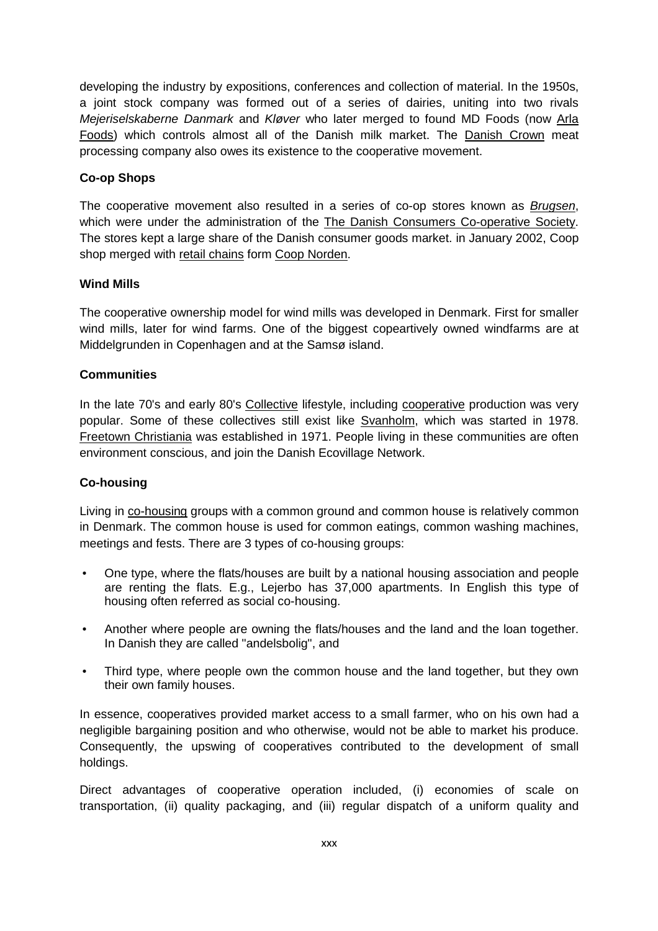developing the industry by expositions, conferences and collection of material. In the 1950s, a joint stock company was formed out of a series of dairies, uniting into two rivals Mejeriselskaberne Danmark and Kløver who later merged to found MD Foods (now Arla Foods) which controls almost all of the Danish milk market. The Danish Crown meat processing company also owes its existence to the cooperative movement.

#### **Co-op Shops**

The cooperative movement also resulted in a series of co-op stores known as *Brugsen*, which were under the administration of the The Danish Consumers Co-operative Society. The stores kept a large share of the Danish consumer goods market. in January 2002, Coop shop merged with retail chains form Coop Norden.

### **Wind Mills**

The cooperative ownership model for wind mills was developed in Denmark. First for smaller wind mills, later for wind farms. One of the biggest copeartively owned windfarms are at Middelgrunden in Copenhagen and at the Samsø island.

### **Communities**

In the late 70's and early 80's Collective lifestyle, including cooperative production was very popular. Some of these collectives still exist like Svanholm, which was started in 1978. Freetown Christiania was established in 1971. People living in these communities are often environment conscious, and join the Danish Ecovillage Network.

#### **Co-housing**

Living in co-housing groups with a common ground and common house is relatively common in Denmark. The common house is used for common eatings, common washing machines, meetings and fests. There are 3 types of co-housing groups:

- One type, where the flats/houses are built by a national housing association and people are renting the flats. E.g., Lejerbo has 37,000 apartments. In English this type of housing often referred as social co-housing.
- Another where people are owning the flats/houses and the land and the loan together. In Danish they are called "andelsbolig", and
- Third type, where people own the common house and the land together, but they own their own family houses.

In essence, cooperatives provided market access to a small farmer, who on his own had a negligible bargaining position and who otherwise, would not be able to market his produce. Consequently, the upswing of cooperatives contributed to the development of small holdings.

Direct advantages of cooperative operation included, (i) economies of scale on transportation, (ii) quality packaging, and (iii) regular dispatch of a uniform quality and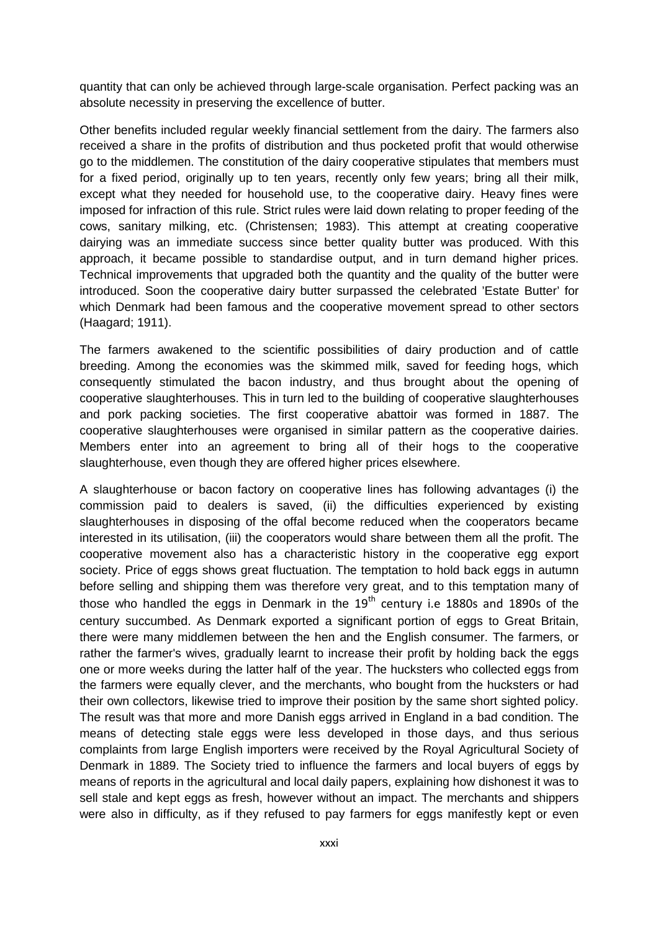quantity that can only be achieved through large-scale organisation. Perfect packing was an absolute necessity in preserving the excellence of butter.

Other benefits included regular weekly financial settlement from the dairy. The farmers also received a share in the profits of distribution and thus pocketed profit that would otherwise go to the middlemen. The constitution of the dairy cooperative stipulates that members must for a fixed period, originally up to ten years, recently only few years; bring all their milk, except what they needed for household use, to the cooperative dairy. Heavy fines were imposed for infraction of this rule. Strict rules were laid down relating to proper feeding of the cows, sanitary milking, etc. (Christensen; 1983). This attempt at creating cooperative dairying was an immediate success since better quality butter was produced. With this approach, it became possible to standardise output, and in turn demand higher prices. Technical improvements that upgraded both the quantity and the quality of the butter were introduced. Soon the cooperative dairy butter surpassed the celebrated 'Estate Butter' for which Denmark had been famous and the cooperative movement spread to other sectors (Haagard; 1911).

The farmers awakened to the scientific possibilities of dairy production and of cattle breeding. Among the economies was the skimmed milk, saved for feeding hogs, which consequently stimulated the bacon industry, and thus brought about the opening of cooperative slaughterhouses. This in turn led to the building of cooperative slaughterhouses and pork packing societies. The first cooperative abattoir was formed in 1887. The cooperative slaughterhouses were organised in similar pattern as the cooperative dairies. Members enter into an agreement to bring all of their hogs to the cooperative slaughterhouse, even though they are offered higher prices elsewhere.

A slaughterhouse or bacon factory on cooperative lines has following advantages (i) the commission paid to dealers is saved, (ii) the difficulties experienced by existing slaughterhouses in disposing of the offal become reduced when the cooperators became interested in its utilisation, (iii) the cooperators would share between them all the profit. The cooperative movement also has a characteristic history in the cooperative egg export society. Price of eggs shows great fluctuation. The temptation to hold back eggs in autumn before selling and shipping them was therefore very great, and to this temptation many of those who handled the eggs in Denmark in the  $19<sup>th</sup>$  century i.e 1880s and 1890s of the century succumbed. As Denmark exported a significant portion of eggs to Great Britain, there were many middlemen between the hen and the English consumer. The farmers, or rather the farmer's wives, gradually learnt to increase their profit by holding back the eggs one or more weeks during the latter half of the year. The hucksters who collected eggs from the farmers were equally clever, and the merchants, who bought from the hucksters or had their own collectors, likewise tried to improve their position by the same short sighted policy. The result was that more and more Danish eggs arrived in England in a bad condition. The means of detecting stale eggs were less developed in those days, and thus serious complaints from large English importers were received by the Royal Agricultural Society of Denmark in 1889. The Society tried to influence the farmers and local buyers of eggs by means of reports in the agricultural and local daily papers, explaining how dishonest it was to sell stale and kept eggs as fresh, however without an impact. The merchants and shippers were also in difficulty, as if they refused to pay farmers for eggs manifestly kept or even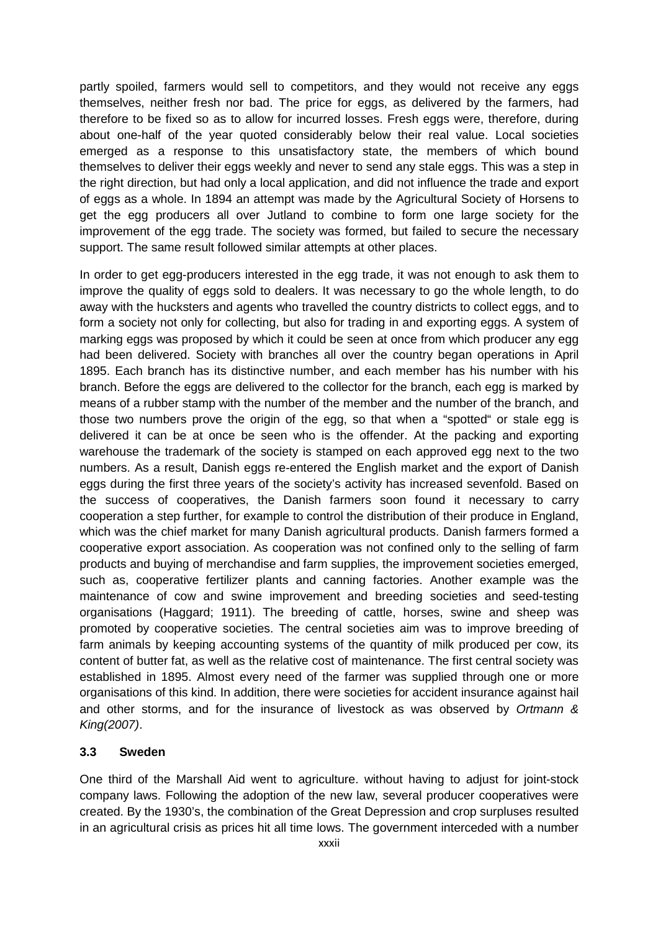partly spoiled, farmers would sell to competitors, and they would not receive any eggs themselves, neither fresh nor bad. The price for eggs, as delivered by the farmers, had therefore to be fixed so as to allow for incurred losses. Fresh eggs were, therefore, during about one-half of the year quoted considerably below their real value. Local societies emerged as a response to this unsatisfactory state, the members of which bound themselves to deliver their eggs weekly and never to send any stale eggs. This was a step in the right direction, but had only a local application, and did not influence the trade and export of eggs as a whole. In 1894 an attempt was made by the Agricultural Society of Horsens to get the egg producers all over Jutland to combine to form one large society for the improvement of the egg trade. The society was formed, but failed to secure the necessary support. The same result followed similar attempts at other places.

In order to get egg-producers interested in the egg trade, it was not enough to ask them to improve the quality of eggs sold to dealers. It was necessary to go the whole length, to do away with the hucksters and agents who travelled the country districts to collect eggs, and to form a society not only for collecting, but also for trading in and exporting eggs. A system of marking eggs was proposed by which it could be seen at once from which producer any egg had been delivered. Society with branches all over the country began operations in April 1895. Each branch has its distinctive number, and each member has his number with his branch. Before the eggs are delivered to the collector for the branch, each egg is marked by means of a rubber stamp with the number of the member and the number of the branch, and those two numbers prove the origin of the egg, so that when a "spotted" or stale egg is delivered it can be at once be seen who is the offender. At the packing and exporting warehouse the trademark of the society is stamped on each approved egg next to the two numbers. As a result, Danish eggs re-entered the English market and the export of Danish eggs during the first three years of the society's activity has increased sevenfold. Based on the success of cooperatives, the Danish farmers soon found it necessary to carry cooperation a step further, for example to control the distribution of their produce in England, which was the chief market for many Danish agricultural products. Danish farmers formed a cooperative export association. As cooperation was not confined only to the selling of farm products and buying of merchandise and farm supplies, the improvement societies emerged, such as, cooperative fertilizer plants and canning factories. Another example was the maintenance of cow and swine improvement and breeding societies and seed-testing organisations (Haggard; 1911). The breeding of cattle, horses, swine and sheep was promoted by cooperative societies. The central societies aim was to improve breeding of farm animals by keeping accounting systems of the quantity of milk produced per cow, its content of butter fat, as well as the relative cost of maintenance. The first central society was established in 1895. Almost every need of the farmer was supplied through one or more organisations of this kind. In addition, there were societies for accident insurance against hail and other storms, and for the insurance of livestock as was observed by Ortmann & King(2007).

#### **3.3 Sweden**

One third of the Marshall Aid went to agriculture. without having to adjust for joint-stock company laws. Following the adoption of the new law, several producer cooperatives were created. By the 1930's, the combination of the Great Depression and crop surpluses resulted in an agricultural crisis as prices hit all time lows. The government interceded with a number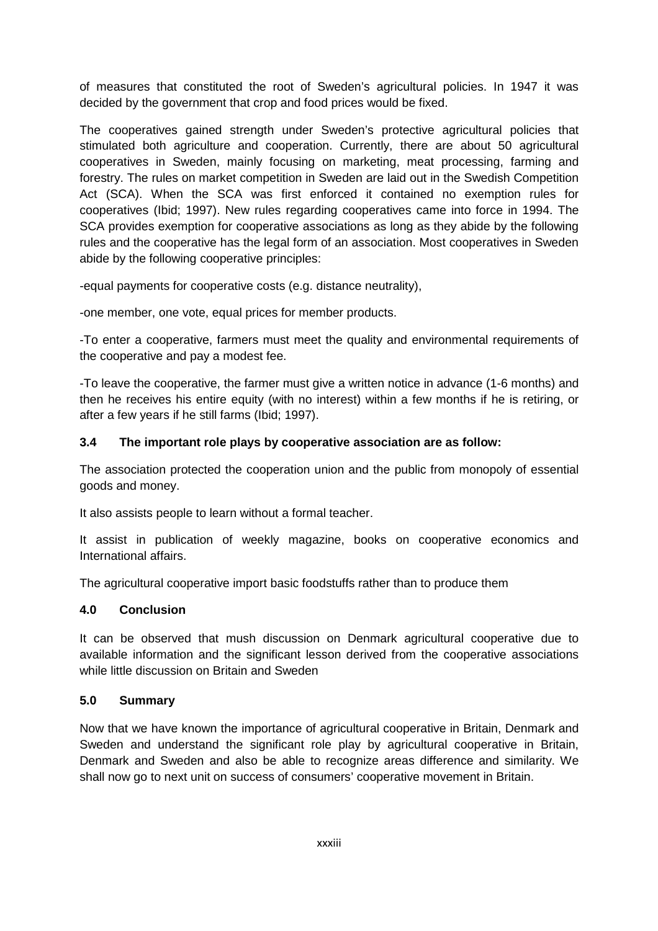of measures that constituted the root of Sweden's agricultural policies. In 1947 it was decided by the government that crop and food prices would be fixed.

The cooperatives gained strength under Sweden's protective agricultural policies that stimulated both agriculture and cooperation. Currently, there are about 50 agricultural cooperatives in Sweden, mainly focusing on marketing, meat processing, farming and forestry. The rules on market competition in Sweden are laid out in the Swedish Competition Act (SCA). When the SCA was first enforced it contained no exemption rules for cooperatives (Ibid; 1997). New rules regarding cooperatives came into force in 1994. The SCA provides exemption for cooperative associations as long as they abide by the following rules and the cooperative has the legal form of an association. Most cooperatives in Sweden abide by the following cooperative principles:

-equal payments for cooperative costs (e.g. distance neutrality),

-one member, one vote, equal prices for member products.

-To enter a cooperative, farmers must meet the quality and environmental requirements of the cooperative and pay a modest fee.

-To leave the cooperative, the farmer must give a written notice in advance (1-6 months) and then he receives his entire equity (with no interest) within a few months if he is retiring, or after a few years if he still farms (Ibid; 1997).

# **3.4 The important role plays by cooperative association are as follow:**

The association protected the cooperation union and the public from monopoly of essential goods and money.

It also assists people to learn without a formal teacher.

It assist in publication of weekly magazine, books on cooperative economics and International affairs.

The agricultural cooperative import basic foodstuffs rather than to produce them

#### **4.0 Conclusion**

It can be observed that mush discussion on Denmark agricultural cooperative due to available information and the significant lesson derived from the cooperative associations while little discussion on Britain and Sweden

#### **5.0 Summary**

Now that we have known the importance of agricultural cooperative in Britain, Denmark and Sweden and understand the significant role play by agricultural cooperative in Britain, Denmark and Sweden and also be able to recognize areas difference and similarity. We shall now go to next unit on success of consumers' cooperative movement in Britain.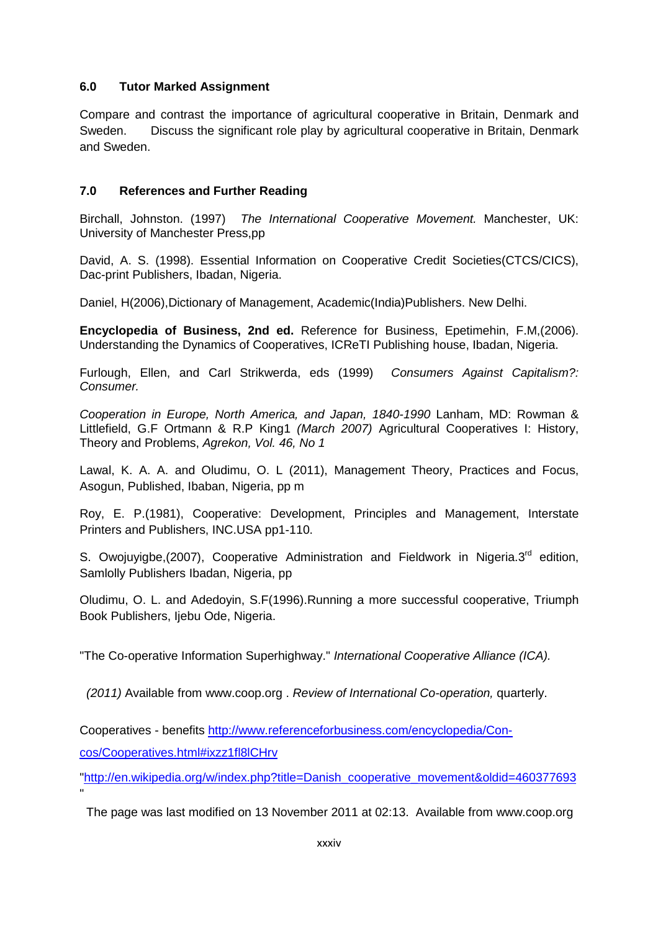# **6.0 Tutor Marked Assignment**

Compare and contrast the importance of agricultural cooperative in Britain, Denmark and Sweden. Discuss the significant role play by agricultural cooperative in Britain, Denmark and Sweden.

# **7.0 References and Further Reading**

Birchall, Johnston. (1997) The International Cooperative Movement. Manchester, UK: University of Manchester Press,pp

David, A. S. (1998). Essential Information on Cooperative Credit Societies(CTCS/CICS), Dac-print Publishers, Ibadan, Nigeria.

Daniel, H(2006),Dictionary of Management, Academic(India)Publishers. New Delhi.

**Encyclopedia of Business, 2nd ed.** Reference for Business, Epetimehin, F.M,(2006). Understanding the Dynamics of Cooperatives, ICReTI Publishing house, Ibadan, Nigeria.

Furlough, Ellen, and Carl Strikwerda, eds (1999) Consumers Against Capitalism?: Consumer.

Cooperation in Europe, North America, and Japan, 1840-1990 Lanham, MD: Rowman & Littlefield, G.F Ortmann & R.P King1 (March 2007) Agricultural Cooperatives I: History, Theory and Problems, Agrekon, Vol. 46, No 1

Lawal, K. A. A. and Oludimu, O. L (2011), Management Theory, Practices and Focus, Asogun, Published, Ibaban, Nigeria, pp m

Roy, E. P.(1981), Cooperative: Development, Principles and Management, Interstate Printers and Publishers, INC.USA pp1-110.

S. Owojuyigbe,(2007), Cooperative Administration and Fieldwork in Nigeria.3<sup>rd</sup> edition. Samlolly Publishers Ibadan, Nigeria, pp

Oludimu, O. L. and Adedoyin, S.F(1996).Running a more successful cooperative, Triumph Book Publishers, Ijebu Ode, Nigeria.

"The Co-operative Information Superhighway." International Cooperative Alliance (ICA).

(2011) Available from www.coop.org . Review of International Co-operation, quarterly.

Cooperatives - benefits http://www.referenceforbusiness.com/encyclopedia/Concos/Cooperatives.html#ixzz1fl8lCHrv

"

"http://en.wikipedia.org/w/index.php?title=Danish\_cooperative\_movement&oldid=460377693

The page was last modified on 13 November 2011 at 02:13. Available from www.coop.org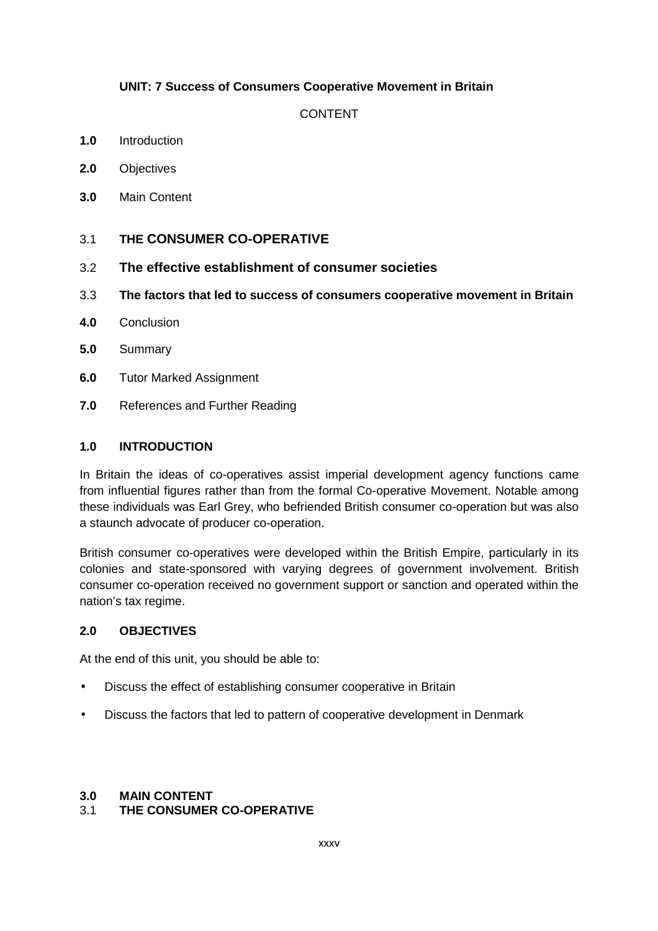# **UNIT: 7 Success of Consumers Cooperative Movement in Britain**

#### **CONTENT**

- **1.0** Introduction
- **2.0** Objectives
- **3.0** Main Content
- 3.1 **THE CONSUMER CO-OPERATIVE**
- 3.2 **The effective establishment of consumer societies**
- 3.3 **The factors that led to success of consumers cooperative movement in Britain**
- **4.0** Conclusion
- **5.0** Summary
- **6.0** Tutor Marked Assignment
- **7.0** References and Further Reading

#### **1.0 INTRODUCTION**

In Britain the ideas of co-operatives assist imperial development agency functions came from influential figures rather than from the formal Co-operative Movement. Notable among these individuals was Earl Grey, who befriended British consumer co-operation but was also a staunch advocate of producer co-operation.

British consumer co-operatives were developed within the British Empire, particularly in its colonies and state-sponsored with varying degrees of government involvement. British consumer co-operation received no government support or sanction and operated within the nation's tax regime.

#### **2.0 OBJECTIVES**

At the end of this unit, you should be able to:

- Discuss the effect of establishing consumer cooperative in Britain
- Discuss the factors that led to pattern of cooperative development in Denmark

#### **3.0 MAIN CONTENT**

3.1 **THE CONSUMER CO-OPERATIVE**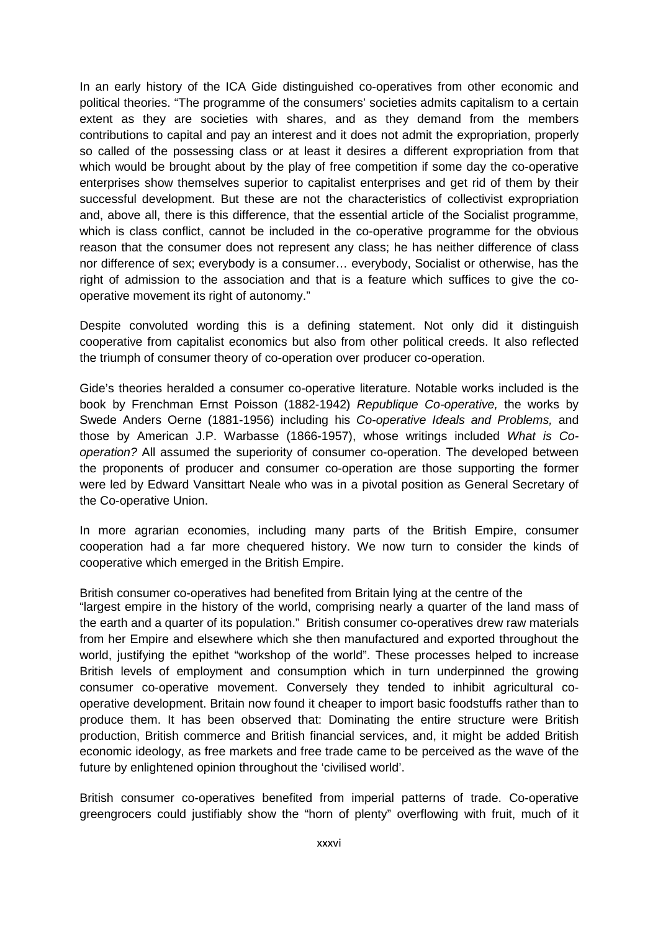In an early history of the ICA Gide distinguished co-operatives from other economic and political theories. "The programme of the consumers' societies admits capitalism to a certain extent as they are societies with shares, and as they demand from the members contributions to capital and pay an interest and it does not admit the expropriation, properly so called of the possessing class or at least it desires a different expropriation from that which would be brought about by the play of free competition if some day the co-operative enterprises show themselves superior to capitalist enterprises and get rid of them by their successful development. But these are not the characteristics of collectivist expropriation and, above all, there is this difference, that the essential article of the Socialist programme, which is class conflict, cannot be included in the co-operative programme for the obvious reason that the consumer does not represent any class; he has neither difference of class nor difference of sex; everybody is a consumer… everybody, Socialist or otherwise, has the right of admission to the association and that is a feature which suffices to give the cooperative movement its right of autonomy."

Despite convoluted wording this is a defining statement. Not only did it distinguish cooperative from capitalist economics but also from other political creeds. It also reflected the triumph of consumer theory of co-operation over producer co-operation.

Gide's theories heralded a consumer co-operative literature. Notable works included is the book by Frenchman Ernst Poisson (1882-1942) Republique Co-operative, the works by Swede Anders Oerne (1881-1956) including his Co-operative Ideals and Problems, and those by American J.P. Warbasse (1866-1957), whose writings included What is Cooperation? All assumed the superiority of consumer co-operation. The developed between the proponents of producer and consumer co-operation are those supporting the former were led by Edward Vansittart Neale who was in a pivotal position as General Secretary of the Co-operative Union.

In more agrarian economies, including many parts of the British Empire, consumer cooperation had a far more chequered history. We now turn to consider the kinds of cooperative which emerged in the British Empire.

British consumer co-operatives had benefited from Britain lying at the centre of the

"largest empire in the history of the world, comprising nearly a quarter of the land mass of the earth and a quarter of its population." British consumer co-operatives drew raw materials from her Empire and elsewhere which she then manufactured and exported throughout the world, justifying the epithet "workshop of the world". These processes helped to increase British levels of employment and consumption which in turn underpinned the growing consumer co-operative movement. Conversely they tended to inhibit agricultural cooperative development. Britain now found it cheaper to import basic foodstuffs rather than to produce them. It has been observed that: Dominating the entire structure were British production, British commerce and British financial services, and, it might be added British economic ideology, as free markets and free trade came to be perceived as the wave of the future by enlightened opinion throughout the 'civilised world'.

British consumer co-operatives benefited from imperial patterns of trade. Co-operative greengrocers could justifiably show the "horn of plenty" overflowing with fruit, much of it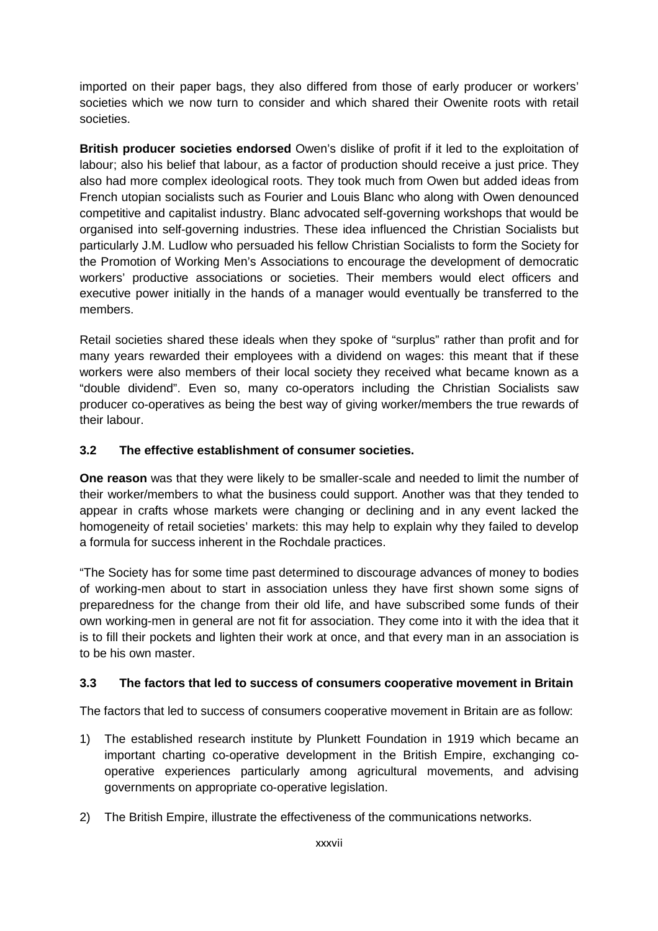imported on their paper bags, they also differed from those of early producer or workers' societies which we now turn to consider and which shared their Owenite roots with retail societies.

**British producer societies endorsed** Owen's dislike of profit if it led to the exploitation of labour; also his belief that labour, as a factor of production should receive a just price. They also had more complex ideological roots. They took much from Owen but added ideas from French utopian socialists such as Fourier and Louis Blanc who along with Owen denounced competitive and capitalist industry. Blanc advocated self-governing workshops that would be organised into self-governing industries. These idea influenced the Christian Socialists but particularly J.M. Ludlow who persuaded his fellow Christian Socialists to form the Society for the Promotion of Working Men's Associations to encourage the development of democratic workers' productive associations or societies. Their members would elect officers and executive power initially in the hands of a manager would eventually be transferred to the members.

Retail societies shared these ideals when they spoke of "surplus" rather than profit and for many years rewarded their employees with a dividend on wages: this meant that if these workers were also members of their local society they received what became known as a "double dividend". Even so, many co-operators including the Christian Socialists saw producer co-operatives as being the best way of giving worker/members the true rewards of their labour.

# **3.2 The effective establishment of consumer societies.**

**One reason** was that they were likely to be smaller-scale and needed to limit the number of their worker/members to what the business could support. Another was that they tended to appear in crafts whose markets were changing or declining and in any event lacked the homogeneity of retail societies' markets: this may help to explain why they failed to develop a formula for success inherent in the Rochdale practices.

"The Society has for some time past determined to discourage advances of money to bodies of working-men about to start in association unless they have first shown some signs of preparedness for the change from their old life, and have subscribed some funds of their own working-men in general are not fit for association. They come into it with the idea that it is to fill their pockets and lighten their work at once, and that every man in an association is to be his own master.

# **3.3 The factors that led to success of consumers cooperative movement in Britain**

The factors that led to success of consumers cooperative movement in Britain are as follow:

- 1) The established research institute by Plunkett Foundation in 1919 which became an important charting co-operative development in the British Empire, exchanging cooperative experiences particularly among agricultural movements, and advising governments on appropriate co-operative legislation.
- 2) The British Empire, illustrate the effectiveness of the communications networks.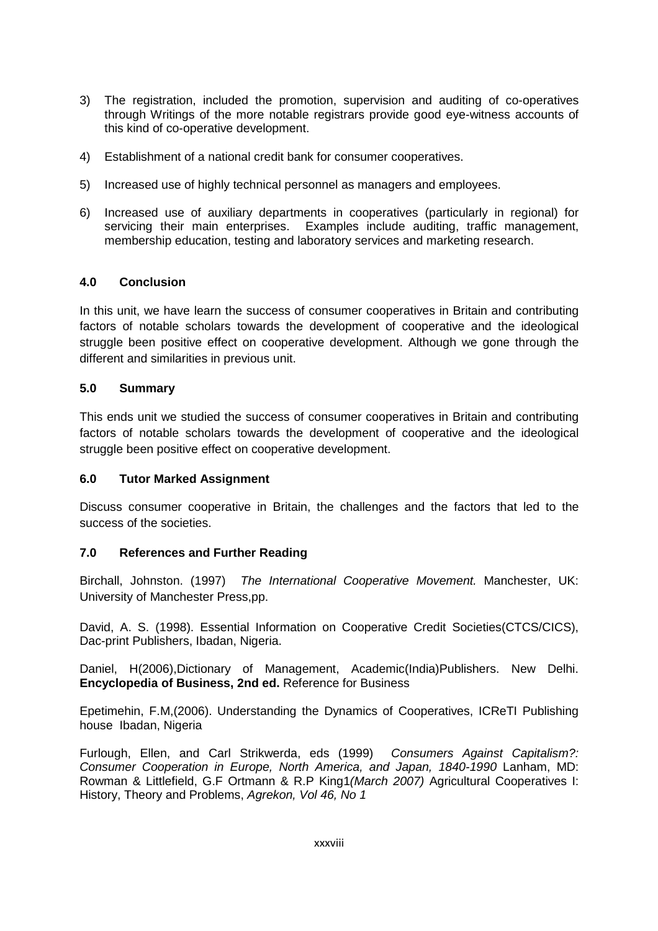- 3) The registration, included the promotion, supervision and auditing of co-operatives through Writings of the more notable registrars provide good eye-witness accounts of this kind of co-operative development.
- 4) Establishment of a national credit bank for consumer cooperatives.
- 5) Increased use of highly technical personnel as managers and employees.
- 6) Increased use of auxiliary departments in cooperatives (particularly in regional) for servicing their main enterprises. Examples include auditing, traffic management, membership education, testing and laboratory services and marketing research.

### **4.0 Conclusion**

In this unit, we have learn the success of consumer cooperatives in Britain and contributing factors of notable scholars towards the development of cooperative and the ideological struggle been positive effect on cooperative development. Although we gone through the different and similarities in previous unit.

#### **5.0 Summary**

This ends unit we studied the success of consumer cooperatives in Britain and contributing factors of notable scholars towards the development of cooperative and the ideological struggle been positive effect on cooperative development.

#### **6.0 Tutor Marked Assignment**

Discuss consumer cooperative in Britain, the challenges and the factors that led to the success of the societies.

#### **7.0 References and Further Reading**

Birchall, Johnston. (1997) The International Cooperative Movement. Manchester, UK: University of Manchester Press,pp.

David, A. S. (1998). Essential Information on Cooperative Credit Societies(CTCS/CICS), Dac-print Publishers, Ibadan, Nigeria.

Daniel, H(2006),Dictionary of Management, Academic(India)Publishers. New Delhi. **Encyclopedia of Business, 2nd ed.** Reference for Business

Epetimehin, F.M,(2006). Understanding the Dynamics of Cooperatives, ICReTI Publishing house Ibadan, Nigeria

Furlough, Ellen, and Carl Strikwerda, eds (1999) Consumers Against Capitalism?: Consumer Cooperation in Europe, North America, and Japan, 1840-1990 Lanham, MD: Rowman & Littlefield, G.F Ortmann & R.P King1(March 2007) Agricultural Cooperatives I: History, Theory and Problems, Agrekon, Vol 46, No 1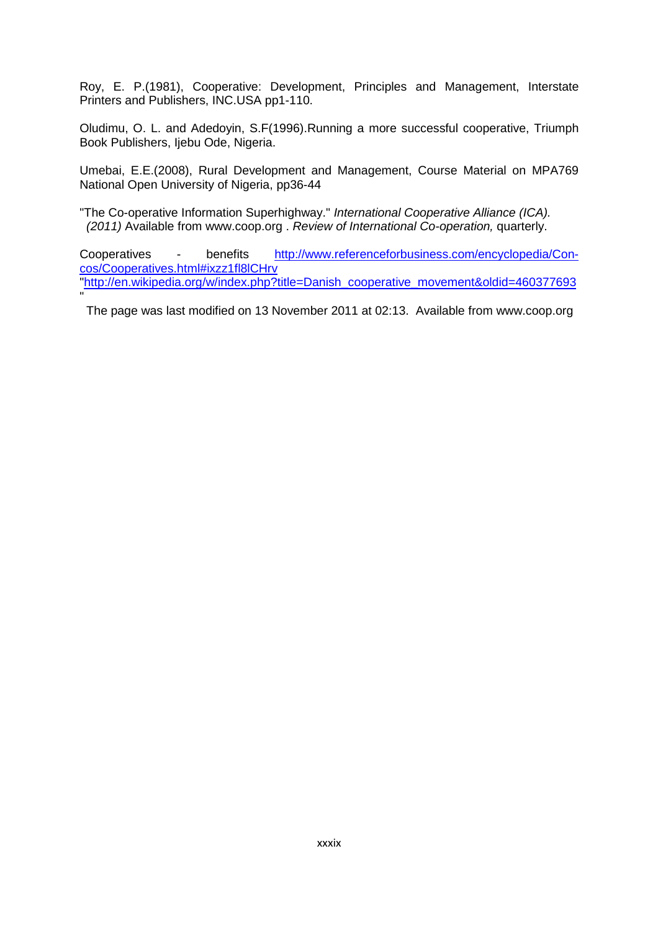Roy, E. P.(1981), Cooperative: Development, Principles and Management, Interstate Printers and Publishers, INC.USA pp1-110.

Oludimu, O. L. and Adedoyin, S.F(1996).Running a more successful cooperative, Triumph Book Publishers, Ijebu Ode, Nigeria.

Umebai, E.E.(2008), Rural Development and Management, Course Material on MPA769 National Open University of Nigeria, pp36-44

"The Co-operative Information Superhighway." International Cooperative Alliance (ICA). (2011) Available from www.coop.org . Review of International Co-operation, quarterly.

"

Cooperatives - benefits http://www.referenceforbusiness.com/encyclopedia/Concos/Cooperatives.html#ixzz1fl8lCHrv "http://en.wikipedia.org/w/index.php?title=Danish\_cooperative\_movement&oldid=460377693

The page was last modified on 13 November 2011 at 02:13. Available from www.coop.org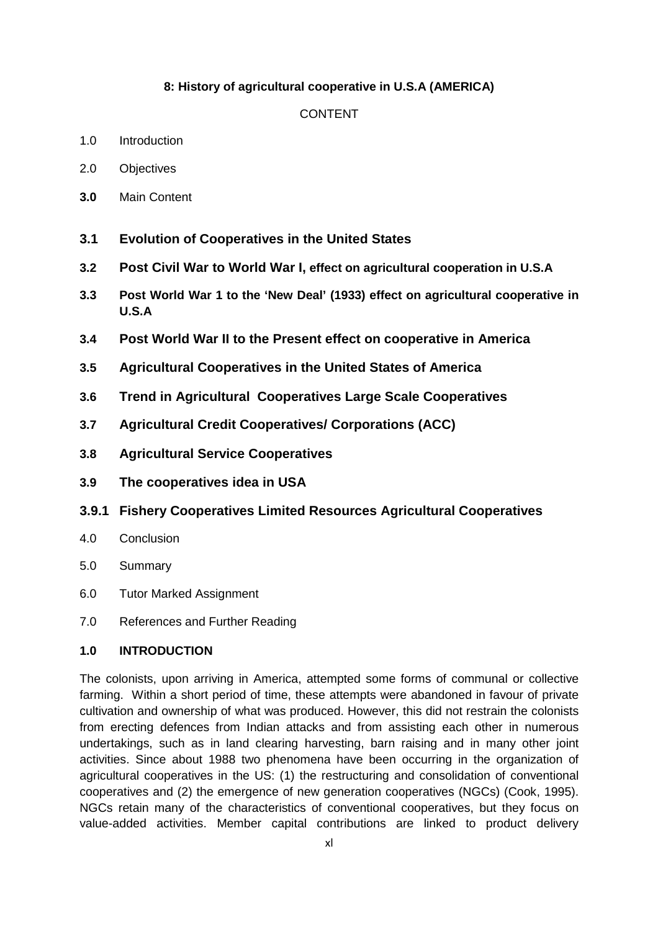### **8: History of agricultural cooperative in U.S.A (AMERICA)**

#### **CONTENT**

- 1.0 Introduction
- 2.0 Objectives
- **3.0** Main Content
- **3.1 Evolution of Cooperatives in the United States**
- **3.2 Post Civil War to World War I, effect on agricultural cooperation in U.S.A**
- **3.3 Post World War 1 to the 'New Deal' (1933) effect on agricultural cooperative in U.S.A**
- **3.4 Post World War II to the Present effect on cooperative in America**
- **3.5 Agricultural Cooperatives in the United States of America**
- **3.6 Trend in Agricultural Cooperatives Large Scale Cooperatives**
- **3.7 Agricultural Credit Cooperatives/ Corporations (ACC)**
- **3.8 Agricultural Service Cooperatives**
- **3.9 The cooperatives idea in USA**
- **3.9.1 Fishery Cooperatives Limited Resources Agricultural Cooperatives**
- 4.0 Conclusion
- 5.0 Summary
- 6.0 Tutor Marked Assignment
- 7.0 References and Further Reading

#### **1.0 INTRODUCTION**

The colonists, upon arriving in America, attempted some forms of communal or collective farming. Within a short period of time, these attempts were abandoned in favour of private cultivation and ownership of what was produced. However, this did not restrain the colonists from erecting defences from Indian attacks and from assisting each other in numerous undertakings, such as in land clearing harvesting, barn raising and in many other joint activities. Since about 1988 two phenomena have been occurring in the organization of agricultural cooperatives in the US: (1) the restructuring and consolidation of conventional cooperatives and (2) the emergence of new generation cooperatives (NGCs) (Cook, 1995). NGCs retain many of the characteristics of conventional cooperatives, but they focus on value-added activities. Member capital contributions are linked to product delivery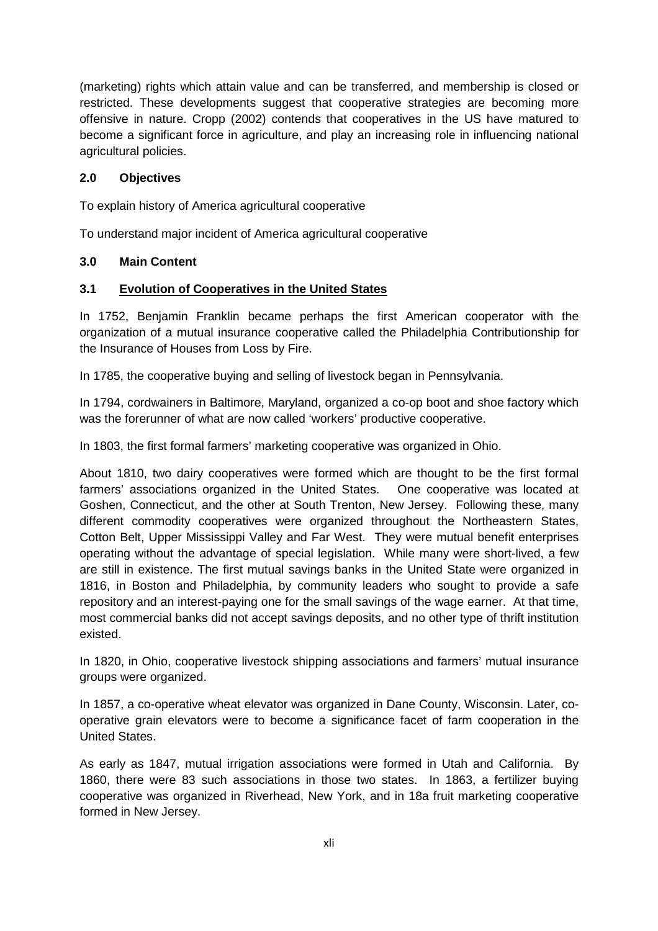(marketing) rights which attain value and can be transferred, and membership is closed or restricted. These developments suggest that cooperative strategies are becoming more offensive in nature. Cropp (2002) contends that cooperatives in the US have matured to become a significant force in agriculture, and play an increasing role in influencing national agricultural policies.

#### **2.0 Objectives**

To explain history of America agricultural cooperative

To understand major incident of America agricultural cooperative

# **3.0 Main Content**

### **3.1 Evolution of Cooperatives in the United States**

In 1752, Benjamin Franklin became perhaps the first American cooperator with the organization of a mutual insurance cooperative called the Philadelphia Contributionship for the Insurance of Houses from Loss by Fire.

In 1785, the cooperative buying and selling of livestock began in Pennsylvania.

In 1794, cordwainers in Baltimore, Maryland, organized a co-op boot and shoe factory which was the forerunner of what are now called 'workers' productive cooperative.

In 1803, the first formal farmers' marketing cooperative was organized in Ohio.

About 1810, two dairy cooperatives were formed which are thought to be the first formal farmers' associations organized in the United States. One cooperative was located at Goshen, Connecticut, and the other at South Trenton, New Jersey. Following these, many different commodity cooperatives were organized throughout the Northeastern States, Cotton Belt, Upper Mississippi Valley and Far West. They were mutual benefit enterprises operating without the advantage of special legislation. While many were short-lived, a few are still in existence. The first mutual savings banks in the United State were organized in 1816, in Boston and Philadelphia, by community leaders who sought to provide a safe repository and an interest-paying one for the small savings of the wage earner. At that time, most commercial banks did not accept savings deposits, and no other type of thrift institution existed.

In 1820, in Ohio, cooperative livestock shipping associations and farmers' mutual insurance groups were organized.

In 1857, a co-operative wheat elevator was organized in Dane County, Wisconsin. Later, cooperative grain elevators were to become a significance facet of farm cooperation in the United States.

As early as 1847, mutual irrigation associations were formed in Utah and California. By 1860, there were 83 such associations in those two states. In 1863, a fertilizer buying cooperative was organized in Riverhead, New York, and in 18a fruit marketing cooperative formed in New Jersey.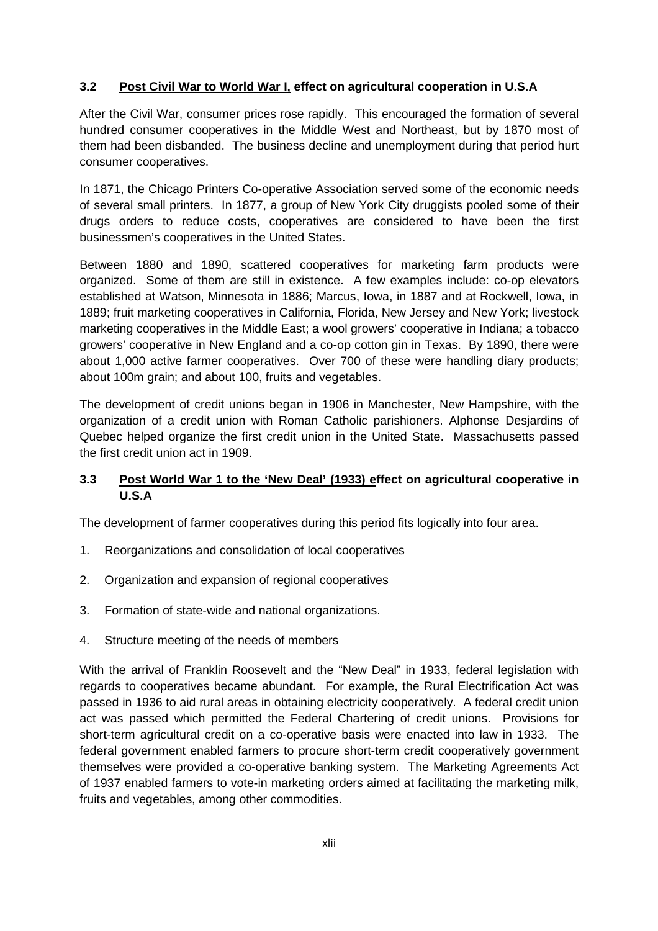# **3.2 Post Civil War to World War I, effect on agricultural cooperation in U.S.A**

After the Civil War, consumer prices rose rapidly. This encouraged the formation of several hundred consumer cooperatives in the Middle West and Northeast, but by 1870 most of them had been disbanded. The business decline and unemployment during that period hurt consumer cooperatives.

In 1871, the Chicago Printers Co-operative Association served some of the economic needs of several small printers. In 1877, a group of New York City druggists pooled some of their drugs orders to reduce costs, cooperatives are considered to have been the first businessmen's cooperatives in the United States.

Between 1880 and 1890, scattered cooperatives for marketing farm products were organized. Some of them are still in existence. A few examples include: co-op elevators established at Watson, Minnesota in 1886; Marcus, Iowa, in 1887 and at Rockwell, Iowa, in 1889; fruit marketing cooperatives in California, Florida, New Jersey and New York; livestock marketing cooperatives in the Middle East; a wool growers' cooperative in Indiana; a tobacco growers' cooperative in New England and a co-op cotton gin in Texas. By 1890, there were about 1,000 active farmer cooperatives. Over 700 of these were handling diary products; about 100m grain; and about 100, fruits and vegetables.

The development of credit unions began in 1906 in Manchester, New Hampshire, with the organization of a credit union with Roman Catholic parishioners. Alphonse Desjardins of Quebec helped organize the first credit union in the United State. Massachusetts passed the first credit union act in 1909.

### **3.3 Post World War 1 to the 'New Deal' (1933) effect on agricultural cooperative in U.S.A**

The development of farmer cooperatives during this period fits logically into four area.

- 1. Reorganizations and consolidation of local cooperatives
- 2. Organization and expansion of regional cooperatives
- 3. Formation of state-wide and national organizations.
- 4. Structure meeting of the needs of members

With the arrival of Franklin Roosevelt and the "New Deal" in 1933, federal legislation with regards to cooperatives became abundant. For example, the Rural Electrification Act was passed in 1936 to aid rural areas in obtaining electricity cooperatively. A federal credit union act was passed which permitted the Federal Chartering of credit unions. Provisions for short-term agricultural credit on a co-operative basis were enacted into law in 1933. The federal government enabled farmers to procure short-term credit cooperatively government themselves were provided a co-operative banking system. The Marketing Agreements Act of 1937 enabled farmers to vote-in marketing orders aimed at facilitating the marketing milk, fruits and vegetables, among other commodities.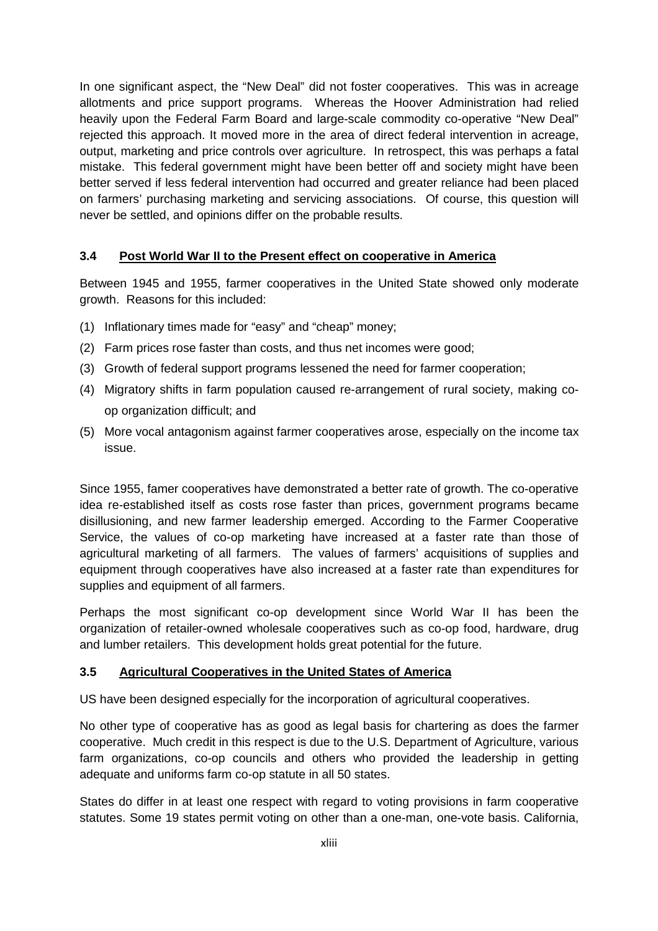In one significant aspect, the "New Deal" did not foster cooperatives. This was in acreage allotments and price support programs. Whereas the Hoover Administration had relied heavily upon the Federal Farm Board and large-scale commodity co-operative "New Deal" rejected this approach. It moved more in the area of direct federal intervention in acreage, output, marketing and price controls over agriculture. In retrospect, this was perhaps a fatal mistake. This federal government might have been better off and society might have been better served if less federal intervention had occurred and greater reliance had been placed on farmers' purchasing marketing and servicing associations. Of course, this question will never be settled, and opinions differ on the probable results.

### **3.4 Post World War II to the Present effect on cooperative in America**

Between 1945 and 1955, farmer cooperatives in the United State showed only moderate growth. Reasons for this included:

- (1) Inflationary times made for "easy" and "cheap" money;
- (2) Farm prices rose faster than costs, and thus net incomes were good;
- (3) Growth of federal support programs lessened the need for farmer cooperation;
- (4) Migratory shifts in farm population caused re-arrangement of rural society, making coop organization difficult; and
- (5) More vocal antagonism against farmer cooperatives arose, especially on the income tax issue.

Since 1955, famer cooperatives have demonstrated a better rate of growth. The co-operative idea re-established itself as costs rose faster than prices, government programs became disillusioning, and new farmer leadership emerged. According to the Farmer Cooperative Service, the values of co-op marketing have increased at a faster rate than those of agricultural marketing of all farmers. The values of farmers' acquisitions of supplies and equipment through cooperatives have also increased at a faster rate than expenditures for supplies and equipment of all farmers.

Perhaps the most significant co-op development since World War II has been the organization of retailer-owned wholesale cooperatives such as co-op food, hardware, drug and lumber retailers. This development holds great potential for the future.

#### **3.5 Agricultural Cooperatives in the United States of America**

US have been designed especially for the incorporation of agricultural cooperatives.

No other type of cooperative has as good as legal basis for chartering as does the farmer cooperative. Much credit in this respect is due to the U.S. Department of Agriculture, various farm organizations, co-op councils and others who provided the leadership in getting adequate and uniforms farm co-op statute in all 50 states.

States do differ in at least one respect with regard to voting provisions in farm cooperative statutes. Some 19 states permit voting on other than a one-man, one-vote basis. California,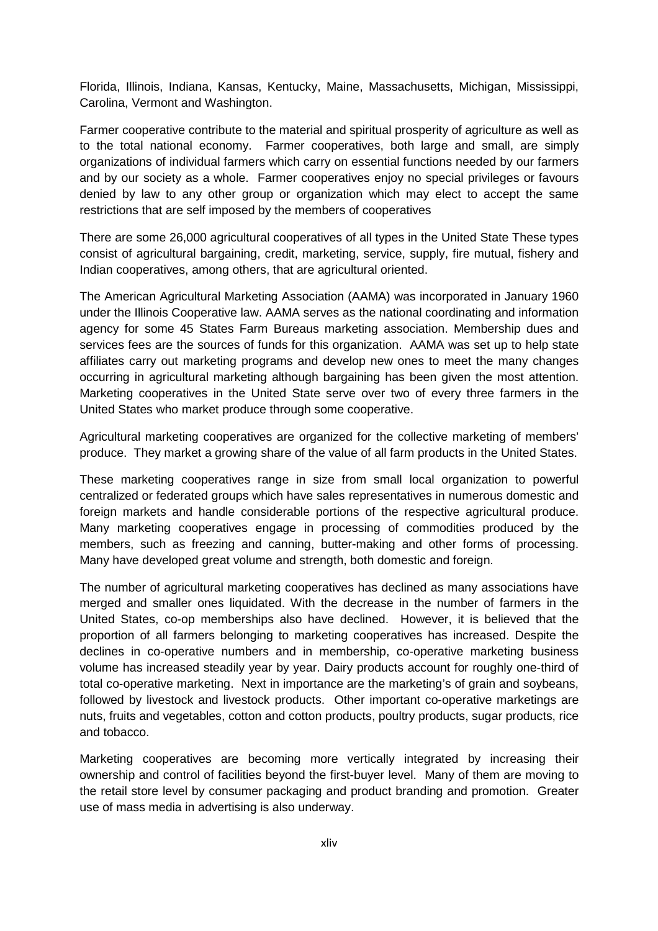Florida, Illinois, Indiana, Kansas, Kentucky, Maine, Massachusetts, Michigan, Mississippi, Carolina, Vermont and Washington.

Farmer cooperative contribute to the material and spiritual prosperity of agriculture as well as to the total national economy. Farmer cooperatives, both large and small, are simply organizations of individual farmers which carry on essential functions needed by our farmers and by our society as a whole. Farmer cooperatives enjoy no special privileges or favours denied by law to any other group or organization which may elect to accept the same restrictions that are self imposed by the members of cooperatives

There are some 26,000 agricultural cooperatives of all types in the United State These types consist of agricultural bargaining, credit, marketing, service, supply, fire mutual, fishery and Indian cooperatives, among others, that are agricultural oriented.

The American Agricultural Marketing Association (AAMA) was incorporated in January 1960 under the Illinois Cooperative law. AAMA serves as the national coordinating and information agency for some 45 States Farm Bureaus marketing association. Membership dues and services fees are the sources of funds for this organization. AAMA was set up to help state affiliates carry out marketing programs and develop new ones to meet the many changes occurring in agricultural marketing although bargaining has been given the most attention. Marketing cooperatives in the United State serve over two of every three farmers in the United States who market produce through some cooperative.

Agricultural marketing cooperatives are organized for the collective marketing of members' produce. They market a growing share of the value of all farm products in the United States.

These marketing cooperatives range in size from small local organization to powerful centralized or federated groups which have sales representatives in numerous domestic and foreign markets and handle considerable portions of the respective agricultural produce. Many marketing cooperatives engage in processing of commodities produced by the members, such as freezing and canning, butter-making and other forms of processing. Many have developed great volume and strength, both domestic and foreign.

The number of agricultural marketing cooperatives has declined as many associations have merged and smaller ones liquidated. With the decrease in the number of farmers in the United States, co-op memberships also have declined. However, it is believed that the proportion of all farmers belonging to marketing cooperatives has increased. Despite the declines in co-operative numbers and in membership, co-operative marketing business volume has increased steadily year by year. Dairy products account for roughly one-third of total co-operative marketing. Next in importance are the marketing's of grain and soybeans, followed by livestock and livestock products. Other important co-operative marketings are nuts, fruits and vegetables, cotton and cotton products, poultry products, sugar products, rice and tobacco.

Marketing cooperatives are becoming more vertically integrated by increasing their ownership and control of facilities beyond the first-buyer level. Many of them are moving to the retail store level by consumer packaging and product branding and promotion. Greater use of mass media in advertising is also underway.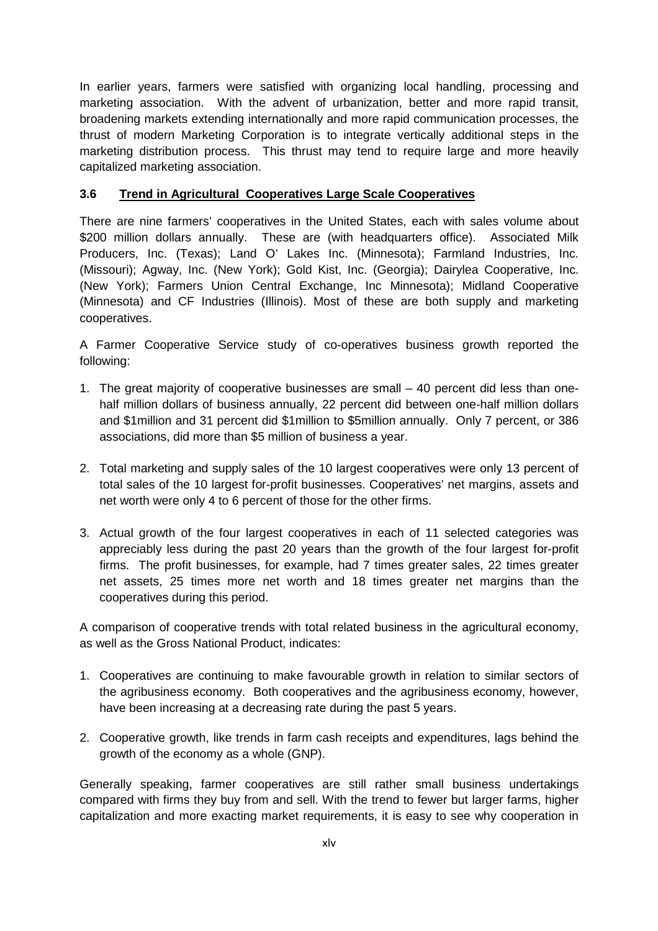In earlier years, farmers were satisfied with organizing local handling, processing and marketing association. With the advent of urbanization, better and more rapid transit, broadening markets extending internationally and more rapid communication processes, the thrust of modern Marketing Corporation is to integrate vertically additional steps in the marketing distribution process. This thrust may tend to require large and more heavily capitalized marketing association.

### **3.6 Trend in Agricultural Cooperatives Large Scale Cooperatives**

There are nine farmers' cooperatives in the United States, each with sales volume about \$200 million dollars annually. These are (with headquarters office). Associated Milk Producers, Inc. (Texas); Land O' Lakes Inc. (Minnesota); Farmland Industries, Inc. (Missouri); Agway, Inc. (New York); Gold Kist, Inc. (Georgia); Dairylea Cooperative, Inc. (New York); Farmers Union Central Exchange, Inc Minnesota); Midland Cooperative (Minnesota) and CF Industries (Illinois). Most of these are both supply and marketing cooperatives.

A Farmer Cooperative Service study of co-operatives business growth reported the following:

- 1. The great majority of cooperative businesses are small 40 percent did less than onehalf million dollars of business annually, 22 percent did between one-half million dollars and \$1million and 31 percent did \$1million to \$5million annually. Only 7 percent, or 386 associations, did more than \$5 million of business a year.
- 2. Total marketing and supply sales of the 10 largest cooperatives were only 13 percent of total sales of the 10 largest for-profit businesses. Cooperatives' net margins, assets and net worth were only 4 to 6 percent of those for the other firms.
- 3. Actual growth of the four largest cooperatives in each of 11 selected categories was appreciably less during the past 20 years than the growth of the four largest for-profit firms. The profit businesses, for example, had 7 times greater sales, 22 times greater net assets, 25 times more net worth and 18 times greater net margins than the cooperatives during this period.

A comparison of cooperative trends with total related business in the agricultural economy, as well as the Gross National Product, indicates:

- 1. Cooperatives are continuing to make favourable growth in relation to similar sectors of the agribusiness economy. Both cooperatives and the agribusiness economy, however, have been increasing at a decreasing rate during the past 5 years.
- 2. Cooperative growth, like trends in farm cash receipts and expenditures, lags behind the growth of the economy as a whole (GNP).

Generally speaking, farmer cooperatives are still rather small business undertakings compared with firms they buy from and sell. With the trend to fewer but larger farms, higher capitalization and more exacting market requirements, it is easy to see why cooperation in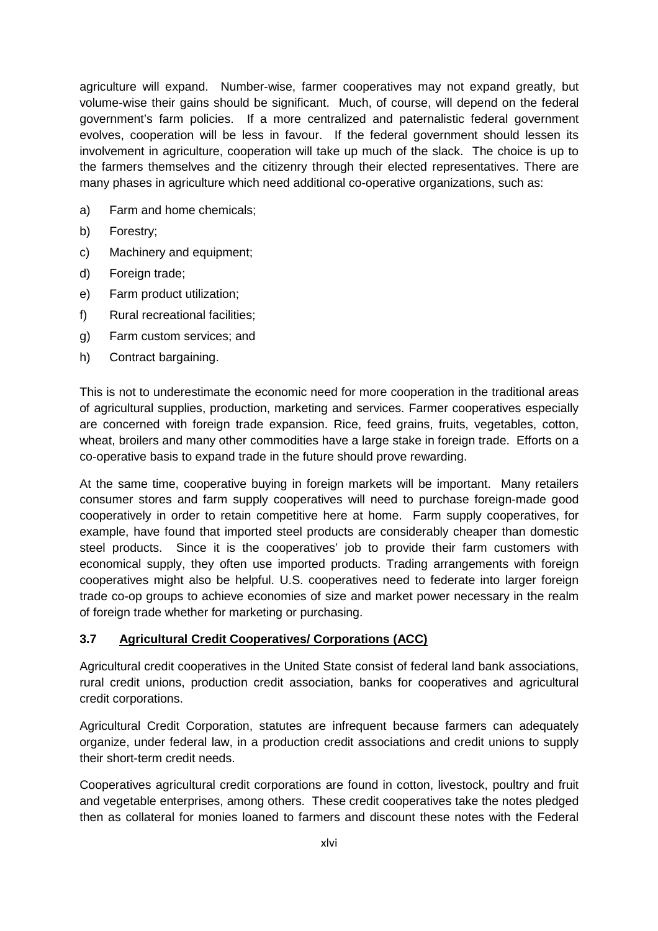agriculture will expand. Number-wise, farmer cooperatives may not expand greatly, but volume-wise their gains should be significant. Much, of course, will depend on the federal government's farm policies. If a more centralized and paternalistic federal government evolves, cooperation will be less in favour. If the federal government should lessen its involvement in agriculture, cooperation will take up much of the slack. The choice is up to the farmers themselves and the citizenry through their elected representatives. There are many phases in agriculture which need additional co-operative organizations, such as:

- a) Farm and home chemicals;
- b) Forestry;
- c) Machinery and equipment;
- d) Foreign trade;
- e) Farm product utilization;
- f) Rural recreational facilities;
- g) Farm custom services; and
- h) Contract bargaining.

This is not to underestimate the economic need for more cooperation in the traditional areas of agricultural supplies, production, marketing and services. Farmer cooperatives especially are concerned with foreign trade expansion. Rice, feed grains, fruits, vegetables, cotton, wheat, broilers and many other commodities have a large stake in foreign trade. Efforts on a co-operative basis to expand trade in the future should prove rewarding.

At the same time, cooperative buying in foreign markets will be important. Many retailers consumer stores and farm supply cooperatives will need to purchase foreign-made good cooperatively in order to retain competitive here at home. Farm supply cooperatives, for example, have found that imported steel products are considerably cheaper than domestic steel products. Since it is the cooperatives' job to provide their farm customers with economical supply, they often use imported products. Trading arrangements with foreign cooperatives might also be helpful. U.S. cooperatives need to federate into larger foreign trade co-op groups to achieve economies of size and market power necessary in the realm of foreign trade whether for marketing or purchasing.

# **3.7 Agricultural Credit Cooperatives/ Corporations (ACC)**

Agricultural credit cooperatives in the United State consist of federal land bank associations, rural credit unions, production credit association, banks for cooperatives and agricultural credit corporations.

Agricultural Credit Corporation, statutes are infrequent because farmers can adequately organize, under federal law, in a production credit associations and credit unions to supply their short-term credit needs.

Cooperatives agricultural credit corporations are found in cotton, livestock, poultry and fruit and vegetable enterprises, among others. These credit cooperatives take the notes pledged then as collateral for monies loaned to farmers and discount these notes with the Federal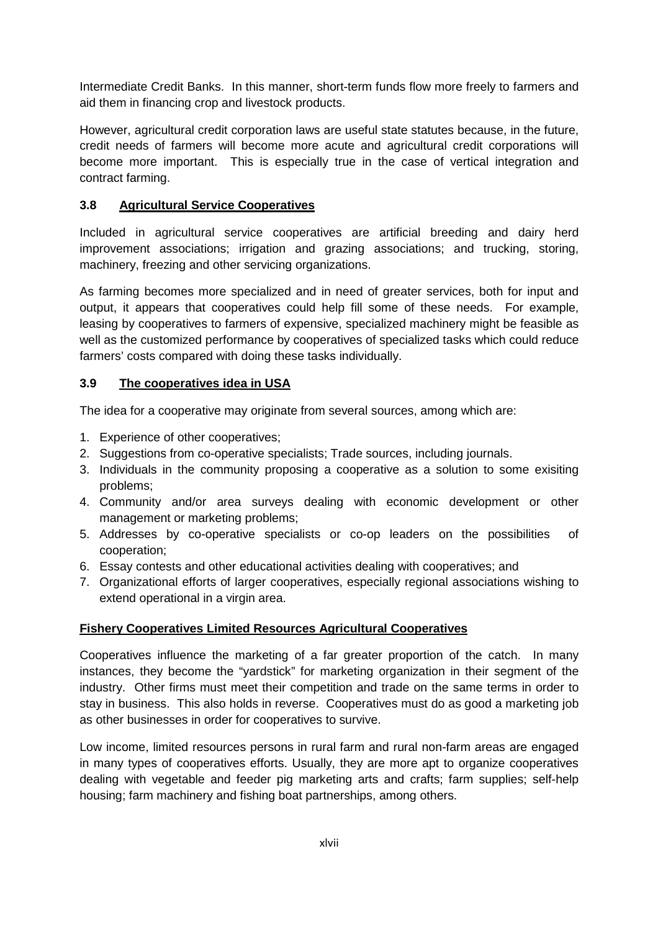Intermediate Credit Banks. In this manner, short-term funds flow more freely to farmers and aid them in financing crop and livestock products.

However, agricultural credit corporation laws are useful state statutes because, in the future, credit needs of farmers will become more acute and agricultural credit corporations will become more important. This is especially true in the case of vertical integration and contract farming.

## **3.8 Agricultural Service Cooperatives**

Included in agricultural service cooperatives are artificial breeding and dairy herd improvement associations; irrigation and grazing associations; and trucking, storing, machinery, freezing and other servicing organizations.

As farming becomes more specialized and in need of greater services, both for input and output, it appears that cooperatives could help fill some of these needs. For example, leasing by cooperatives to farmers of expensive, specialized machinery might be feasible as well as the customized performance by cooperatives of specialized tasks which could reduce farmers' costs compared with doing these tasks individually.

#### **3.9 The cooperatives idea in USA**

The idea for a cooperative may originate from several sources, among which are:

- 1. Experience of other cooperatives;
- 2. Suggestions from co-operative specialists; Trade sources, including journals.
- 3. Individuals in the community proposing a cooperative as a solution to some exisiting problems;
- 4. Community and/or area surveys dealing with economic development or other management or marketing problems;
- 5. Addresses by co-operative specialists or co-op leaders on the possibilities of cooperation;
- 6. Essay contests and other educational activities dealing with cooperatives; and
- 7. Organizational efforts of larger cooperatives, especially regional associations wishing to extend operational in a virgin area.

#### **Fishery Cooperatives Limited Resources Agricultural Cooperatives**

Cooperatives influence the marketing of a far greater proportion of the catch. In many instances, they become the "yardstick" for marketing organization in their segment of the industry. Other firms must meet their competition and trade on the same terms in order to stay in business. This also holds in reverse. Cooperatives must do as good a marketing job as other businesses in order for cooperatives to survive.

Low income, limited resources persons in rural farm and rural non-farm areas are engaged in many types of cooperatives efforts. Usually, they are more apt to organize cooperatives dealing with vegetable and feeder pig marketing arts and crafts; farm supplies; self-help housing; farm machinery and fishing boat partnerships, among others.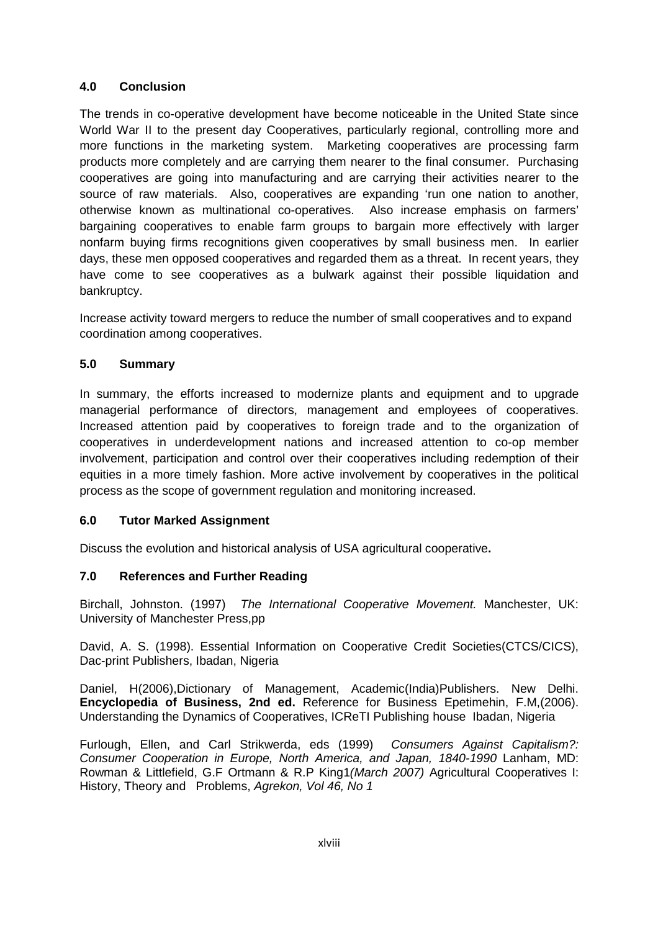# **4.0 Conclusion**

The trends in co-operative development have become noticeable in the United State since World War II to the present day Cooperatives, particularly regional, controlling more and more functions in the marketing system. Marketing cooperatives are processing farm products more completely and are carrying them nearer to the final consumer. Purchasing cooperatives are going into manufacturing and are carrying their activities nearer to the source of raw materials. Also, cooperatives are expanding 'run one nation to another, otherwise known as multinational co-operatives. Also increase emphasis on farmers' bargaining cooperatives to enable farm groups to bargain more effectively with larger nonfarm buying firms recognitions given cooperatives by small business men. In earlier days, these men opposed cooperatives and regarded them as a threat. In recent years, they have come to see cooperatives as a bulwark against their possible liquidation and bankruptcy.

Increase activity toward mergers to reduce the number of small cooperatives and to expand coordination among cooperatives.

### **5.0 Summary**

In summary, the efforts increased to modernize plants and equipment and to upgrade managerial performance of directors, management and employees of cooperatives. Increased attention paid by cooperatives to foreign trade and to the organization of cooperatives in underdevelopment nations and increased attention to co-op member involvement, participation and control over their cooperatives including redemption of their equities in a more timely fashion. More active involvement by cooperatives in the political process as the scope of government regulation and monitoring increased.

#### **6.0 Tutor Marked Assignment**

Discuss the evolution and historical analysis of USA agricultural cooperative**.** 

#### **7.0 References and Further Reading**

Birchall, Johnston. (1997) The International Cooperative Movement. Manchester, UK: University of Manchester Press,pp

David, A. S. (1998). Essential Information on Cooperative Credit Societies(CTCS/CICS), Dac-print Publishers, Ibadan, Nigeria

Daniel, H(2006),Dictionary of Management, Academic(India)Publishers. New Delhi. **Encyclopedia of Business, 2nd ed.** Reference for Business Epetimehin, F.M,(2006). Understanding the Dynamics of Cooperatives, ICReTI Publishing house Ibadan, Nigeria

Furlough, Ellen, and Carl Strikwerda, eds (1999) Consumers Against Capitalism?: Consumer Cooperation in Europe, North America, and Japan, 1840-1990 Lanham, MD: Rowman & Littlefield, G.F Ortmann & R.P King1(March 2007) Agricultural Cooperatives I: History, Theory and Problems, Agrekon, Vol 46, No 1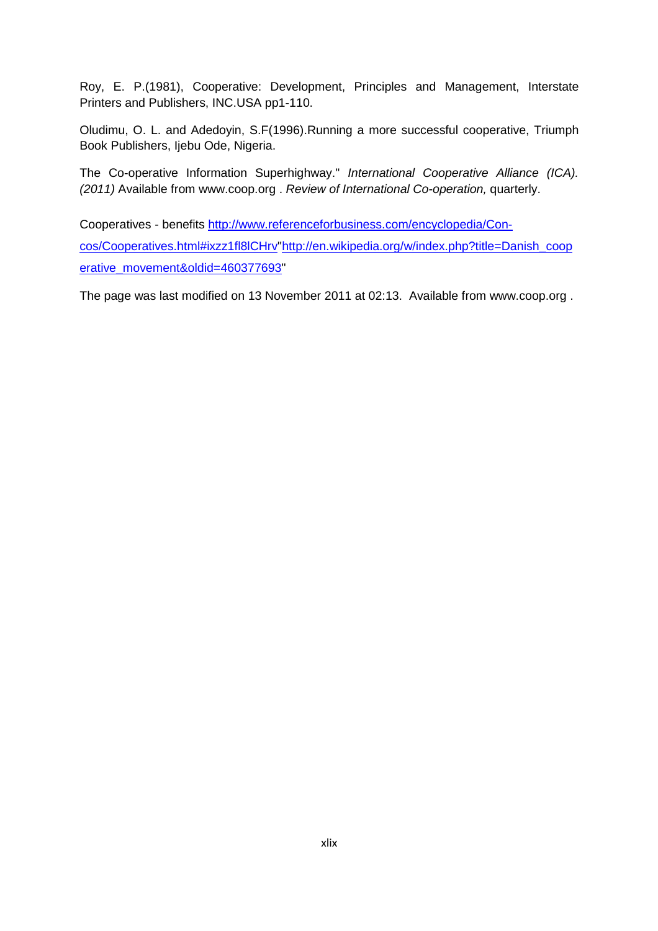Roy, E. P.(1981), Cooperative: Development, Principles and Management, Interstate Printers and Publishers, INC.USA pp1-110.

Oludimu, O. L. and Adedoyin, S.F(1996).Running a more successful cooperative, Triumph Book Publishers, Ijebu Ode, Nigeria.

The Co-operative Information Superhighway." International Cooperative Alliance (ICA). (2011) Available from www.coop.org . Review of International Co-operation, quarterly.

Cooperatives - benefits http://www.referenceforbusiness.com/encyclopedia/Concos/Cooperatives.html#ixzz1fl8lCHrv"http://en.wikipedia.org/w/index.php?title=Danish\_coop erative\_movement&oldid=460377693"

The page was last modified on 13 November 2011 at 02:13. Available from www.coop.org .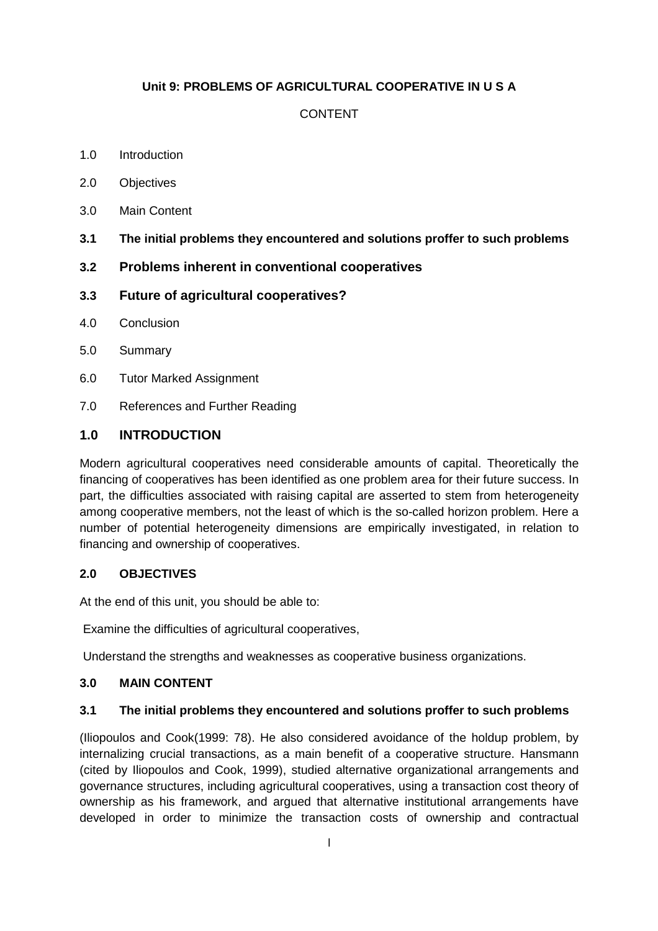# **Unit 9: PROBLEMS OF AGRICULTURAL COOPERATIVE IN U S A**

### **CONTENT**

- 1.0 Introduction
- 2.0 Objectives
- 3.0 Main Content
- **3.1 The initial problems they encountered and solutions proffer to such problems**
- **3.2 Problems inherent in conventional cooperatives**
- **3.3 Future of agricultural cooperatives?**
- 4.0 Conclusion
- 5.0 Summary
- 6.0 Tutor Marked Assignment
- 7.0 References and Further Reading

# **1.0 INTRODUCTION**

Modern agricultural cooperatives need considerable amounts of capital. Theoretically the financing of cooperatives has been identified as one problem area for their future success. In part, the difficulties associated with raising capital are asserted to stem from heterogeneity among cooperative members, not the least of which is the so-called horizon problem. Here a number of potential heterogeneity dimensions are empirically investigated, in relation to financing and ownership of cooperatives.

#### **2.0 OBJECTIVES**

At the end of this unit, you should be able to:

Examine the difficulties of agricultural cooperatives,

Understand the strengths and weaknesses as cooperative business organizations.

### **3.0 MAIN CONTENT**

#### **3.1 The initial problems they encountered and solutions proffer to such problems**

(Iliopoulos and Cook(1999: 78). He also considered avoidance of the holdup problem, by internalizing crucial transactions, as a main benefit of a cooperative structure. Hansmann (cited by Iliopoulos and Cook, 1999), studied alternative organizational arrangements and governance structures, including agricultural cooperatives, using a transaction cost theory of ownership as his framework, and argued that alternative institutional arrangements have developed in order to minimize the transaction costs of ownership and contractual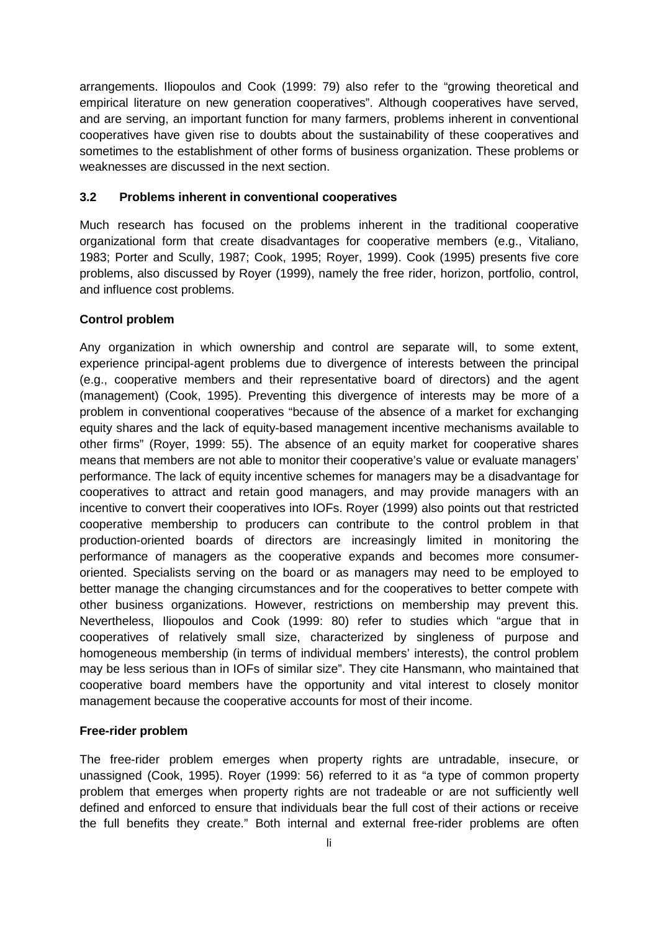arrangements. Iliopoulos and Cook (1999: 79) also refer to the "growing theoretical and empirical literature on new generation cooperatives". Although cooperatives have served, and are serving, an important function for many farmers, problems inherent in conventional cooperatives have given rise to doubts about the sustainability of these cooperatives and sometimes to the establishment of other forms of business organization. These problems or weaknesses are discussed in the next section.

#### **3.2 Problems inherent in conventional cooperatives**

Much research has focused on the problems inherent in the traditional cooperative organizational form that create disadvantages for cooperative members (e.g., Vitaliano, 1983; Porter and Scully, 1987; Cook, 1995; Royer, 1999). Cook (1995) presents five core problems, also discussed by Royer (1999), namely the free rider, horizon, portfolio, control, and influence cost problems.

#### **Control problem**

Any organization in which ownership and control are separate will, to some extent, experience principal-agent problems due to divergence of interests between the principal (e.g., cooperative members and their representative board of directors) and the agent (management) (Cook, 1995). Preventing this divergence of interests may be more of a problem in conventional cooperatives "because of the absence of a market for exchanging equity shares and the lack of equity-based management incentive mechanisms available to other firms" (Royer, 1999: 55). The absence of an equity market for cooperative shares means that members are not able to monitor their cooperative's value or evaluate managers' performance. The lack of equity incentive schemes for managers may be a disadvantage for cooperatives to attract and retain good managers, and may provide managers with an incentive to convert their cooperatives into IOFs. Royer (1999) also points out that restricted cooperative membership to producers can contribute to the control problem in that production-oriented boards of directors are increasingly limited in monitoring the performance of managers as the cooperative expands and becomes more consumeroriented. Specialists serving on the board or as managers may need to be employed to better manage the changing circumstances and for the cooperatives to better compete with other business organizations. However, restrictions on membership may prevent this. Nevertheless, Iliopoulos and Cook (1999: 80) refer to studies which "argue that in cooperatives of relatively small size, characterized by singleness of purpose and homogeneous membership (in terms of individual members' interests), the control problem may be less serious than in IOFs of similar size". They cite Hansmann, who maintained that cooperative board members have the opportunity and vital interest to closely monitor management because the cooperative accounts for most of their income.

#### **Free-rider problem**

The free-rider problem emerges when property rights are untradable, insecure, or unassigned (Cook, 1995). Royer (1999: 56) referred to it as "a type of common property problem that emerges when property rights are not tradeable or are not sufficiently well defined and enforced to ensure that individuals bear the full cost of their actions or receive the full benefits they create." Both internal and external free-rider problems are often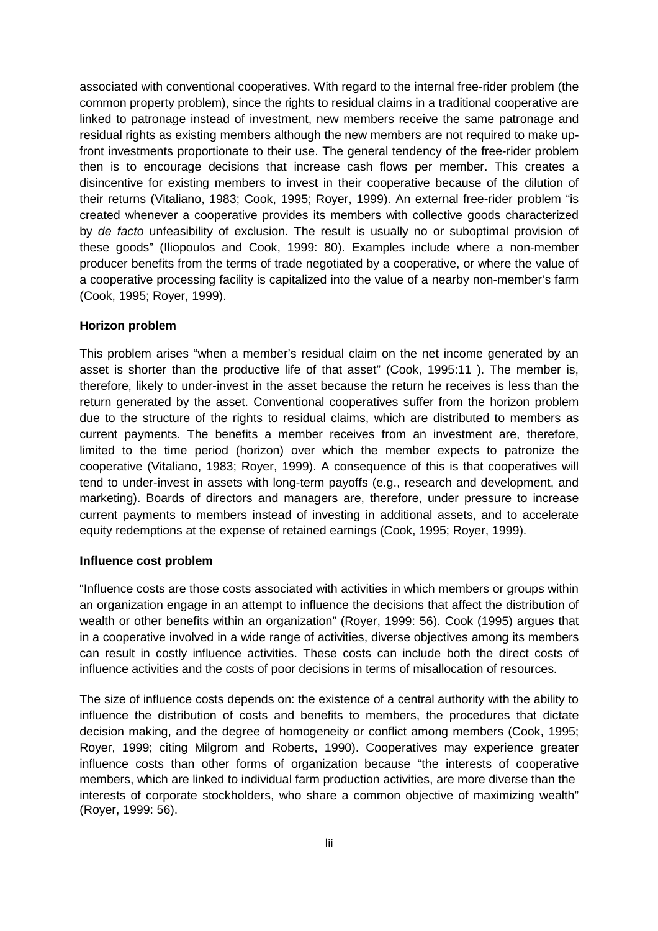associated with conventional cooperatives. With regard to the internal free-rider problem (the common property problem), since the rights to residual claims in a traditional cooperative are linked to patronage instead of investment, new members receive the same patronage and residual rights as existing members although the new members are not required to make upfront investments proportionate to their use. The general tendency of the free-rider problem then is to encourage decisions that increase cash flows per member. This creates a disincentive for existing members to invest in their cooperative because of the dilution of their returns (Vitaliano, 1983; Cook, 1995; Royer, 1999). An external free-rider problem "is created whenever a cooperative provides its members with collective goods characterized by de facto unfeasibility of exclusion. The result is usually no or suboptimal provision of these goods" (Iliopoulos and Cook, 1999: 80). Examples include where a non-member producer benefits from the terms of trade negotiated by a cooperative, or where the value of a cooperative processing facility is capitalized into the value of a nearby non-member's farm (Cook, 1995; Royer, 1999).

#### **Horizon problem**

This problem arises "when a member's residual claim on the net income generated by an asset is shorter than the productive life of that asset" (Cook, 1995:11 ). The member is, therefore, likely to under-invest in the asset because the return he receives is less than the return generated by the asset. Conventional cooperatives suffer from the horizon problem due to the structure of the rights to residual claims, which are distributed to members as current payments. The benefits a member receives from an investment are, therefore, limited to the time period (horizon) over which the member expects to patronize the cooperative (Vitaliano, 1983; Royer, 1999). A consequence of this is that cooperatives will tend to under-invest in assets with long-term payoffs (e.g., research and development, and marketing). Boards of directors and managers are, therefore, under pressure to increase current payments to members instead of investing in additional assets, and to accelerate equity redemptions at the expense of retained earnings (Cook, 1995; Royer, 1999).

#### **Influence cost problem**

"Influence costs are those costs associated with activities in which members or groups within an organization engage in an attempt to influence the decisions that affect the distribution of wealth or other benefits within an organization" (Royer, 1999: 56). Cook (1995) argues that in a cooperative involved in a wide range of activities, diverse objectives among its members can result in costly influence activities. These costs can include both the direct costs of influence activities and the costs of poor decisions in terms of misallocation of resources.

The size of influence costs depends on: the existence of a central authority with the ability to influence the distribution of costs and benefits to members, the procedures that dictate decision making, and the degree of homogeneity or conflict among members (Cook, 1995; Royer, 1999; citing Milgrom and Roberts, 1990). Cooperatives may experience greater influence costs than other forms of organization because "the interests of cooperative members, which are linked to individual farm production activities, are more diverse than the interests of corporate stockholders, who share a common objective of maximizing wealth" (Royer, 1999: 56).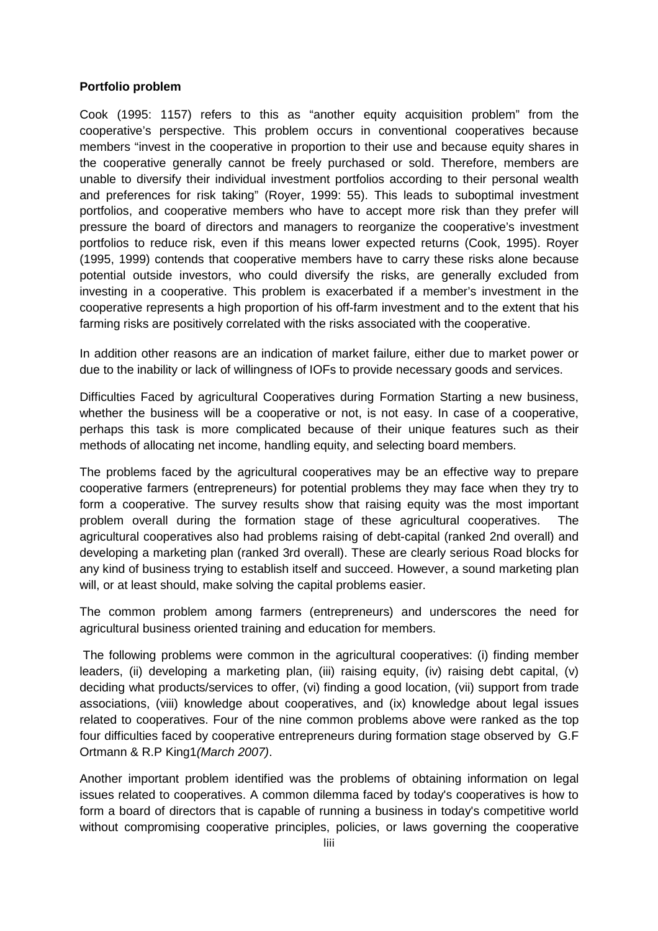#### **Portfolio problem**

Cook (1995: 1157) refers to this as "another equity acquisition problem" from the cooperative's perspective. This problem occurs in conventional cooperatives because members "invest in the cooperative in proportion to their use and because equity shares in the cooperative generally cannot be freely purchased or sold. Therefore, members are unable to diversify their individual investment portfolios according to their personal wealth and preferences for risk taking" (Royer, 1999: 55). This leads to suboptimal investment portfolios, and cooperative members who have to accept more risk than they prefer will pressure the board of directors and managers to reorganize the cooperative's investment portfolios to reduce risk, even if this means lower expected returns (Cook, 1995). Royer (1995, 1999) contends that cooperative members have to carry these risks alone because potential outside investors, who could diversify the risks, are generally excluded from investing in a cooperative. This problem is exacerbated if a member's investment in the cooperative represents a high proportion of his off-farm investment and to the extent that his farming risks are positively correlated with the risks associated with the cooperative.

In addition other reasons are an indication of market failure, either due to market power or due to the inability or lack of willingness of IOFs to provide necessary goods and services.

Difficulties Faced by agricultural Cooperatives during Formation Starting a new business, whether the business will be a cooperative or not, is not easy. In case of a cooperative, perhaps this task is more complicated because of their unique features such as their methods of allocating net income, handling equity, and selecting board members.

The problems faced by the agricultural cooperatives may be an effective way to prepare cooperative farmers (entrepreneurs) for potential problems they may face when they try to form a cooperative. The survey results show that raising equity was the most important problem overall during the formation stage of these agricultural cooperatives. The agricultural cooperatives also had problems raising of debt-capital (ranked 2nd overall) and developing a marketing plan (ranked 3rd overall). These are clearly serious Road blocks for any kind of business trying to establish itself and succeed. However, a sound marketing plan will, or at least should, make solving the capital problems easier.

The common problem among farmers (entrepreneurs) and underscores the need for agricultural business oriented training and education for members.

 The following problems were common in the agricultural cooperatives: (i) finding member leaders, (ii) developing a marketing plan, (iii) raising equity, (iv) raising debt capital, (v) deciding what products/services to offer, (vi) finding a good location, (vii) support from trade associations, (viii) knowledge about cooperatives, and (ix) knowledge about legal issues related to cooperatives. Four of the nine common problems above were ranked as the top four difficulties faced by cooperative entrepreneurs during formation stage observed by G.F Ortmann & R.P King1(March 2007).

Another important problem identified was the problems of obtaining information on legal issues related to cooperatives. A common dilemma faced by today's cooperatives is how to form a board of directors that is capable of running a business in today's competitive world without compromising cooperative principles, policies, or laws governing the cooperative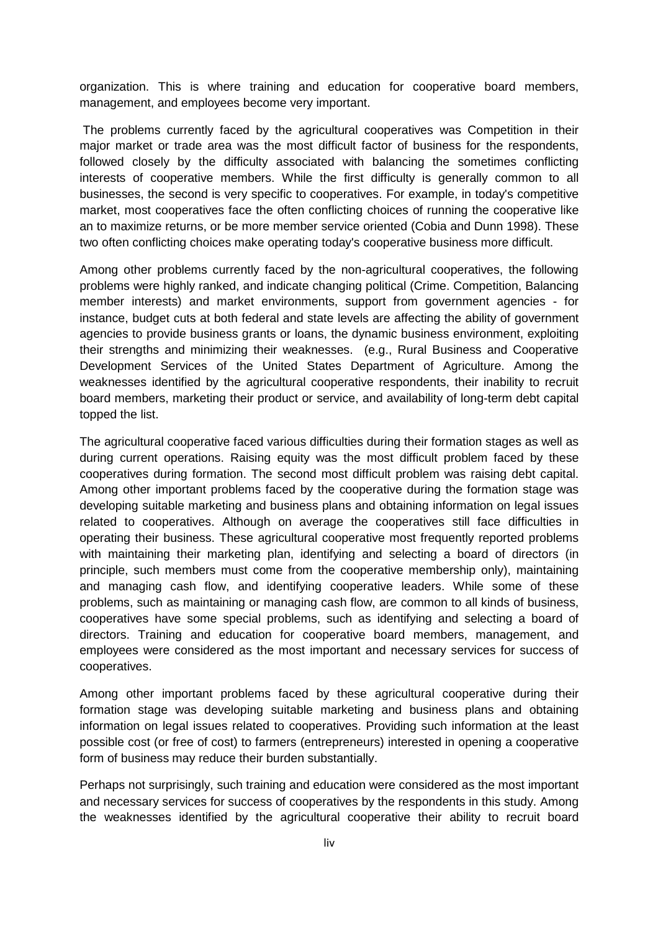organization. This is where training and education for cooperative board members, management, and employees become very important.

 The problems currently faced by the agricultural cooperatives was Competition in their major market or trade area was the most difficult factor of business for the respondents, followed closely by the difficulty associated with balancing the sometimes conflicting interests of cooperative members. While the first difficulty is generally common to all businesses, the second is very specific to cooperatives. For example, in today's competitive market, most cooperatives face the often conflicting choices of running the cooperative like an to maximize returns, or be more member service oriented (Cobia and Dunn 1998). These two often conflicting choices make operating today's cooperative business more difficult.

Among other problems currently faced by the non-agricultural cooperatives, the following problems were highly ranked, and indicate changing political (Crime. Competition, Balancing member interests) and market environments, support from government agencies - for instance, budget cuts at both federal and state levels are affecting the ability of government agencies to provide business grants or loans, the dynamic business environment, exploiting their strengths and minimizing their weaknesses. (e.g., Rural Business and Cooperative Development Services of the United States Department of Agriculture. Among the weaknesses identified by the agricultural cooperative respondents, their inability to recruit board members, marketing their product or service, and availability of long-term debt capital topped the list.

The agricultural cooperative faced various difficulties during their formation stages as well as during current operations. Raising equity was the most difficult problem faced by these cooperatives during formation. The second most difficult problem was raising debt capital. Among other important problems faced by the cooperative during the formation stage was developing suitable marketing and business plans and obtaining information on legal issues related to cooperatives. Although on average the cooperatives still face difficulties in operating their business. These agricultural cooperative most frequently reported problems with maintaining their marketing plan, identifying and selecting a board of directors (in principle, such members must come from the cooperative membership only), maintaining and managing cash flow, and identifying cooperative leaders. While some of these problems, such as maintaining or managing cash flow, are common to all kinds of business, cooperatives have some special problems, such as identifying and selecting a board of directors. Training and education for cooperative board members, management, and employees were considered as the most important and necessary services for success of cooperatives.

Among other important problems faced by these agricultural cooperative during their formation stage was developing suitable marketing and business plans and obtaining information on legal issues related to cooperatives. Providing such information at the least possible cost (or free of cost) to farmers (entrepreneurs) interested in opening a cooperative form of business may reduce their burden substantially.

Perhaps not surprisingly, such training and education were considered as the most important and necessary services for success of cooperatives by the respondents in this study. Among the weaknesses identified by the agricultural cooperative their ability to recruit board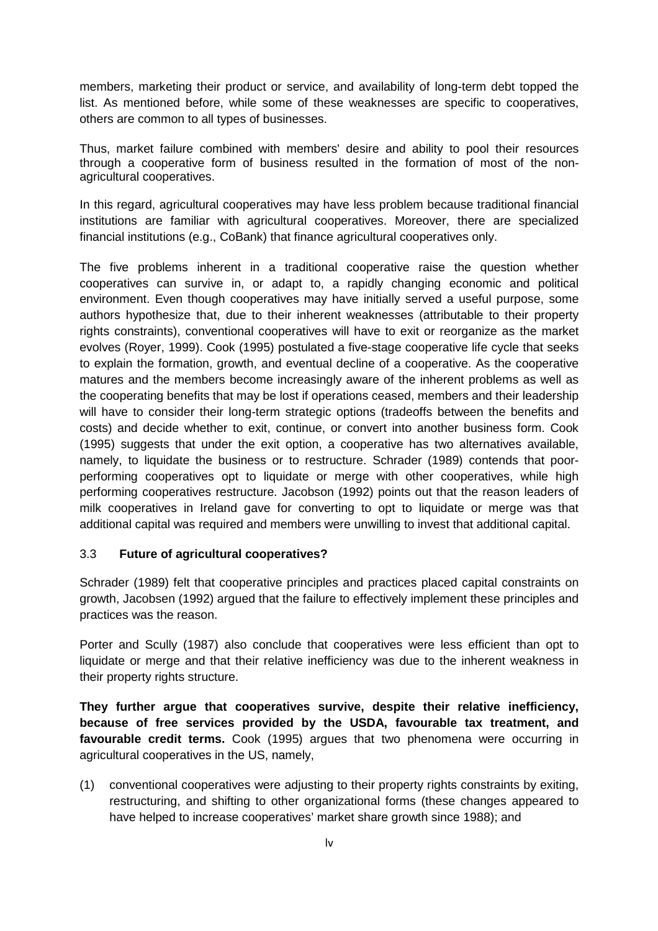members, marketing their product or service, and availability of long-term debt topped the list. As mentioned before, while some of these weaknesses are specific to cooperatives, others are common to all types of businesses.

Thus, market failure combined with members' desire and ability to pool their resources through a cooperative form of business resulted in the formation of most of the nonagricultural cooperatives.

In this regard, agricultural cooperatives may have less problem because traditional financial institutions are familiar with agricultural cooperatives. Moreover, there are specialized financial institutions (e.g., CoBank) that finance agricultural cooperatives only.

The five problems inherent in a traditional cooperative raise the question whether cooperatives can survive in, or adapt to, a rapidly changing economic and political environment. Even though cooperatives may have initially served a useful purpose, some authors hypothesize that, due to their inherent weaknesses (attributable to their property rights constraints), conventional cooperatives will have to exit or reorganize as the market evolves (Royer, 1999). Cook (1995) postulated a five-stage cooperative life cycle that seeks to explain the formation, growth, and eventual decline of a cooperative. As the cooperative matures and the members become increasingly aware of the inherent problems as well as the cooperating benefits that may be lost if operations ceased, members and their leadership will have to consider their long-term strategic options (tradeoffs between the benefits and costs) and decide whether to exit, continue, or convert into another business form. Cook (1995) suggests that under the exit option, a cooperative has two alternatives available, namely, to liquidate the business or to restructure. Schrader (1989) contends that poorperforming cooperatives opt to liquidate or merge with other cooperatives, while high performing cooperatives restructure. Jacobson (1992) points out that the reason leaders of milk cooperatives in Ireland gave for converting to opt to liquidate or merge was that additional capital was required and members were unwilling to invest that additional capital.

#### 3.3 **Future of agricultural cooperatives?**

Schrader (1989) felt that cooperative principles and practices placed capital constraints on growth, Jacobsen (1992) argued that the failure to effectively implement these principles and practices was the reason.

Porter and Scully (1987) also conclude that cooperatives were less efficient than opt to liquidate or merge and that their relative inefficiency was due to the inherent weakness in their property rights structure.

**They further argue that cooperatives survive, despite their relative inefficiency, because of free services provided by the USDA, favourable tax treatment, and favourable credit terms.** Cook (1995) argues that two phenomena were occurring in agricultural cooperatives in the US, namely,

(1) conventional cooperatives were adjusting to their property rights constraints by exiting, restructuring, and shifting to other organizational forms (these changes appeared to have helped to increase cooperatives' market share growth since 1988); and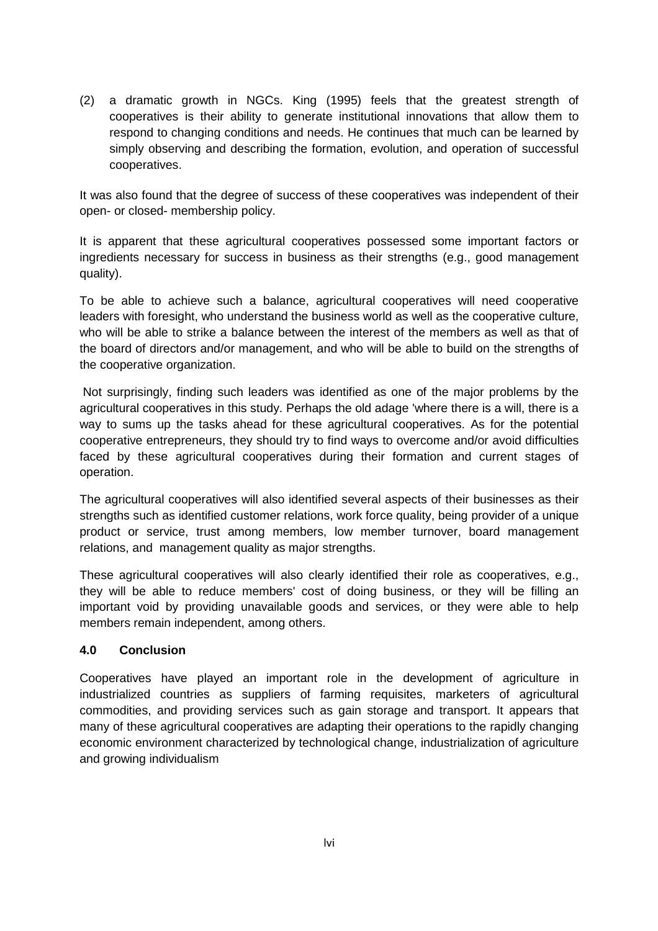(2) a dramatic growth in NGCs. King (1995) feels that the greatest strength of cooperatives is their ability to generate institutional innovations that allow them to respond to changing conditions and needs. He continues that much can be learned by simply observing and describing the formation, evolution, and operation of successful cooperatives.

It was also found that the degree of success of these cooperatives was independent of their open- or closed- membership policy.

It is apparent that these agricultural cooperatives possessed some important factors or ingredients necessary for success in business as their strengths (e.g., good management quality).

To be able to achieve such a balance, agricultural cooperatives will need cooperative leaders with foresight, who understand the business world as well as the cooperative culture, who will be able to strike a balance between the interest of the members as well as that of the board of directors and/or management, and who will be able to build on the strengths of the cooperative organization.

 Not surprisingly, finding such leaders was identified as one of the major problems by the agricultural cooperatives in this study. Perhaps the old adage 'where there is a will, there is a way to sums up the tasks ahead for these agricultural cooperatives. As for the potential cooperative entrepreneurs, they should try to find ways to overcome and/or avoid difficulties faced by these agricultural cooperatives during their formation and current stages of operation.

The agricultural cooperatives will also identified several aspects of their businesses as their strengths such as identified customer relations, work force quality, being provider of a unique product or service, trust among members, low member turnover, board management relations, and management quality as major strengths.

These agricultural cooperatives will also clearly identified their role as cooperatives, e.g., they will be able to reduce members' cost of doing business, or they will be filling an important void by providing unavailable goods and services, or they were able to help members remain independent, among others.

#### **4.0 Conclusion**

Cooperatives have played an important role in the development of agriculture in industrialized countries as suppliers of farming requisites, marketers of agricultural commodities, and providing services such as gain storage and transport. It appears that many of these agricultural cooperatives are adapting their operations to the rapidly changing economic environment characterized by technological change, industrialization of agriculture and growing individualism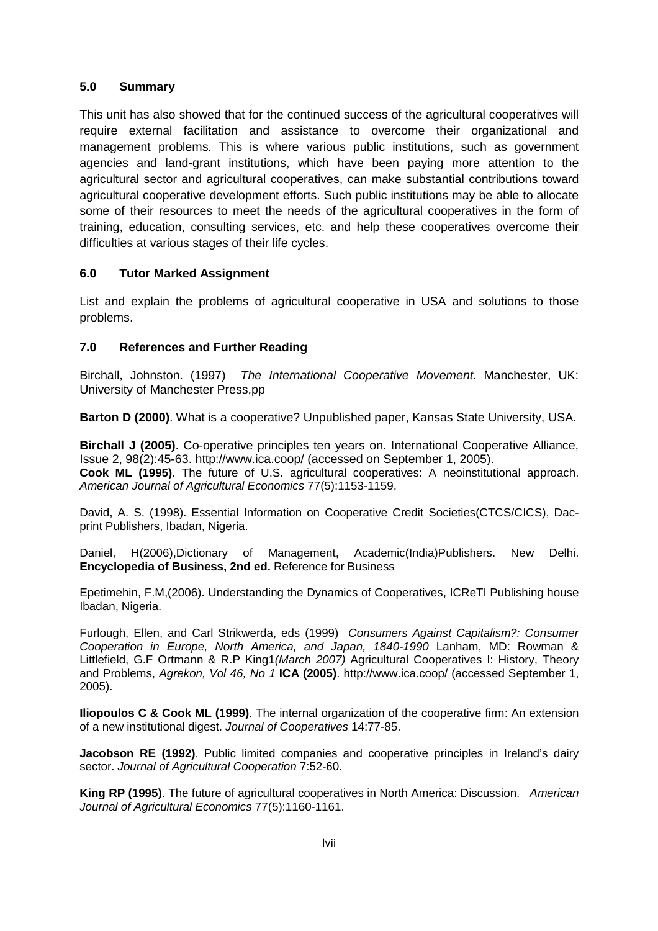#### **5.0 Summary**

This unit has also showed that for the continued success of the agricultural cooperatives will require external facilitation and assistance to overcome their organizational and management problems. This is where various public institutions, such as government agencies and land-grant institutions, which have been paying more attention to the agricultural sector and agricultural cooperatives, can make substantial contributions toward agricultural cooperative development efforts. Such public institutions may be able to allocate some of their resources to meet the needs of the agricultural cooperatives in the form of training, education, consulting services, etc. and help these cooperatives overcome their difficulties at various stages of their life cycles.

#### **6.0 Tutor Marked Assignment**

List and explain the problems of agricultural cooperative in USA and solutions to those problems.

#### **7.0 References and Further Reading**

Birchall, Johnston. (1997) The International Cooperative Movement. Manchester, UK: University of Manchester Press,pp

**Barton D (2000)**. What is a cooperative? Unpublished paper, Kansas State University, USA.

**Birchall J (2005)**. Co-operative principles ten years on. International Cooperative Alliance, Issue 2, 98(2):45-63. http://www.ica.coop/ (accessed on September 1, 2005). **Cook ML (1995)**. The future of U.S. agricultural cooperatives: A neoinstitutional approach. American Journal of Agricultural Economics 77(5):1153-1159.

David, A. S. (1998). Essential Information on Cooperative Credit Societies(CTCS/CICS), Dacprint Publishers, Ibadan, Nigeria.

Daniel, H(2006),Dictionary of Management, Academic(India)Publishers. New Delhi. **Encyclopedia of Business, 2nd ed.** Reference for Business

Epetimehin, F.M,(2006). Understanding the Dynamics of Cooperatives, ICReTI Publishing house Ibadan, Nigeria.

Furlough, Ellen, and Carl Strikwerda, eds (1999) Consumers Against Capitalism?: Consumer Cooperation in Europe, North America, and Japan, 1840-1990 Lanham, MD: Rowman & Littlefield, G.F Ortmann & R.P King1(March 2007) Agricultural Cooperatives I: History, Theory and Problems, Agrekon, Vol 46, No 1 **ICA (2005)**. http://www.ica.coop/ (accessed September 1, 2005).

**Iliopoulos C & Cook ML (1999)**. The internal organization of the cooperative firm: An extension of a new institutional digest. Journal of Cooperatives 14:77-85.

**Jacobson RE (1992)**. Public limited companies and cooperative principles in Ireland's dairy sector. Journal of Agricultural Cooperation 7:52-60.

**King RP (1995)**. The future of agricultural cooperatives in North America: Discussion. American Journal of Agricultural Economics 77(5):1160-1161.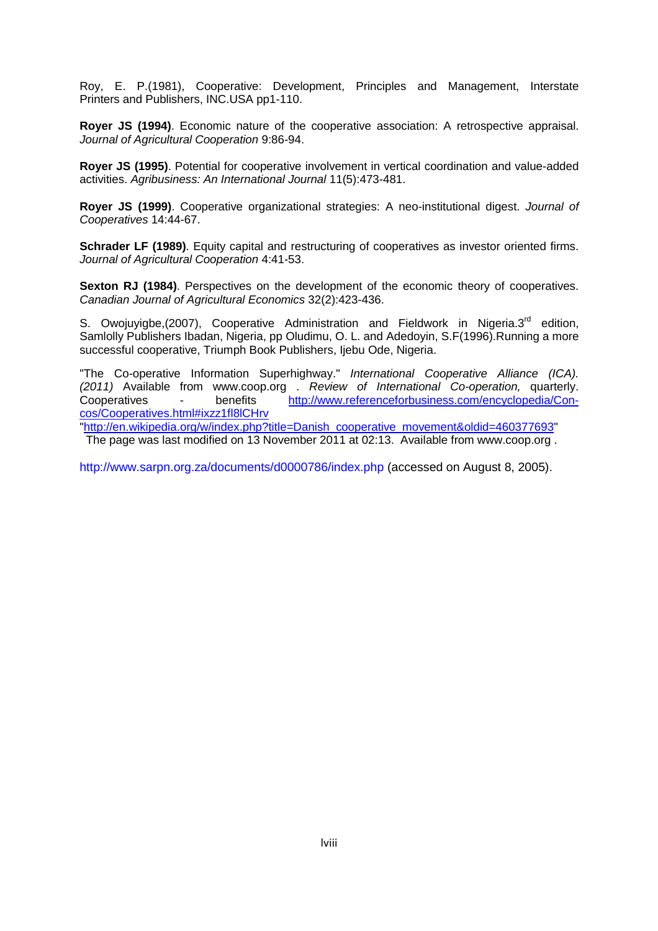Roy, E. P.(1981), Cooperative: Development, Principles and Management, Interstate Printers and Publishers, INC.USA pp1-110.

**Royer JS (1994)**. Economic nature of the cooperative association: A retrospective appraisal. Journal of Agricultural Cooperation 9:86-94.

**Royer JS (1995)**. Potential for cooperative involvement in vertical coordination and value-added activities. Agribusiness: An International Journal 11(5):473-481.

**Royer JS (1999)**. Cooperative organizational strategies: A neo-institutional digest. Journal of Cooperatives 14:44-67.

**Schrader LF (1989)**. Equity capital and restructuring of cooperatives as investor oriented firms. Journal of Agricultural Cooperation 4:41-53.

**Sexton RJ (1984)**. Perspectives on the development of the economic theory of cooperatives. Canadian Journal of Agricultural Economics 32(2):423-436.

S. Owojuyigbe,(2007), Cooperative Administration and Fieldwork in Nigeria.3<sup>rd</sup> edition, Samlolly Publishers Ibadan, Nigeria, pp Oludimu, O. L. and Adedoyin, S.F(1996).Running a more successful cooperative, Triumph Book Publishers, Ijebu Ode, Nigeria.

"The Co-operative Information Superhighway." International Cooperative Alliance (ICA). (2011) Available from www.coop.org . Review of International Co-operation, quarterly. Cooperatives - benefits http://www.referenceforbusiness.com/encyclopedia/Concos/Cooperatives.html#ixzz1fl8lCHrv

"http://en.wikipedia.org/w/index.php?title=Danish\_cooperative\_movement&oldid=460377693" The page was last modified on 13 November 2011 at 02:13. Available from www.coop.org .

http://www.sarpn.org.za/documents/d0000786/index.php (accessed on August 8, 2005).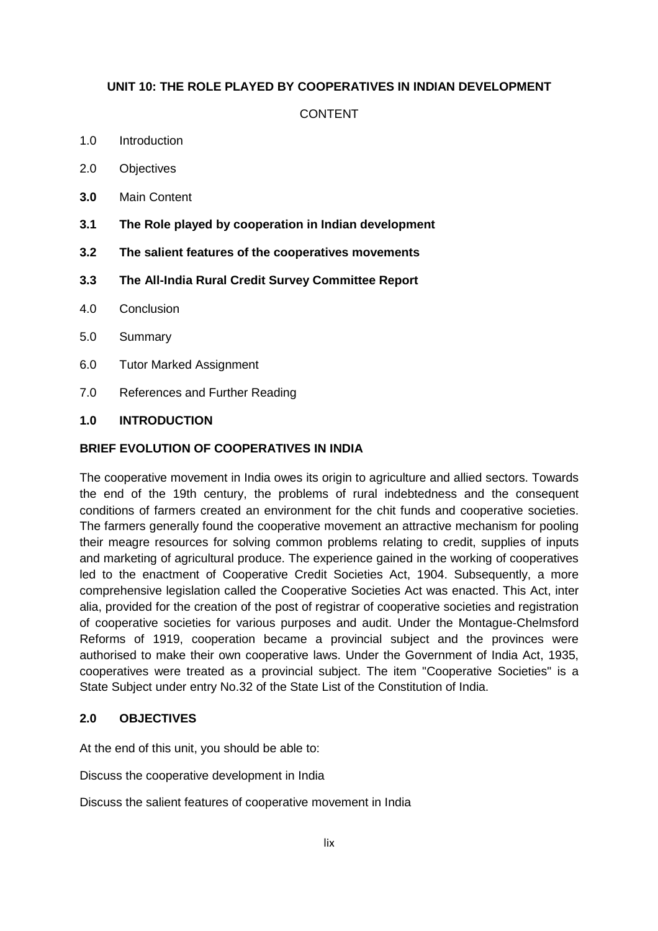### **UNIT 10: THE ROLE PLAYED BY COOPERATIVES IN INDIAN DEVELOPMENT**

#### **CONTENT**

- 1.0 Introduction
- 2.0 Objectives
- **3.0** Main Content
- **3.1 The Role played by cooperation in Indian development**
- **3.2 The salient features of the cooperatives movements**
- **3.3 The All-India Rural Credit Survey Committee Report**
- 4.0 Conclusion
- 5.0 Summary
- 6.0 Tutor Marked Assignment
- 7.0 References and Further Reading

#### **1.0 INTRODUCTION**

#### **BRIEF EVOLUTION OF COOPERATIVES IN INDIA**

The cooperative movement in India owes its origin to agriculture and allied sectors. Towards the end of the 19th century, the problems of rural indebtedness and the consequent conditions of farmers created an environment for the chit funds and cooperative societies. The farmers generally found the cooperative movement an attractive mechanism for pooling their meagre resources for solving common problems relating to credit, supplies of inputs and marketing of agricultural produce. The experience gained in the working of cooperatives led to the enactment of Cooperative Credit Societies Act, 1904. Subsequently, a more comprehensive legislation called the Cooperative Societies Act was enacted. This Act, inter alia, provided for the creation of the post of registrar of cooperative societies and registration of cooperative societies for various purposes and audit. Under the Montague-Chelmsford Reforms of 1919, cooperation became a provincial subject and the provinces were authorised to make their own cooperative laws. Under the Government of India Act, 1935, cooperatives were treated as a provincial subject. The item "Cooperative Societies" is a State Subject under entry No.32 of the State List of the Constitution of India.

#### **2.0 OBJECTIVES**

At the end of this unit, you should be able to:

Discuss the cooperative development in India

Discuss the salient features of cooperative movement in India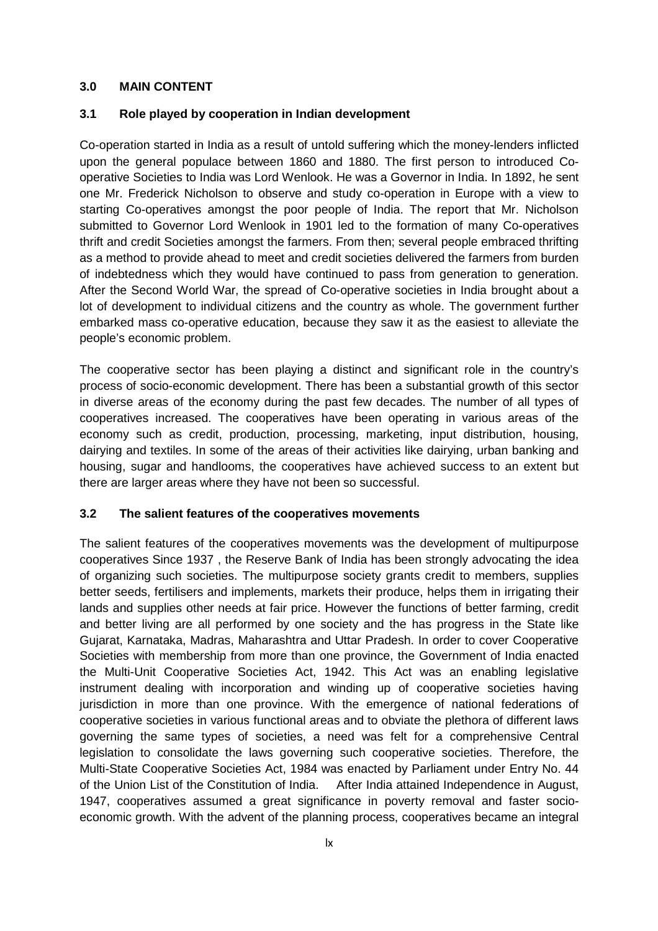#### **3.0 MAIN CONTENT**

#### **3.1 Role played by cooperation in Indian development**

Co-operation started in India as a result of untold suffering which the money-lenders inflicted upon the general populace between 1860 and 1880. The first person to introduced Cooperative Societies to India was Lord Wenlook. He was a Governor in India. In 1892, he sent one Mr. Frederick Nicholson to observe and study co-operation in Europe with a view to starting Co-operatives amongst the poor people of India. The report that Mr. Nicholson submitted to Governor Lord Wenlook in 1901 led to the formation of many Co-operatives thrift and credit Societies amongst the farmers. From then; several people embraced thrifting as a method to provide ahead to meet and credit societies delivered the farmers from burden of indebtedness which they would have continued to pass from generation to generation. After the Second World War, the spread of Co-operative societies in India brought about a lot of development to individual citizens and the country as whole. The government further embarked mass co-operative education, because they saw it as the easiest to alleviate the people's economic problem.

The cooperative sector has been playing a distinct and significant role in the country's process of socio-economic development. There has been a substantial growth of this sector in diverse areas of the economy during the past few decades. The number of all types of cooperatives increased. The cooperatives have been operating in various areas of the economy such as credit, production, processing, marketing, input distribution, housing, dairying and textiles. In some of the areas of their activities like dairying, urban banking and housing, sugar and handlooms, the cooperatives have achieved success to an extent but there are larger areas where they have not been so successful.

#### **3.2 The salient features of the cooperatives movements**

The salient features of the cooperatives movements was the development of multipurpose cooperatives Since 1937 , the Reserve Bank of India has been strongly advocating the idea of organizing such societies. The multipurpose society grants credit to members, supplies better seeds, fertilisers and implements, markets their produce, helps them in irrigating their lands and supplies other needs at fair price. However the functions of better farming, credit and better living are all performed by one society and the has progress in the State like Gujarat, Karnataka, Madras, Maharashtra and Uttar Pradesh. In order to cover Cooperative Societies with membership from more than one province, the Government of India enacted the Multi-Unit Cooperative Societies Act, 1942. This Act was an enabling legislative instrument dealing with incorporation and winding up of cooperative societies having jurisdiction in more than one province. With the emergence of national federations of cooperative societies in various functional areas and to obviate the plethora of different laws governing the same types of societies, a need was felt for a comprehensive Central legislation to consolidate the laws governing such cooperative societies. Therefore, the Multi-State Cooperative Societies Act, 1984 was enacted by Parliament under Entry No. 44 of the Union List of the Constitution of India. After India attained Independence in August, 1947, cooperatives assumed a great significance in poverty removal and faster socioeconomic growth. With the advent of the planning process, cooperatives became an integral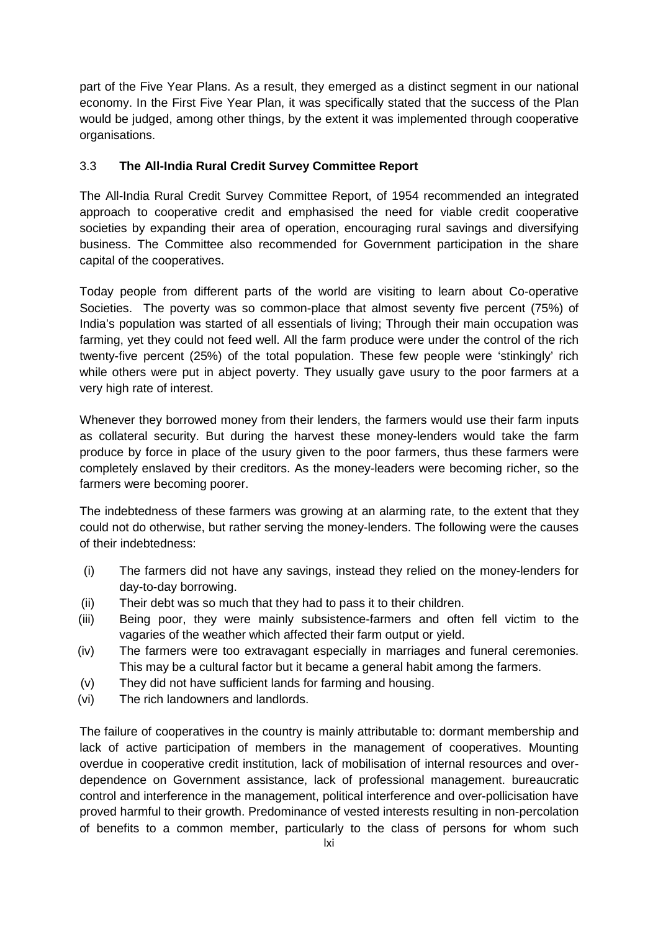part of the Five Year Plans. As a result, they emerged as a distinct segment in our national economy. In the First Five Year Plan, it was specifically stated that the success of the Plan would be judged, among other things, by the extent it was implemented through cooperative organisations.

#### 3.3 **The All-India Rural Credit Survey Committee Report**

The All-India Rural Credit Survey Committee Report, of 1954 recommended an integrated approach to cooperative credit and emphasised the need for viable credit cooperative societies by expanding their area of operation, encouraging rural savings and diversifying business. The Committee also recommended for Government participation in the share capital of the cooperatives.

Today people from different parts of the world are visiting to learn about Co-operative Societies. The poverty was so common-place that almost seventy five percent (75%) of India's population was started of all essentials of living; Through their main occupation was farming, yet they could not feed well. All the farm produce were under the control of the rich twenty-five percent (25%) of the total population. These few people were 'stinkingly' rich while others were put in abject poverty. They usually gave usury to the poor farmers at a very high rate of interest.

Whenever they borrowed money from their lenders, the farmers would use their farm inputs as collateral security. But during the harvest these money-lenders would take the farm produce by force in place of the usury given to the poor farmers, thus these farmers were completely enslaved by their creditors. As the money-leaders were becoming richer, so the farmers were becoming poorer.

The indebtedness of these farmers was growing at an alarming rate, to the extent that they could not do otherwise, but rather serving the money-lenders. The following were the causes of their indebtedness:

- (i) The farmers did not have any savings, instead they relied on the money-lenders for day-to-day borrowing.
- (ii) Their debt was so much that they had to pass it to their children.
- (iii) Being poor, they were mainly subsistence-farmers and often fell victim to the vagaries of the weather which affected their farm output or yield.
- (iv) The farmers were too extravagant especially in marriages and funeral ceremonies. This may be a cultural factor but it became a general habit among the farmers.
- (v) They did not have sufficient lands for farming and housing.
- (vi) The rich landowners and landlords.

The failure of cooperatives in the country is mainly attributable to: dormant membership and lack of active participation of members in the management of cooperatives. Mounting overdue in cooperative credit institution, lack of mobilisation of internal resources and overdependence on Government assistance, lack of professional management. bureaucratic control and interference in the management, political interference and over-pollicisation have proved harmful to their growth. Predominance of vested interests resulting in non-percolation of benefits to a common member, particularly to the class of persons for whom such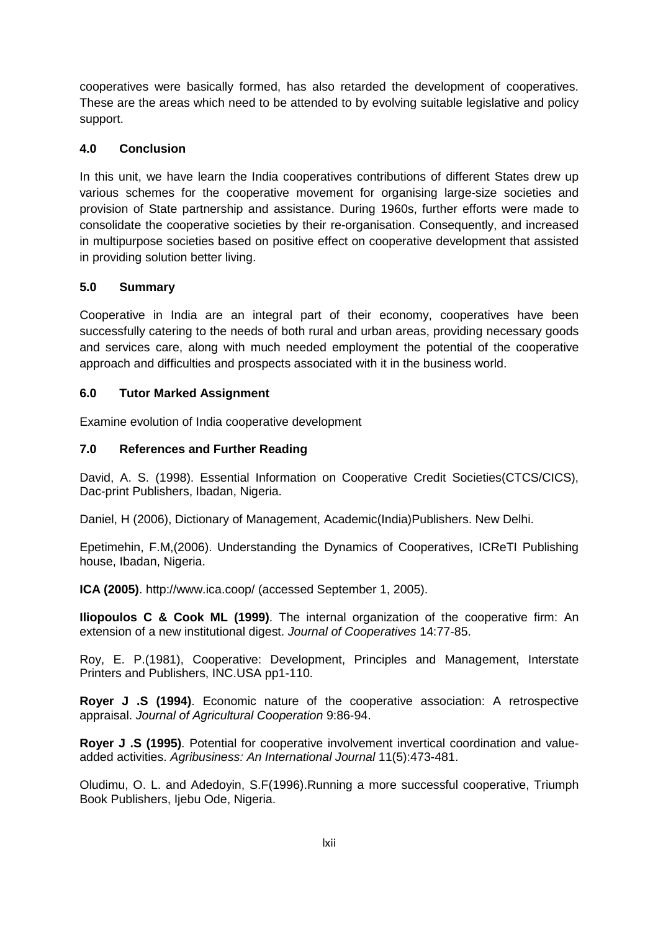cooperatives were basically formed, has also retarded the development of cooperatives. These are the areas which need to be attended to by evolving suitable legislative and policy support.

#### **4.0 Conclusion**

In this unit, we have learn the India cooperatives contributions of different States drew up various schemes for the cooperative movement for organising large-size societies and provision of State partnership and assistance. During 1960s, further efforts were made to consolidate the cooperative societies by their re-organisation. Consequently, and increased in multipurpose societies based on positive effect on cooperative development that assisted in providing solution better living.

#### **5.0 Summary**

Cooperative in India are an integral part of their economy, cooperatives have been successfully catering to the needs of both rural and urban areas, providing necessary goods and services care, along with much needed employment the potential of the cooperative approach and difficulties and prospects associated with it in the business world.

#### **6.0 Tutor Marked Assignment**

Examine evolution of India cooperative development

#### **7.0 References and Further Reading**

David, A. S. (1998). Essential Information on Cooperative Credit Societies(CTCS/CICS), Dac-print Publishers, Ibadan, Nigeria.

Daniel, H (2006), Dictionary of Management, Academic(India)Publishers. New Delhi.

Epetimehin, F.M,(2006). Understanding the Dynamics of Cooperatives, ICReTI Publishing house, Ibadan, Nigeria.

**ICA (2005)**. http://www.ica.coop/ (accessed September 1, 2005).

**Iliopoulos C & Cook ML (1999)**. The internal organization of the cooperative firm: An extension of a new institutional digest. Journal of Cooperatives 14:77-85.

Roy, E. P.(1981), Cooperative: Development, Principles and Management, Interstate Printers and Publishers, INC.USA pp1-110.

**Royer J .S (1994)**. Economic nature of the cooperative association: A retrospective appraisal. Journal of Agricultural Cooperation 9:86-94.

**Royer J .S (1995)**. Potential for cooperative involvement invertical coordination and valueadded activities. Agribusiness: An International Journal 11(5):473-481.

Oludimu, O. L. and Adedoyin, S.F(1996).Running a more successful cooperative, Triumph Book Publishers, Ijebu Ode, Nigeria.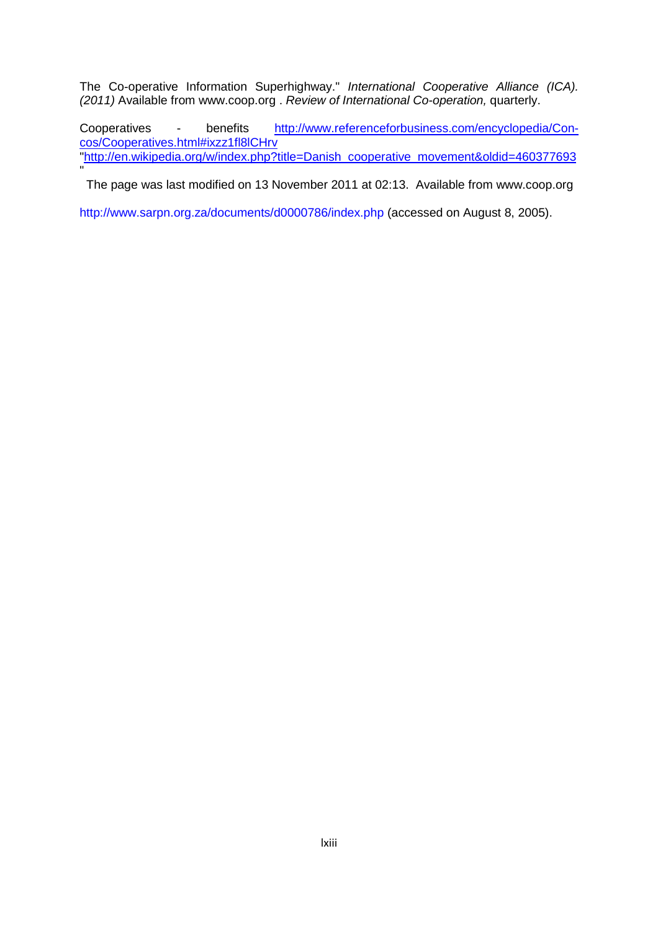The Co-operative Information Superhighway." International Cooperative Alliance (ICA). (2011) Available from www.coop.org . Review of International Co-operation, quarterly.

Cooperatives - benefits http://www.referenceforbusiness.com/encyclopedia/Concos/Cooperatives.html#ixzz1fl8lCHrv "http://en.wikipedia.org/w/index.php?title=Danish\_cooperative\_movement&oldid=460377693

" The page was last modified on 13 November 2011 at 02:13. Available from www.coop.org

http://www.sarpn.org.za/documents/d0000786/index.php (accessed on August 8, 2005).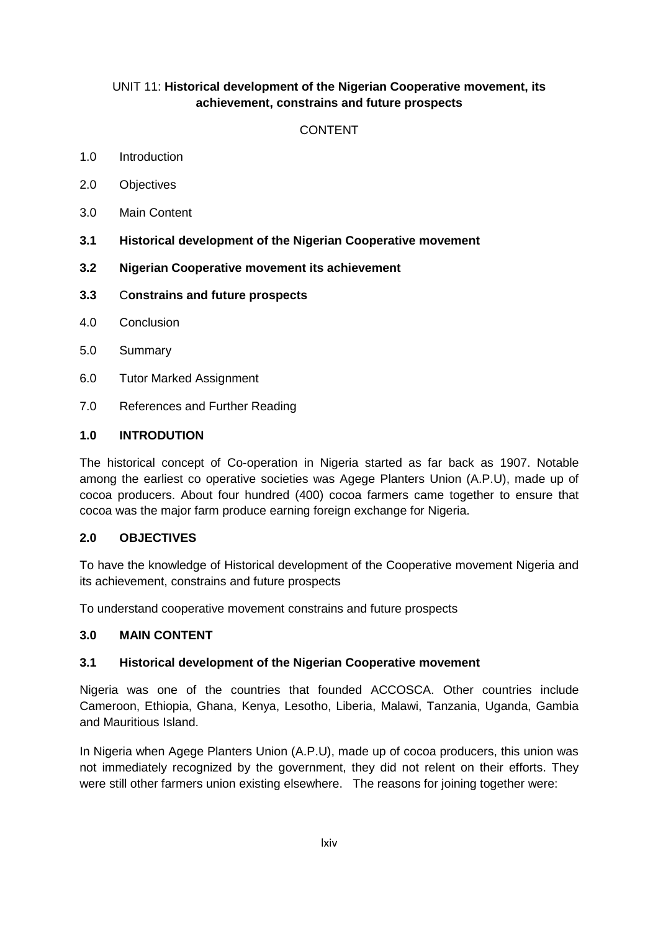#### UNIT 11: **Historical development of the Nigerian Cooperative movement, its achievement, constrains and future prospects**

#### CONTENT

- 1.0 Introduction
- 2.0 Objectives
- 3.0 Main Content
- **3.1 Historical development of the Nigerian Cooperative movement**
- **3.2 Nigerian Cooperative movement its achievement**
- **3.3** C**onstrains and future prospects**
- 4.0 Conclusion
- 5.0 Summary
- 6.0 Tutor Marked Assignment
- 7.0 References and Further Reading

#### **1.0 INTRODUTION**

The historical concept of Co-operation in Nigeria started as far back as 1907. Notable among the earliest co operative societies was Agege Planters Union (A.P.U), made up of cocoa producers. About four hundred (400) cocoa farmers came together to ensure that cocoa was the major farm produce earning foreign exchange for Nigeria.

#### **2.0 OBJECTIVES**

To have the knowledge of Historical development of the Cooperative movement Nigeria and its achievement, constrains and future prospects

To understand cooperative movement constrains and future prospects

#### **3.0 MAIN CONTENT**

#### **3.1 Historical development of the Nigerian Cooperative movement**

Nigeria was one of the countries that founded ACCOSCA. Other countries include Cameroon, Ethiopia, Ghana, Kenya, Lesotho, Liberia, Malawi, Tanzania, Uganda, Gambia and Mauritious Island.

In Nigeria when Agege Planters Union (A.P.U), made up of cocoa producers, this union was not immediately recognized by the government, they did not relent on their efforts. They were still other farmers union existing elsewhere. The reasons for joining together were: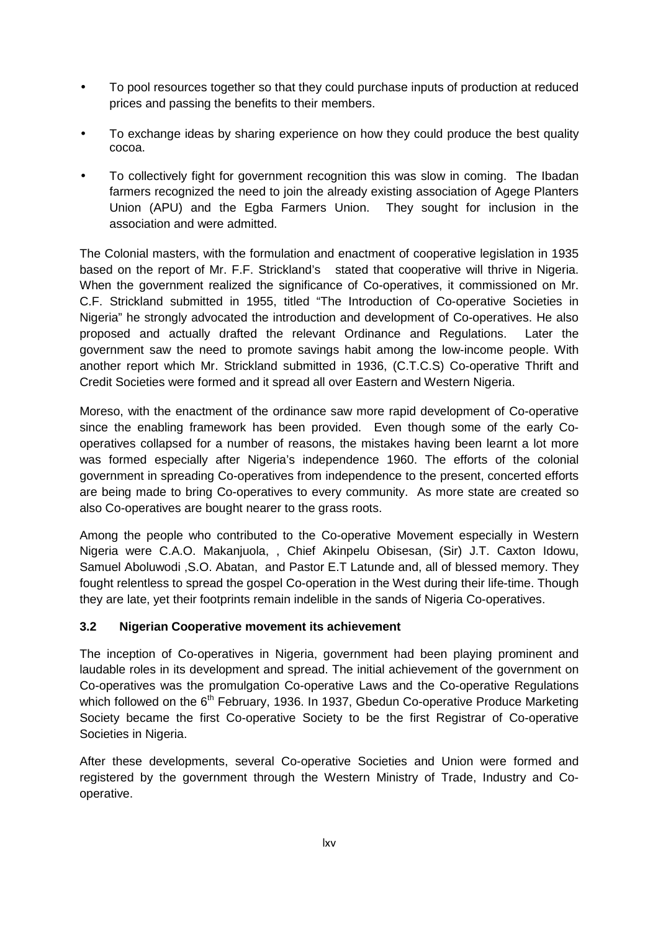- To pool resources together so that they could purchase inputs of production at reduced prices and passing the benefits to their members.
- To exchange ideas by sharing experience on how they could produce the best quality cocoa.
- To collectively fight for government recognition this was slow in coming. The Ibadan farmers recognized the need to join the already existing association of Agege Planters Union (APU) and the Egba Farmers Union. They sought for inclusion in the association and were admitted.

The Colonial masters, with the formulation and enactment of cooperative legislation in 1935 based on the report of Mr. F.F. Strickland's stated that cooperative will thrive in Nigeria. When the government realized the significance of Co-operatives, it commissioned on Mr. C.F. Strickland submitted in 1955, titled "The Introduction of Co-operative Societies in Nigeria" he strongly advocated the introduction and development of Co-operatives. He also proposed and actually drafted the relevant Ordinance and Regulations. Later the government saw the need to promote savings habit among the low-income people. With another report which Mr. Strickland submitted in 1936, (C.T.C.S) Co-operative Thrift and Credit Societies were formed and it spread all over Eastern and Western Nigeria.

Moreso, with the enactment of the ordinance saw more rapid development of Co-operative since the enabling framework has been provided. Even though some of the early Cooperatives collapsed for a number of reasons, the mistakes having been learnt a lot more was formed especially after Nigeria's independence 1960. The efforts of the colonial government in spreading Co-operatives from independence to the present, concerted efforts are being made to bring Co-operatives to every community. As more state are created so also Co-operatives are bought nearer to the grass roots.

Among the people who contributed to the Co-operative Movement especially in Western Nigeria were C.A.O. Makanjuola, , Chief Akinpelu Obisesan, (Sir) J.T. Caxton Idowu, Samuel Aboluwodi ,S.O. Abatan, and Pastor E.T Latunde and, all of blessed memory. They fought relentless to spread the gospel Co-operation in the West during their life-time. Though they are late, yet their footprints remain indelible in the sands of Nigeria Co-operatives.

#### **3.2 Nigerian Cooperative movement its achievement**

The inception of Co-operatives in Nigeria, government had been playing prominent and laudable roles in its development and spread. The initial achievement of the government on Co-operatives was the promulgation Co-operative Laws and the Co-operative Regulations which followed on the 6<sup>th</sup> February, 1936. In 1937, Gbedun Co-operative Produce Marketing Society became the first Co-operative Society to be the first Registrar of Co-operative Societies in Nigeria.

After these developments, several Co-operative Societies and Union were formed and registered by the government through the Western Ministry of Trade, Industry and Cooperative.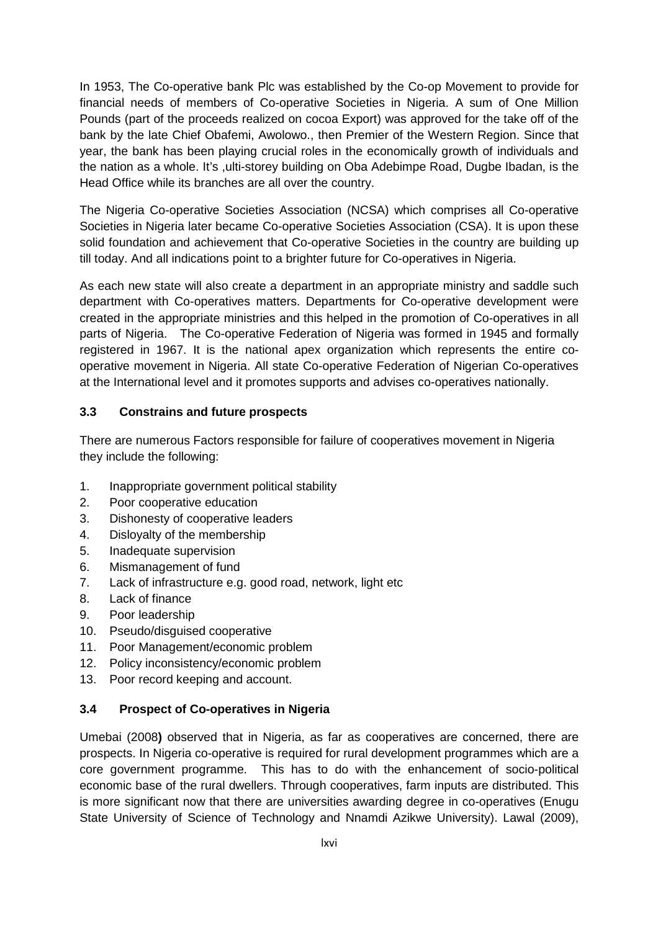In 1953, The Co-operative bank Plc was established by the Co-op Movement to provide for financial needs of members of Co-operative Societies in Nigeria. A sum of One Million Pounds (part of the proceeds realized on cocoa Export) was approved for the take off of the bank by the late Chief Obafemi, Awolowo., then Premier of the Western Region. Since that year, the bank has been playing crucial roles in the economically growth of individuals and the nation as a whole. It's ,ulti-storey building on Oba Adebimpe Road, Dugbe Ibadan, is the Head Office while its branches are all over the country.

The Nigeria Co-operative Societies Association (NCSA) which comprises all Co-operative Societies in Nigeria later became Co-operative Societies Association (CSA). It is upon these solid foundation and achievement that Co-operative Societies in the country are building up till today. And all indications point to a brighter future for Co-operatives in Nigeria.

As each new state will also create a department in an appropriate ministry and saddle such department with Co-operatives matters. Departments for Co-operative development were created in the appropriate ministries and this helped in the promotion of Co-operatives in all parts of Nigeria. The Co-operative Federation of Nigeria was formed in 1945 and formally registered in 1967. It is the national apex organization which represents the entire cooperative movement in Nigeria. All state Co-operative Federation of Nigerian Co-operatives at the International level and it promotes supports and advises co-operatives nationally.

#### **3.3 Constrains and future prospects**

There are numerous Factors responsible for failure of cooperatives movement in Nigeria they include the following:

- 1. Inappropriate government political stability
- 2. Poor cooperative education
- 3. Dishonesty of cooperative leaders
- 4. Disloyalty of the membership
- 5. Inadequate supervision
- 6. Mismanagement of fund
- 7. Lack of infrastructure e.g. good road, network, light etc
- 8. Lack of finance
- 9. Poor leadership
- 10. Pseudo/disguised cooperative
- 11. Poor Management/economic problem
- 12. Policy inconsistency/economic problem
- 13. Poor record keeping and account.

#### **3.4 Prospect of Co-operatives in Nigeria**

Umebai (2008**)** observed that in Nigeria, as far as cooperatives are concerned, there are prospects. In Nigeria co-operative is required for rural development programmes which are a core government programme. This has to do with the enhancement of socio-political economic base of the rural dwellers. Through cooperatives, farm inputs are distributed. This is more significant now that there are universities awarding degree in co-operatives (Enugu State University of Science of Technology and Nnamdi Azikwe University). Lawal (2009),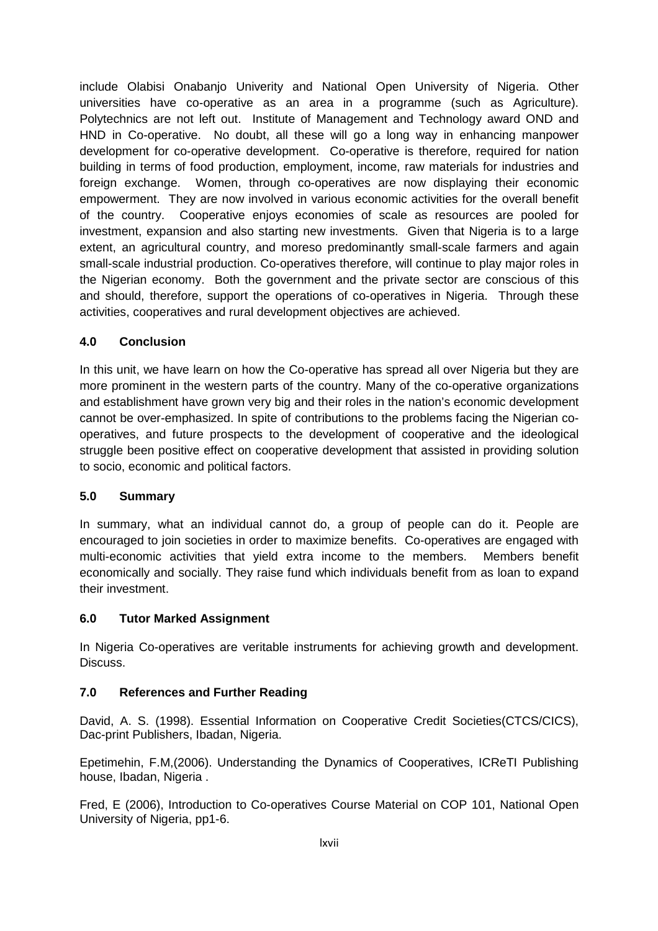include Olabisi Onabanjo Univerity and National Open University of Nigeria. Other universities have co-operative as an area in a programme (such as Agriculture). Polytechnics are not left out. Institute of Management and Technology award OND and HND in Co-operative. No doubt, all these will go a long way in enhancing manpower development for co-operative development. Co-operative is therefore, required for nation building in terms of food production, employment, income, raw materials for industries and foreign exchange. Women, through co-operatives are now displaying their economic empowerment. They are now involved in various economic activities for the overall benefit of the country. Cooperative enjoys economies of scale as resources are pooled for investment, expansion and also starting new investments. Given that Nigeria is to a large extent, an agricultural country, and moreso predominantly small-scale farmers and again small-scale industrial production. Co-operatives therefore, will continue to play major roles in the Nigerian economy. Both the government and the private sector are conscious of this and should, therefore, support the operations of co-operatives in Nigeria. Through these activities, cooperatives and rural development objectives are achieved.

#### **4.0 Conclusion**

In this unit, we have learn on how the Co-operative has spread all over Nigeria but they are more prominent in the western parts of the country. Many of the co-operative organizations and establishment have grown very big and their roles in the nation's economic development cannot be over-emphasized. In spite of contributions to the problems facing the Nigerian cooperatives, and future prospects to the development of cooperative and the ideological struggle been positive effect on cooperative development that assisted in providing solution to socio, economic and political factors.

#### **5.0 Summary**

In summary, what an individual cannot do, a group of people can do it. People are encouraged to join societies in order to maximize benefits. Co-operatives are engaged with multi-economic activities that yield extra income to the members. Members benefit economically and socially. They raise fund which individuals benefit from as loan to expand their investment.

#### **6.0 Tutor Marked Assignment**

In Nigeria Co-operatives are veritable instruments for achieving growth and development. Discuss.

#### **7.0 References and Further Reading**

David, A. S. (1998). Essential Information on Cooperative Credit Societies(CTCS/CICS), Dac-print Publishers, Ibadan, Nigeria.

Epetimehin, F.M,(2006). Understanding the Dynamics of Cooperatives, ICReTI Publishing house, Ibadan, Nigeria .

Fred, E (2006), Introduction to Co-operatives Course Material on COP 101, National Open University of Nigeria, pp1-6.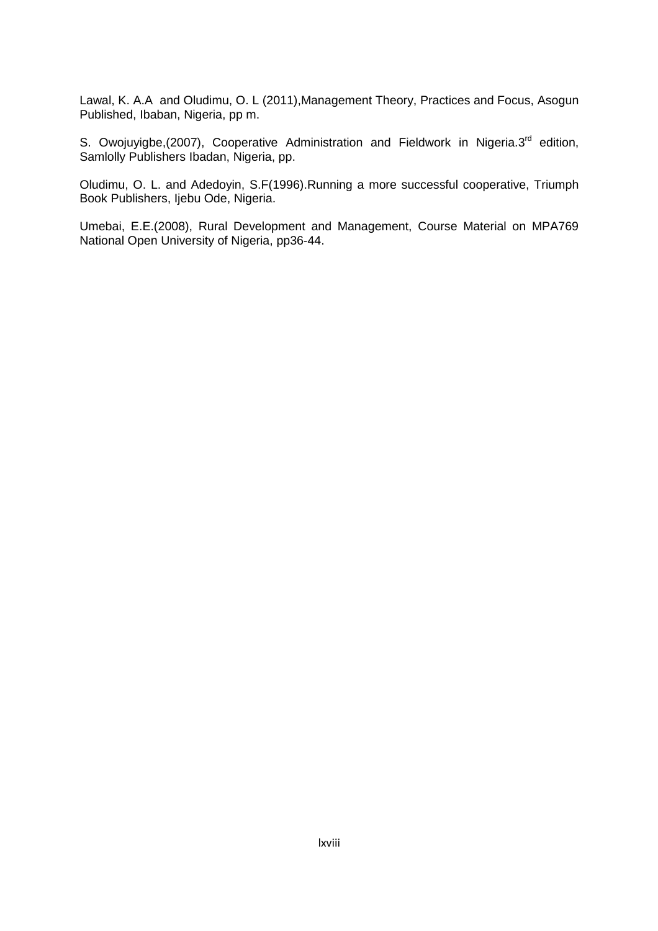Lawal, K. A.A and Oludimu, O. L (2011),Management Theory, Practices and Focus, Asogun Published, Ibaban, Nigeria, pp m.

S. Owojuyigbe,(2007), Cooperative Administration and Fieldwork in Nigeria.3<sup>rd</sup> edition, Samlolly Publishers Ibadan, Nigeria, pp.

Oludimu, O. L. and Adedoyin, S.F(1996).Running a more successful cooperative, Triumph Book Publishers, Ijebu Ode, Nigeria.

Umebai, E.E.(2008), Rural Development and Management, Course Material on MPA769 National Open University of Nigeria, pp36-44.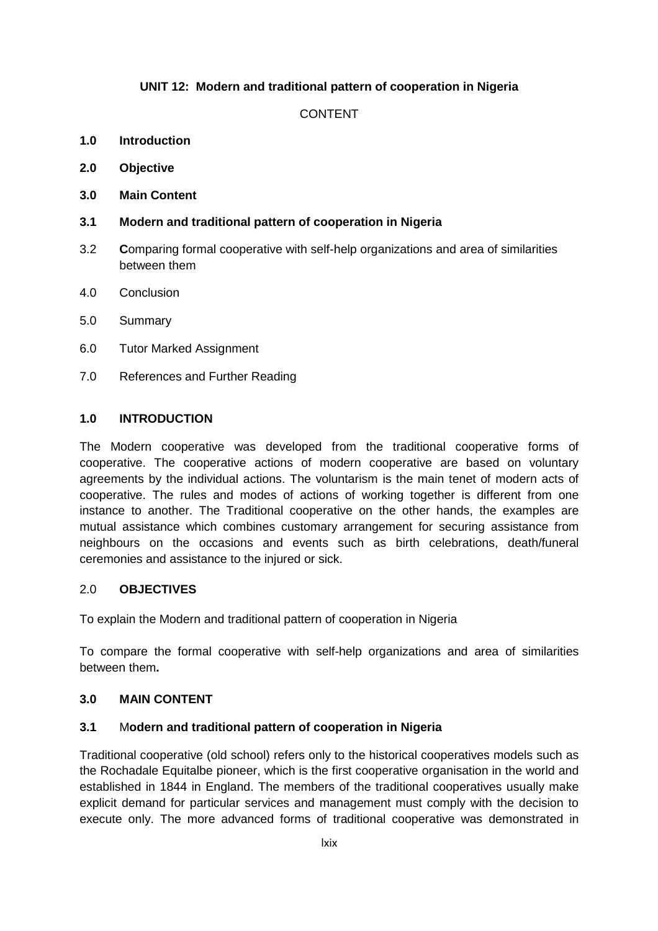#### **UNIT 12: Modern and traditional pattern of cooperation in Nigeria**

#### **CONTENT**

- **1.0 Introduction**
- **2.0 Objective**
- **3.0 Main Content**
- **3.1 Modern and traditional pattern of cooperation in Nigeria**
- 3.2 **C**omparing formal cooperative with self-help organizations and area of similarities between them
- 4.0 Conclusion
- 5.0 Summary
- 6.0 Tutor Marked Assignment
- 7.0 References and Further Reading

#### **1.0 INTRODUCTION**

The Modern cooperative was developed from the traditional cooperative forms of cooperative. The cooperative actions of modern cooperative are based on voluntary agreements by the individual actions. The voluntarism is the main tenet of modern acts of cooperative. The rules and modes of actions of working together is different from one instance to another. The Traditional cooperative on the other hands, the examples are mutual assistance which combines customary arrangement for securing assistance from neighbours on the occasions and events such as birth celebrations, death/funeral ceremonies and assistance to the injured or sick.

#### 2.0 **OBJECTIVES**

To explain the Modern and traditional pattern of cooperation in Nigeria

To compare the formal cooperative with self-help organizations and area of similarities between them**.**

#### **3.0 MAIN CONTENT**

#### **3.1** M**odern and traditional pattern of cooperation in Nigeria**

Traditional cooperative (old school) refers only to the historical cooperatives models such as the Rochadale Equitalbe pioneer, which is the first cooperative organisation in the world and established in 1844 in England. The members of the traditional cooperatives usually make explicit demand for particular services and management must comply with the decision to execute only. The more advanced forms of traditional cooperative was demonstrated in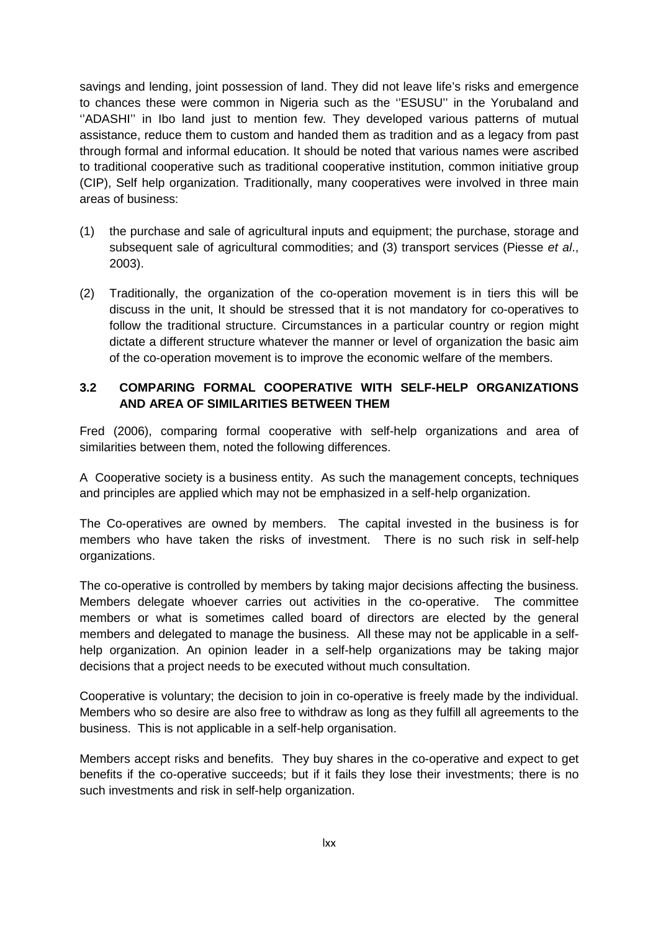savings and lending, joint possession of land. They did not leave life's risks and emergence to chances these were common in Nigeria such as the ''ESUSU'' in the Yorubaland and "ADASHI" in Ibo land just to mention few. They developed various patterns of mutual assistance, reduce them to custom and handed them as tradition and as a legacy from past through formal and informal education. It should be noted that various names were ascribed to traditional cooperative such as traditional cooperative institution, common initiative group (CIP), Self help organization. Traditionally, many cooperatives were involved in three main areas of business:

- (1) the purchase and sale of agricultural inputs and equipment; the purchase, storage and subsequent sale of agricultural commodities; and (3) transport services (Piesse et al., 2003).
- (2) Traditionally, the organization of the co-operation movement is in tiers this will be discuss in the unit, It should be stressed that it is not mandatory for co-operatives to follow the traditional structure. Circumstances in a particular country or region might dictate a different structure whatever the manner or level of organization the basic aim of the co-operation movement is to improve the economic welfare of the members.

#### **3.2 COMPARING FORMAL COOPERATIVE WITH SELF-HELP ORGANIZATIONS AND AREA OF SIMILARITIES BETWEEN THEM**

Fred (2006), comparing formal cooperative with self-help organizations and area of similarities between them, noted the following differences.

A Cooperative society is a business entity. As such the management concepts, techniques and principles are applied which may not be emphasized in a self-help organization.

The Co-operatives are owned by members. The capital invested in the business is for members who have taken the risks of investment. There is no such risk in self-help organizations.

The co-operative is controlled by members by taking major decisions affecting the business. Members delegate whoever carries out activities in the co-operative. The committee members or what is sometimes called board of directors are elected by the general members and delegated to manage the business. All these may not be applicable in a selfhelp organization. An opinion leader in a self-help organizations may be taking major decisions that a project needs to be executed without much consultation.

Cooperative is voluntary; the decision to join in co-operative is freely made by the individual. Members who so desire are also free to withdraw as long as they fulfill all agreements to the business. This is not applicable in a self-help organisation.

Members accept risks and benefits. They buy shares in the co-operative and expect to get benefits if the co-operative succeeds; but if it fails they lose their investments; there is no such investments and risk in self-help organization.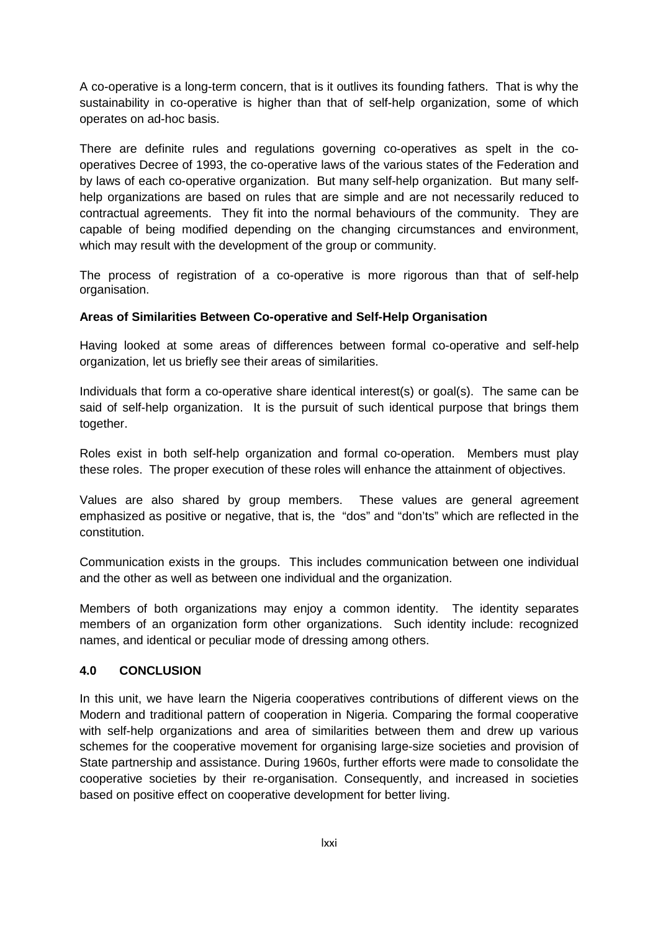A co-operative is a long-term concern, that is it outlives its founding fathers. That is why the sustainability in co-operative is higher than that of self-help organization, some of which operates on ad-hoc basis.

There are definite rules and regulations governing co-operatives as spelt in the cooperatives Decree of 1993, the co-operative laws of the various states of the Federation and by laws of each co-operative organization. But many self-help organization. But many selfhelp organizations are based on rules that are simple and are not necessarily reduced to contractual agreements. They fit into the normal behaviours of the community. They are capable of being modified depending on the changing circumstances and environment, which may result with the development of the group or community.

The process of registration of a co-operative is more rigorous than that of self-help organisation.

#### **Areas of Similarities Between Co-operative and Self-Help Organisation**

Having looked at some areas of differences between formal co-operative and self-help organization, let us briefly see their areas of similarities.

Individuals that form a co-operative share identical interest(s) or goal(s). The same can be said of self-help organization. It is the pursuit of such identical purpose that brings them together.

Roles exist in both self-help organization and formal co-operation. Members must play these roles. The proper execution of these roles will enhance the attainment of objectives.

Values are also shared by group members. These values are general agreement emphasized as positive or negative, that is, the "dos" and "don'ts" which are reflected in the constitution.

Communication exists in the groups. This includes communication between one individual and the other as well as between one individual and the organization.

Members of both organizations may enjoy a common identity. The identity separates members of an organization form other organizations. Such identity include: recognized names, and identical or peculiar mode of dressing among others.

#### **4.0 CONCLUSION**

In this unit, we have learn the Nigeria cooperatives contributions of different views on the Modern and traditional pattern of cooperation in Nigeria. Comparing the formal cooperative with self-help organizations and area of similarities between them and drew up various schemes for the cooperative movement for organising large-size societies and provision of State partnership and assistance. During 1960s, further efforts were made to consolidate the cooperative societies by their re-organisation. Consequently, and increased in societies based on positive effect on cooperative development for better living.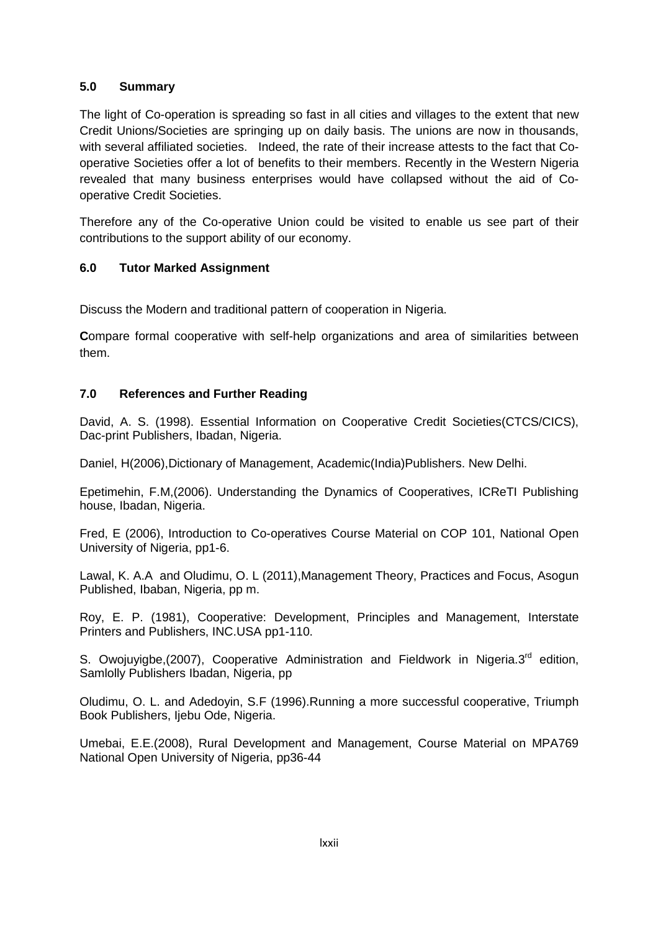#### **5.0 Summary**

The light of Co-operation is spreading so fast in all cities and villages to the extent that new Credit Unions/Societies are springing up on daily basis. The unions are now in thousands, with several affiliated societies. Indeed, the rate of their increase attests to the fact that Cooperative Societies offer a lot of benefits to their members. Recently in the Western Nigeria revealed that many business enterprises would have collapsed without the aid of Cooperative Credit Societies.

Therefore any of the Co-operative Union could be visited to enable us see part of their contributions to the support ability of our economy.

#### **6.0 Tutor Marked Assignment**

Discuss the Modern and traditional pattern of cooperation in Nigeria.

**C**ompare formal cooperative with self-help organizations and area of similarities between them.

#### **7.0 References and Further Reading**

David, A. S. (1998). Essential Information on Cooperative Credit Societies(CTCS/CICS), Dac-print Publishers, Ibadan, Nigeria.

Daniel, H(2006),Dictionary of Management, Academic(India)Publishers. New Delhi.

Epetimehin, F.M,(2006). Understanding the Dynamics of Cooperatives, ICReTI Publishing house, Ibadan, Nigeria.

Fred, E (2006), Introduction to Co-operatives Course Material on COP 101, National Open University of Nigeria, pp1-6.

Lawal, K. A.A and Oludimu, O. L (2011),Management Theory, Practices and Focus, Asogun Published, Ibaban, Nigeria, pp m.

Roy, E. P. (1981), Cooperative: Development, Principles and Management, Interstate Printers and Publishers, INC.USA pp1-110.

S. Owojuyigbe, (2007), Cooperative Administration and Fieldwork in Nigeria.3<sup>rd</sup> edition, Samlolly Publishers Ibadan, Nigeria, pp

Oludimu, O. L. and Adedoyin, S.F (1996).Running a more successful cooperative, Triumph Book Publishers, Ijebu Ode, Nigeria.

Umebai, E.E.(2008), Rural Development and Management, Course Material on MPA769 National Open University of Nigeria, pp36-44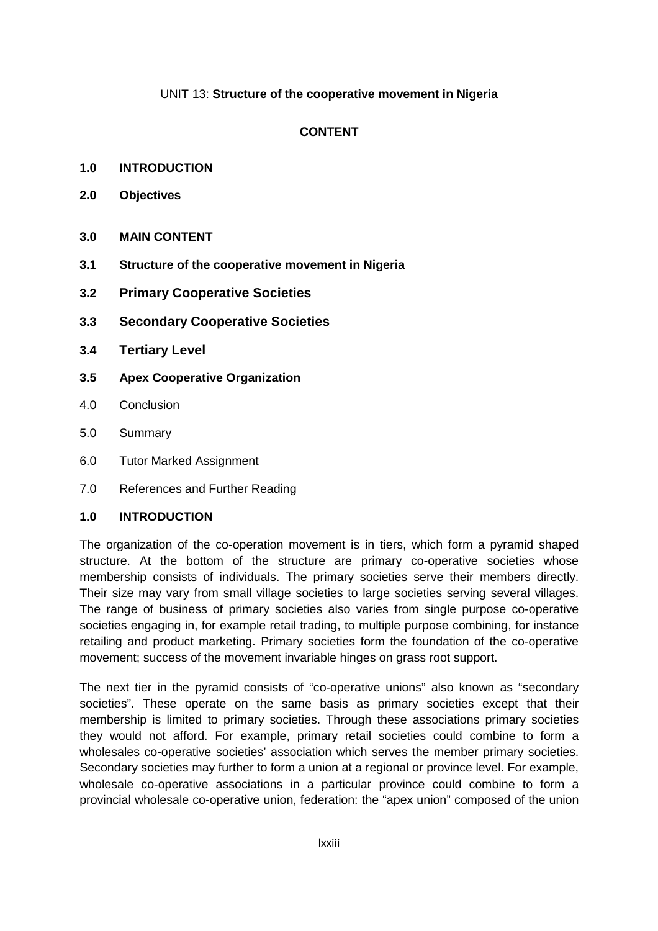#### UNIT 13: **Structure of the cooperative movement in Nigeria**

#### **CONTENT**

#### **1.0 INTRODUCTION**

- **2.0 Objectives**
- **3.0 MAIN CONTENT**
- **3.1 Structure of the cooperative movement in Nigeria**
- **3.2 Primary Cooperative Societies**
- **3.3 Secondary Cooperative Societies**
- **3.4 Tertiary Level**
- **3.5 Apex Cooperative Organization**
- 4.0 Conclusion
- 5.0 Summary
- 6.0 Tutor Marked Assignment
- 7.0 References and Further Reading

#### **1.0 INTRODUCTION**

The organization of the co-operation movement is in tiers, which form a pyramid shaped structure. At the bottom of the structure are primary co-operative societies whose membership consists of individuals. The primary societies serve their members directly. Their size may vary from small village societies to large societies serving several villages. The range of business of primary societies also varies from single purpose co-operative societies engaging in, for example retail trading, to multiple purpose combining, for instance retailing and product marketing. Primary societies form the foundation of the co-operative movement; success of the movement invariable hinges on grass root support.

The next tier in the pyramid consists of "co-operative unions" also known as "secondary societies". These operate on the same basis as primary societies except that their membership is limited to primary societies. Through these associations primary societies they would not afford. For example, primary retail societies could combine to form a wholesales co-operative societies' association which serves the member primary societies. Secondary societies may further to form a union at a regional or province level. For example, wholesale co-operative associations in a particular province could combine to form a provincial wholesale co-operative union, federation: the "apex union" composed of the union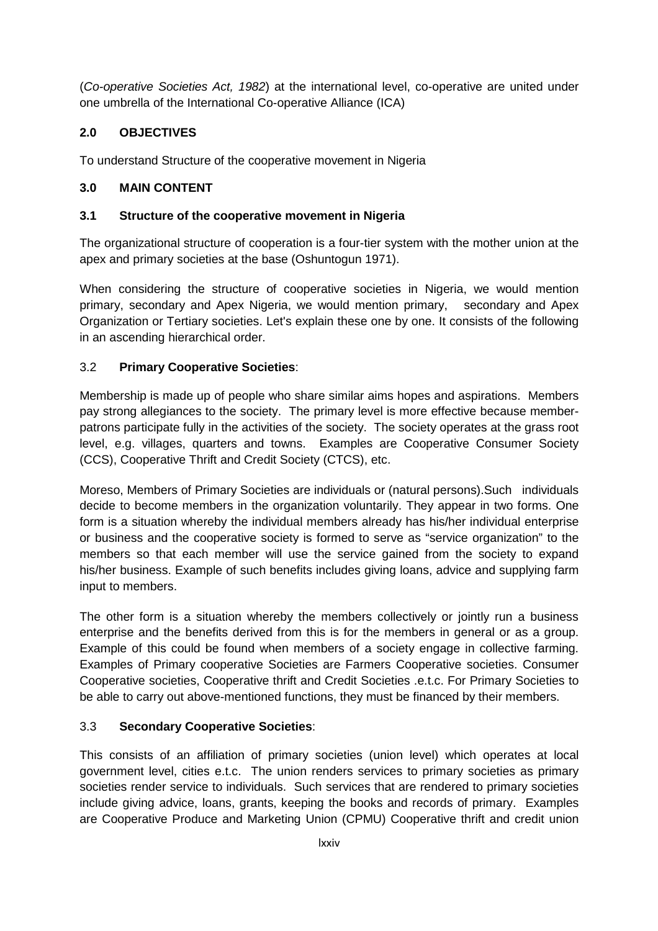(Co-operative Societies Act, 1982) at the international level, co-operative are united under one umbrella of the International Co-operative Alliance (ICA)

#### **2.0 OBJECTIVES**

To understand Structure of the cooperative movement in Nigeria

#### **3.0 MAIN CONTENT**

#### **3.1 Structure of the cooperative movement in Nigeria**

The organizational structure of cooperation is a four-tier system with the mother union at the apex and primary societies at the base (Oshuntogun 1971).

When considering the structure of cooperative societies in Nigeria, we would mention primary, secondary and Apex Nigeria, we would mention primary, secondary and Apex Organization or Tertiary societies. Let's explain these one by one. It consists of the following in an ascending hierarchical order.

#### 3.2 **Primary Cooperative Societies**:

Membership is made up of people who share similar aims hopes and aspirations. Members pay strong allegiances to the society. The primary level is more effective because memberpatrons participate fully in the activities of the society. The society operates at the grass root level, e.g. villages, quarters and towns. Examples are Cooperative Consumer Society (CCS), Cooperative Thrift and Credit Society (CTCS), etc.

Moreso, Members of Primary Societies are individuals or (natural persons).Such individuals decide to become members in the organization voluntarily. They appear in two forms. One form is a situation whereby the individual members already has his/her individual enterprise or business and the cooperative society is formed to serve as "service organization" to the members so that each member will use the service gained from the society to expand his/her business. Example of such benefits includes giving loans, advice and supplying farm input to members.

The other form is a situation whereby the members collectively or jointly run a business enterprise and the benefits derived from this is for the members in general or as a group. Example of this could be found when members of a society engage in collective farming. Examples of Primary cooperative Societies are Farmers Cooperative societies. Consumer Cooperative societies, Cooperative thrift and Credit Societies .e.t.c. For Primary Societies to be able to carry out above-mentioned functions, they must be financed by their members.

#### 3.3 **Secondary Cooperative Societies**:

This consists of an affiliation of primary societies (union level) which operates at local government level, cities e.t.c. The union renders services to primary societies as primary societies render service to individuals. Such services that are rendered to primary societies include giving advice, loans, grants, keeping the books and records of primary. Examples are Cooperative Produce and Marketing Union (CPMU) Cooperative thrift and credit union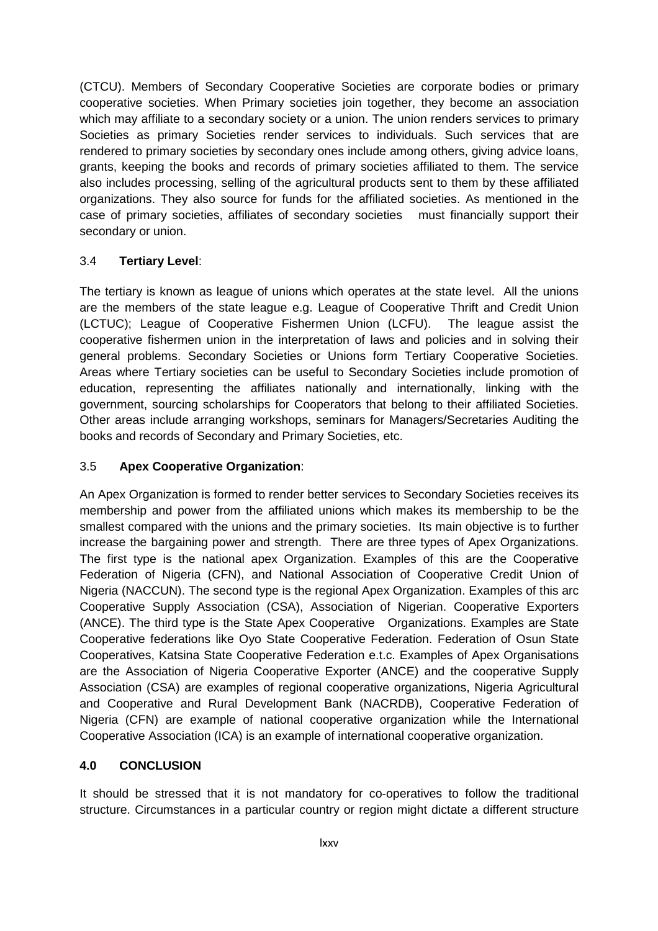(CTCU). Members of Secondary Cooperative Societies are corporate bodies or primary cooperative societies. When Primary societies join together, they become an association which may affiliate to a secondary society or a union. The union renders services to primary Societies as primary Societies render services to individuals. Such services that are rendered to primary societies by secondary ones include among others, giving advice loans, grants, keeping the books and records of primary societies affiliated to them. The service also includes processing, selling of the agricultural products sent to them by these affiliated organizations. They also source for funds for the affiliated societies. As mentioned in the case of primary societies, affiliates of secondary societies must financially support their secondary or union.

#### 3.4 **Tertiary Level**:

The tertiary is known as league of unions which operates at the state level. All the unions are the members of the state league e.g. League of Cooperative Thrift and Credit Union (LCTUC); League of Cooperative Fishermen Union (LCFU). The league assist the cooperative fishermen union in the interpretation of laws and policies and in solving their general problems. Secondary Societies or Unions form Tertiary Cooperative Societies. Areas where Tertiary societies can be useful to Secondary Societies include promotion of education, representing the affiliates nationally and internationally, linking with the government, sourcing scholarships for Cooperators that belong to their affiliated Societies. Other areas include arranging workshops, seminars for Managers/Secretaries Auditing the books and records of Secondary and Primary Societies, etc.

#### 3.5 **Apex Cooperative Organization**:

An Apex Organization is formed to render better services to Secondary Societies receives its membership and power from the affiliated unions which makes its membership to be the smallest compared with the unions and the primary societies. Its main objective is to further increase the bargaining power and strength. There are three types of Apex Organizations. The first type is the national apex Organization. Examples of this are the Cooperative Federation of Nigeria (CFN), and National Association of Cooperative Credit Union of Nigeria (NACCUN). The second type is the regional Apex Organization. Examples of this arc Cooperative Supply Association (CSA), Association of Nigerian. Cooperative Exporters (ANCE). The third type is the State Apex Cooperative Organizations. Examples are State Cooperative federations like Oyo State Cooperative Federation. Federation of Osun State Cooperatives, Katsina State Cooperative Federation e.t.c. Examples of Apex Organisations are the Association of Nigeria Cooperative Exporter (ANCE) and the cooperative Supply Association (CSA) are examples of regional cooperative organizations, Nigeria Agricultural and Cooperative and Rural Development Bank (NACRDB), Cooperative Federation of Nigeria (CFN) are example of national cooperative organization while the International Cooperative Association (ICA) is an example of international cooperative organization.

#### **4.0 CONCLUSION**

It should be stressed that it is not mandatory for co-operatives to follow the traditional structure. Circumstances in a particular country or region might dictate a different structure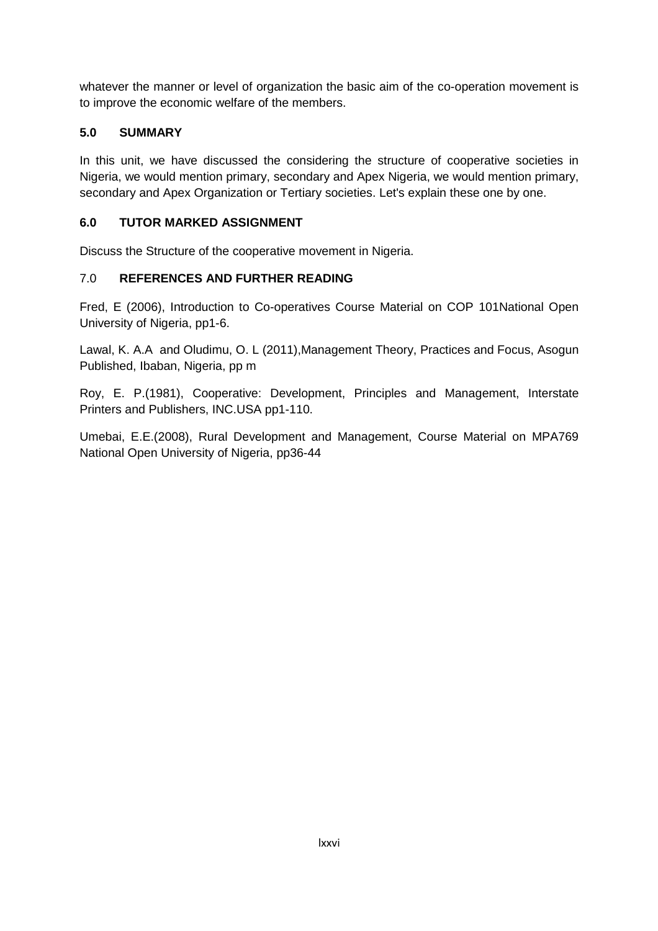whatever the manner or level of organization the basic aim of the co-operation movement is to improve the economic welfare of the members.

#### **5.0 SUMMARY**

In this unit, we have discussed the considering the structure of cooperative societies in Nigeria, we would mention primary, secondary and Apex Nigeria, we would mention primary, secondary and Apex Organization or Tertiary societies. Let's explain these one by one.

#### **6.0 TUTOR MARKED ASSIGNMENT**

Discuss the Structure of the cooperative movement in Nigeria.

#### 7.0 **REFERENCES AND FURTHER READING**

Fred, E (2006), Introduction to Co-operatives Course Material on COP 101National Open University of Nigeria, pp1-6.

Lawal, K. A.A and Oludimu, O. L (2011),Management Theory, Practices and Focus, Asogun Published, Ibaban, Nigeria, pp m

Roy, E. P.(1981), Cooperative: Development, Principles and Management, Interstate Printers and Publishers, INC.USA pp1-110.

Umebai, E.E.(2008), Rural Development and Management, Course Material on MPA769 National Open University of Nigeria, pp36-44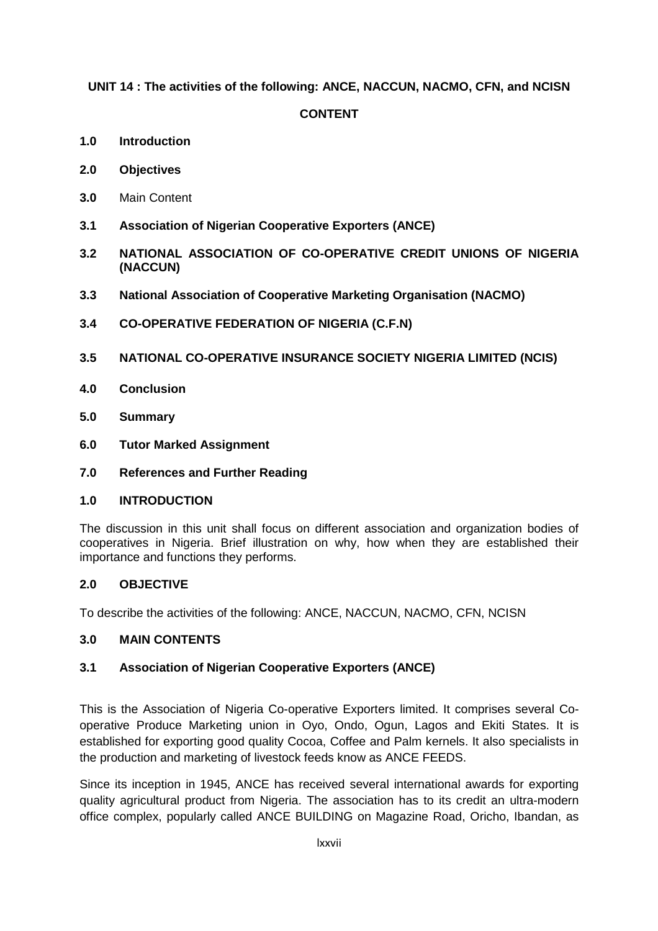#### **UNIT 14 : The activities of the following: ANCE, NACCUN, NACMO, CFN, and NCISN**

#### **CONTENT**

- **1.0 Introduction**
- **2.0 Objectives**
- **3.0** Main Content
- **3.1 Association of Nigerian Cooperative Exporters (ANCE)**
- **3.2 NATIONAL ASSOCIATION OF CO-OPERATIVE CREDIT UNIONS OF NIGERIA (NACCUN)**
- **3.3 National Association of Cooperative Marketing Organisation (NACMO)**
- **3.4 CO-OPERATIVE FEDERATION OF NIGERIA (C.F.N)**
- **3.5 NATIONAL CO-OPERATIVE INSURANCE SOCIETY NIGERIA LIMITED (NCIS)**
- **4.0 Conclusion**
- **5.0 Summary**
- **6.0 Tutor Marked Assignment**
- **7.0 References and Further Reading**

#### **1.0 INTRODUCTION**

The discussion in this unit shall focus on different association and organization bodies of cooperatives in Nigeria. Brief illustration on why, how when they are established their importance and functions they performs.

#### **2.0 OBJECTIVE**

To describe the activities of the following: ANCE, NACCUN, NACMO, CFN, NCISN

#### **3.0 MAIN CONTENTS**

#### **3.1 Association of Nigerian Cooperative Exporters (ANCE)**

This is the Association of Nigeria Co-operative Exporters limited. It comprises several Cooperative Produce Marketing union in Oyo, Ondo, Ogun, Lagos and Ekiti States. It is established for exporting good quality Cocoa, Coffee and Palm kernels. It also specialists in the production and marketing of livestock feeds know as ANCE FEEDS.

Since its inception in 1945, ANCE has received several international awards for exporting quality agricultural product from Nigeria. The association has to its credit an ultra-modern office complex, popularly called ANCE BUILDING on Magazine Road, Oricho, Ibandan, as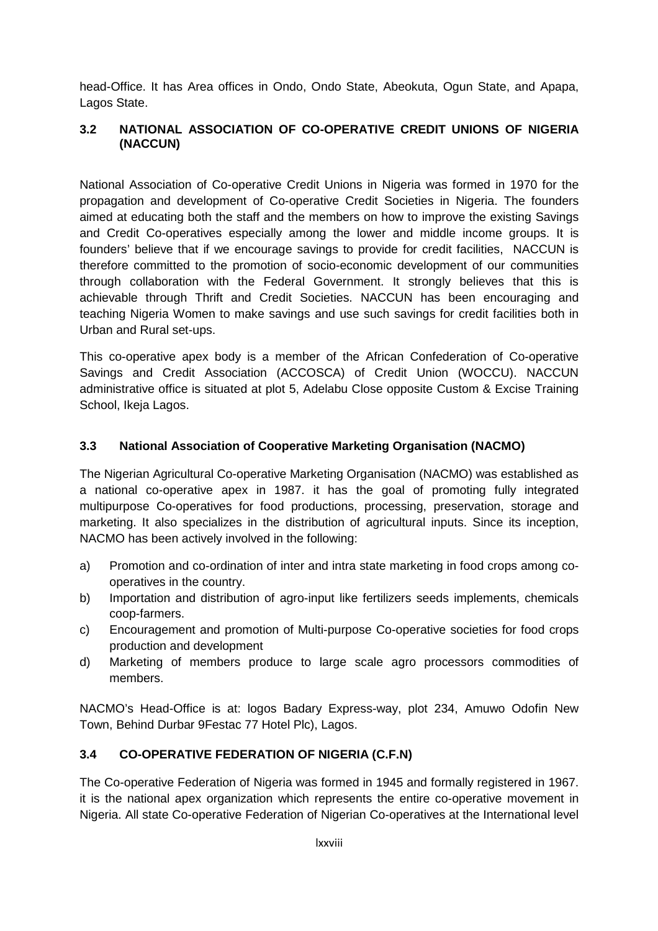head-Office. It has Area offices in Ondo, Ondo State, Abeokuta, Ogun State, and Apapa, Lagos State.

#### **3.2 NATIONAL ASSOCIATION OF CO-OPERATIVE CREDIT UNIONS OF NIGERIA (NACCUN)**

National Association of Co-operative Credit Unions in Nigeria was formed in 1970 for the propagation and development of Co-operative Credit Societies in Nigeria. The founders aimed at educating both the staff and the members on how to improve the existing Savings and Credit Co-operatives especially among the lower and middle income groups. It is founders' believe that if we encourage savings to provide for credit facilities, NACCUN is therefore committed to the promotion of socio-economic development of our communities through collaboration with the Federal Government. It strongly believes that this is achievable through Thrift and Credit Societies. NACCUN has been encouraging and teaching Nigeria Women to make savings and use such savings for credit facilities both in Urban and Rural set-ups.

This co-operative apex body is a member of the African Confederation of Co-operative Savings and Credit Association (ACCOSCA) of Credit Union (WOCCU). NACCUN administrative office is situated at plot 5, Adelabu Close opposite Custom & Excise Training School, Ikeja Lagos.

#### **3.3 National Association of Cooperative Marketing Organisation (NACMO)**

The Nigerian Agricultural Co-operative Marketing Organisation (NACMO) was established as a national co-operative apex in 1987. it has the goal of promoting fully integrated multipurpose Co-operatives for food productions, processing, preservation, storage and marketing. It also specializes in the distribution of agricultural inputs. Since its inception, NACMO has been actively involved in the following:

- a) Promotion and co-ordination of inter and intra state marketing in food crops among cooperatives in the country.
- b) Importation and distribution of agro-input like fertilizers seeds implements, chemicals coop-farmers.
- c) Encouragement and promotion of Multi-purpose Co-operative societies for food crops production and development
- d) Marketing of members produce to large scale agro processors commodities of members.

NACMO's Head-Office is at: logos Badary Express-way, plot 234, Amuwo Odofin New Town, Behind Durbar 9Festac 77 Hotel Plc), Lagos.

#### **3.4 CO-OPERATIVE FEDERATION OF NIGERIA (C.F.N)**

The Co-operative Federation of Nigeria was formed in 1945 and formally registered in 1967. it is the national apex organization which represents the entire co-operative movement in Nigeria. All state Co-operative Federation of Nigerian Co-operatives at the International level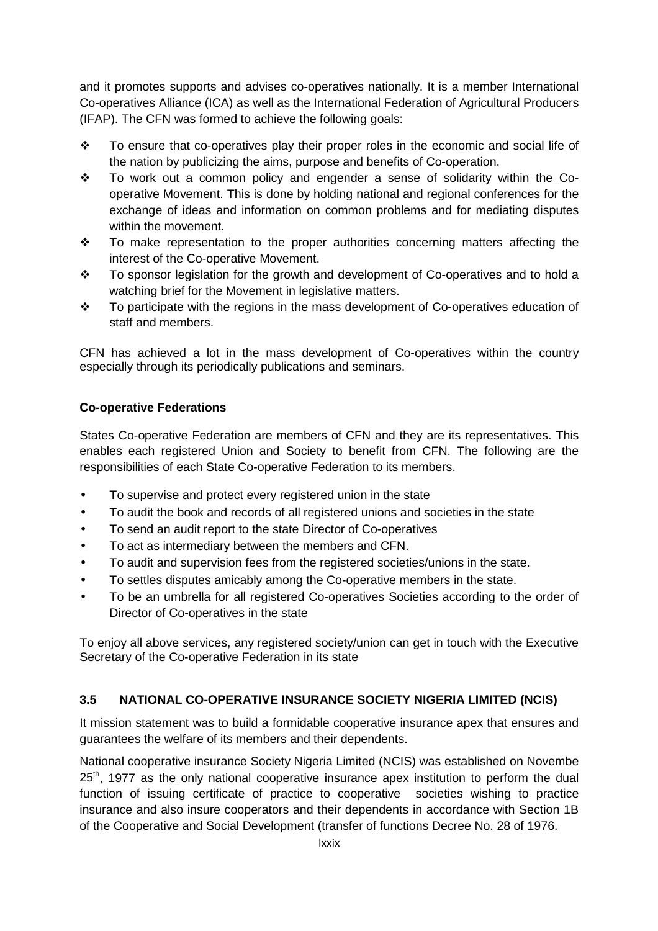and it promotes supports and advises co-operatives nationally. It is a member International Co-operatives Alliance (ICA) as well as the International Federation of Agricultural Producers (IFAP). The CFN was formed to achieve the following goals:

- $\div$  To ensure that co-operatives play their proper roles in the economic and social life of the nation by publicizing the aims, purpose and benefits of Co-operation.
- \* To work out a common policy and engender a sense of solidarity within the Cooperative Movement. This is done by holding national and regional conferences for the exchange of ideas and information on common problems and for mediating disputes within the movement.
- \* To make representation to the proper authorities concerning matters affecting the interest of the Co-operative Movement.
- \* To sponsor legislation for the growth and development of Co-operatives and to hold a watching brief for the Movement in legislative matters.
- $\div$  To participate with the regions in the mass development of Co-operatives education of staff and members.

CFN has achieved a lot in the mass development of Co-operatives within the country especially through its periodically publications and seminars.

#### **Co-operative Federations**

States Co-operative Federation are members of CFN and they are its representatives. This enables each registered Union and Society to benefit from CFN. The following are the responsibilities of each State Co-operative Federation to its members.

- To supervise and protect every registered union in the state
- To audit the book and records of all registered unions and societies in the state
- To send an audit report to the state Director of Co-operatives
- To act as intermediary between the members and CFN.
- To audit and supervision fees from the registered societies/unions in the state.
- To settles disputes amicably among the Co-operative members in the state.
- To be an umbrella for all registered Co-operatives Societies according to the order of Director of Co-operatives in the state

To enjoy all above services, any registered society/union can get in touch with the Executive Secretary of the Co-operative Federation in its state

#### **3.5 NATIONAL CO-OPERATIVE INSURANCE SOCIETY NIGERIA LIMITED (NCIS)**

It mission statement was to build a formidable cooperative insurance apex that ensures and guarantees the welfare of its members and their dependents.

National cooperative insurance Society Nigeria Limited (NCIS) was established on Novembe  $25<sup>th</sup>$ , 1977 as the only national cooperative insurance apex institution to perform the dual function of issuing certificate of practice to cooperative societies wishing to practice insurance and also insure cooperators and their dependents in accordance with Section 1B of the Cooperative and Social Development (transfer of functions Decree No. 28 of 1976.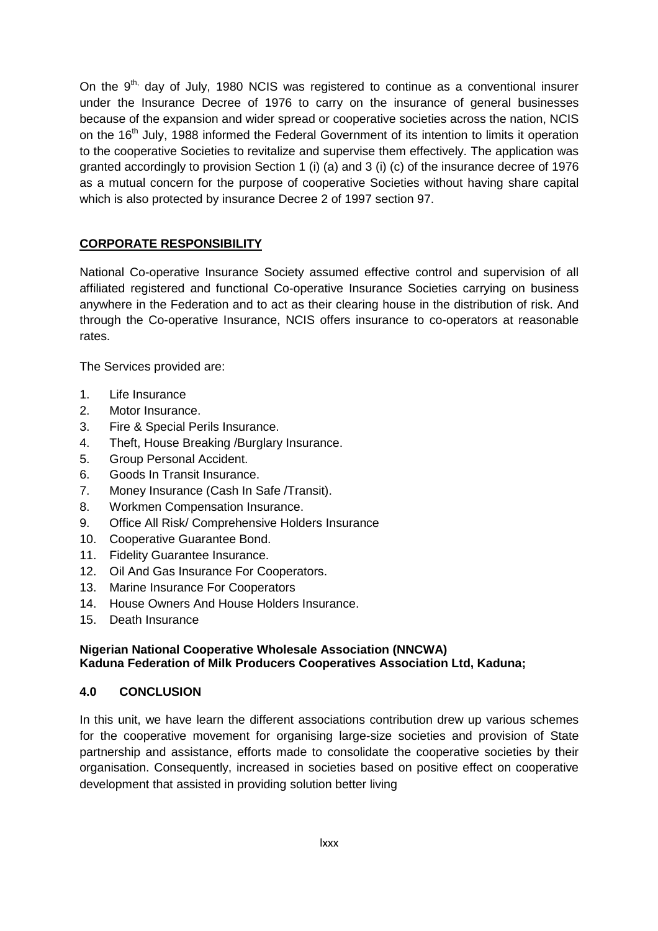On the 9<sup>th,</sup> day of July, 1980 NCIS was registered to continue as a conventional insurer under the Insurance Decree of 1976 to carry on the insurance of general businesses because of the expansion and wider spread or cooperative societies across the nation, NCIS on the 16<sup>th</sup> July, 1988 informed the Federal Government of its intention to limits it operation to the cooperative Societies to revitalize and supervise them effectively. The application was granted accordingly to provision Section 1 (i) (a) and 3 (i) (c) of the insurance decree of 1976 as a mutual concern for the purpose of cooperative Societies without having share capital which is also protected by insurance Decree 2 of 1997 section 97.

#### **CORPORATE RESPONSIBILITY**

National Co-operative Insurance Society assumed effective control and supervision of all affiliated registered and functional Co-operative Insurance Societies carrying on business anywhere in the Federation and to act as their clearing house in the distribution of risk. And through the Co-operative Insurance, NCIS offers insurance to co-operators at reasonable rates.

The Services provided are:

- 1. Life Insurance
- 2. Motor Insurance.
- 3. Fire & Special Perils Insurance.
- 4. Theft, House Breaking /Burglary Insurance.
- 5. Group Personal Accident.
- 6. Goods In Transit Insurance.
- 7. Money Insurance (Cash In Safe /Transit).
- 8. Workmen Compensation Insurance.
- 9. Office All Risk/ Comprehensive Holders Insurance
- 10. Cooperative Guarantee Bond.
- 11. Fidelity Guarantee Insurance.
- 12. Oil And Gas Insurance For Cooperators.
- 13. Marine Insurance For Cooperators
- 14. House Owners And House Holders Insurance.
- 15. Death Insurance

#### **Nigerian National Cooperative Wholesale Association (NNCWA) Kaduna Federation of Milk Producers Cooperatives Association Ltd, Kaduna;**

#### **4.0 CONCLUSION**

In this unit, we have learn the different associations contribution drew up various schemes for the cooperative movement for organising large-size societies and provision of State partnership and assistance, efforts made to consolidate the cooperative societies by their organisation. Consequently, increased in societies based on positive effect on cooperative development that assisted in providing solution better living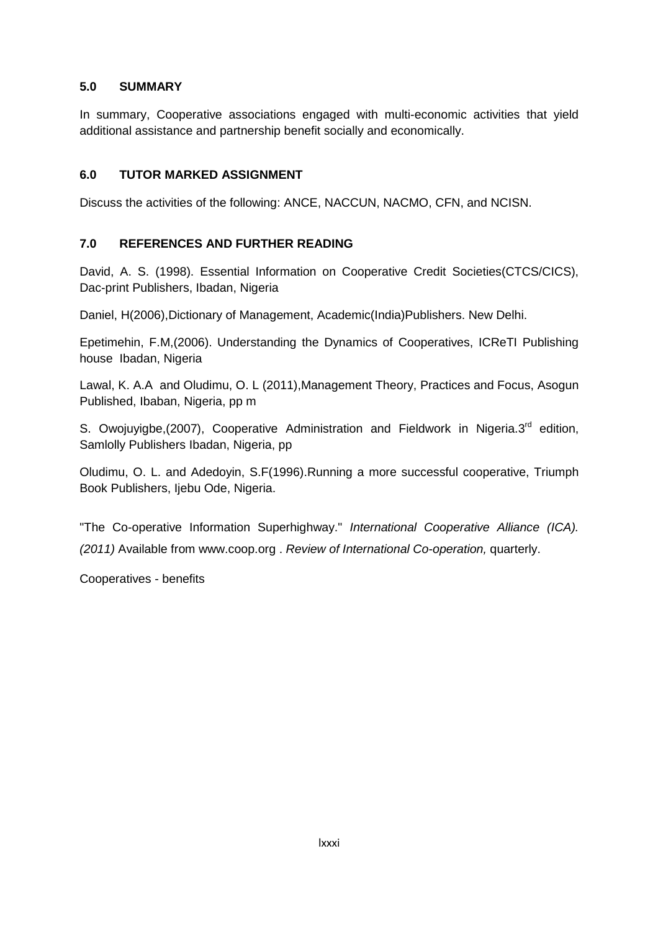#### **5.0 SUMMARY**

In summary, Cooperative associations engaged with multi-economic activities that yield additional assistance and partnership benefit socially and economically.

#### **6.0 TUTOR MARKED ASSIGNMENT**

Discuss the activities of the following: ANCE, NACCUN, NACMO, CFN, and NCISN.

#### **7.0 REFERENCES AND FURTHER READING**

David, A. S. (1998). Essential Information on Cooperative Credit Societies(CTCS/CICS), Dac-print Publishers, Ibadan, Nigeria

Daniel, H(2006),Dictionary of Management, Academic(India)Publishers. New Delhi.

Epetimehin, F.M,(2006). Understanding the Dynamics of Cooperatives, ICReTI Publishing house Ibadan, Nigeria

Lawal, K. A.A and Oludimu, O. L (2011),Management Theory, Practices and Focus, Asogun Published, Ibaban, Nigeria, pp m

S. Owojuyigbe, (2007), Cooperative Administration and Fieldwork in Nigeria.3<sup>rd</sup> edition, Samlolly Publishers Ibadan, Nigeria, pp

Oludimu, O. L. and Adedoyin, S.F(1996).Running a more successful cooperative, Triumph Book Publishers, Ijebu Ode, Nigeria.

"The Co-operative Information Superhighway." International Cooperative Alliance (ICA). (2011) Available from www.coop.org . Review of International Co-operation, quarterly.

Cooperatives - benefits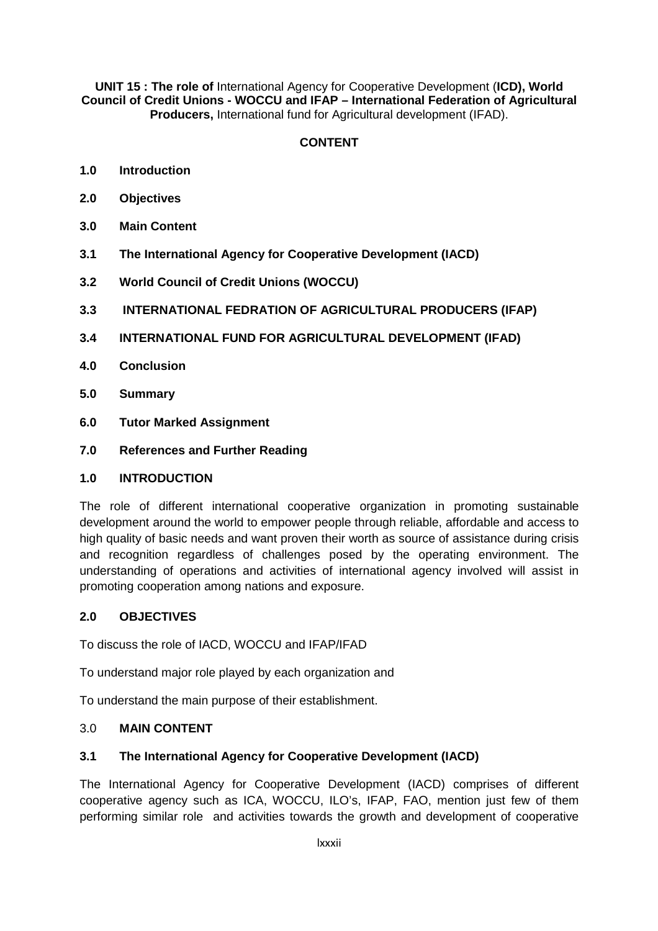**UNIT 15 : The role of** International Agency for Cooperative Development (**ICD), World Council of Credit Unions - WOCCU and IFAP – International Federation of Agricultural Producers,** International fund for Agricultural development (IFAD).

#### **CONTENT**

- **1.0 Introduction**
- **2.0 Objectives**
- **3.0 Main Content**
- **3.1 The International Agency for Cooperative Development (IACD)**
- **3.2 World Council of Credit Unions (WOCCU)**
- **3.3 INTERNATIONAL FEDRATION OF AGRICULTURAL PRODUCERS (IFAP)**
- **3.4 INTERNATIONAL FUND FOR AGRICULTURAL DEVELOPMENT (IFAD)**
- **4.0 Conclusion**
- **5.0 Summary**
- **6.0 Tutor Marked Assignment**
- **7.0 References and Further Reading**

#### **1.0 INTRODUCTION**

The role of different international cooperative organization in promoting sustainable development around the world to empower people through reliable, affordable and access to high quality of basic needs and want proven their worth as source of assistance during crisis and recognition regardless of challenges posed by the operating environment. The understanding of operations and activities of international agency involved will assist in promoting cooperation among nations and exposure.

#### **2.0 OBJECTIVES**

To discuss the role of IACD, WOCCU and IFAP/IFAD

To understand major role played by each organization and

To understand the main purpose of their establishment.

#### 3.0 **MAIN CONTENT**

#### **3.1 The International Agency for Cooperative Development (IACD)**

The International Agency for Cooperative Development (IACD) comprises of different cooperative agency such as ICA, WOCCU, ILO's, IFAP, FAO, mention just few of them performing similar role and activities towards the growth and development of cooperative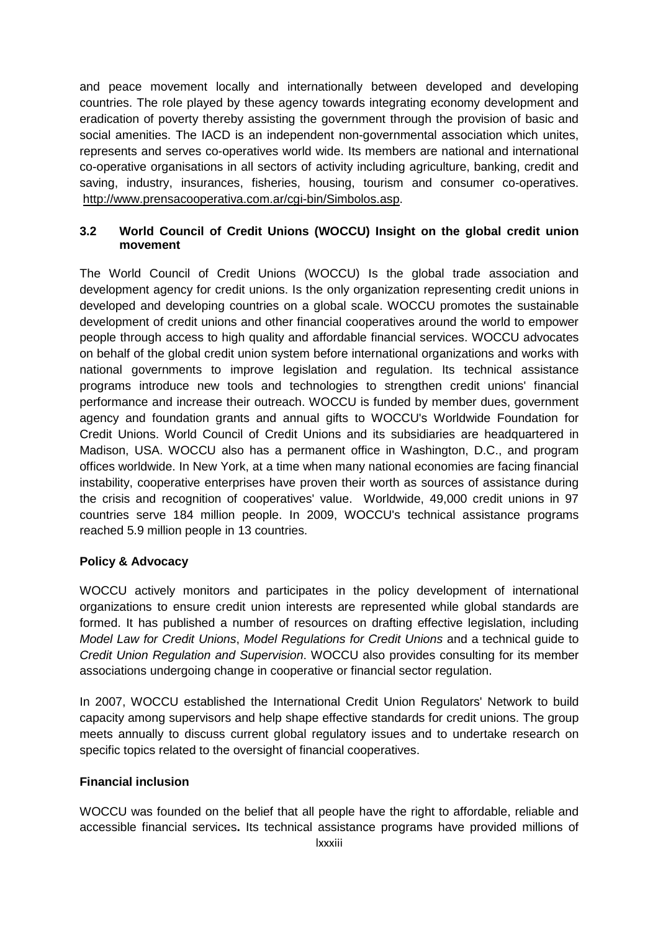and peace movement locally and internationally between developed and developing countries. The role played by these agency towards integrating economy development and eradication of poverty thereby assisting the government through the provision of basic and social amenities. The IACD is an independent non-governmental association which unites, represents and serves co-operatives world wide. Its members are national and international co-operative organisations in all sectors of activity including agriculture, banking, credit and saving, industry, insurances, fisheries, housing, tourism and consumer co-operatives. http://www.prensacooperativa.com.ar/cgi-bin/Simbolos.asp.

#### **3.2 World Council of Credit Unions (WOCCU) Insight on the global credit union movement**

The World Council of Credit Unions (WOCCU) Is the global trade association and development agency for credit unions. Is the only organization representing credit unions in developed and developing countries on a global scale. WOCCU promotes the sustainable development of credit unions and other financial cooperatives around the world to empower people through access to high quality and affordable financial services. WOCCU advocates on behalf of the global credit union system before international organizations and works with national governments to improve legislation and regulation. Its technical assistance programs introduce new tools and technologies to strengthen credit unions' financial performance and increase their outreach. WOCCU is funded by member dues, government agency and foundation grants and annual gifts to WOCCU's Worldwide Foundation for Credit Unions. World Council of Credit Unions and its subsidiaries are headquartered in Madison, USA. WOCCU also has a permanent office in Washington, D.C., and program offices worldwide. In New York, at a time when many national economies are facing financial instability, cooperative enterprises have proven their worth as sources of assistance during the crisis and recognition of cooperatives' value. Worldwide, 49,000 credit unions in 97 countries serve 184 million people. In 2009, WOCCU's technical assistance programs reached 5.9 million people in 13 countries.

#### **Policy & Advocacy**

WOCCU actively monitors and participates in the policy development of international organizations to ensure credit union interests are represented while global standards are formed. It has published a number of resources on drafting effective legislation, including Model Law for Credit Unions, Model Regulations for Credit Unions and a technical guide to Credit Union Regulation and Supervision. WOCCU also provides consulting for its member associations undergoing change in cooperative or financial sector regulation.

In 2007, WOCCU established the International Credit Union Regulators' Network to build capacity among supervisors and help shape effective standards for credit unions. The group meets annually to discuss current global regulatory issues and to undertake research on specific topics related to the oversight of financial cooperatives.

#### **Financial inclusion**

WOCCU was founded on the belief that all people have the right to affordable, reliable and accessible financial services**.** Its technical assistance programs have provided millions of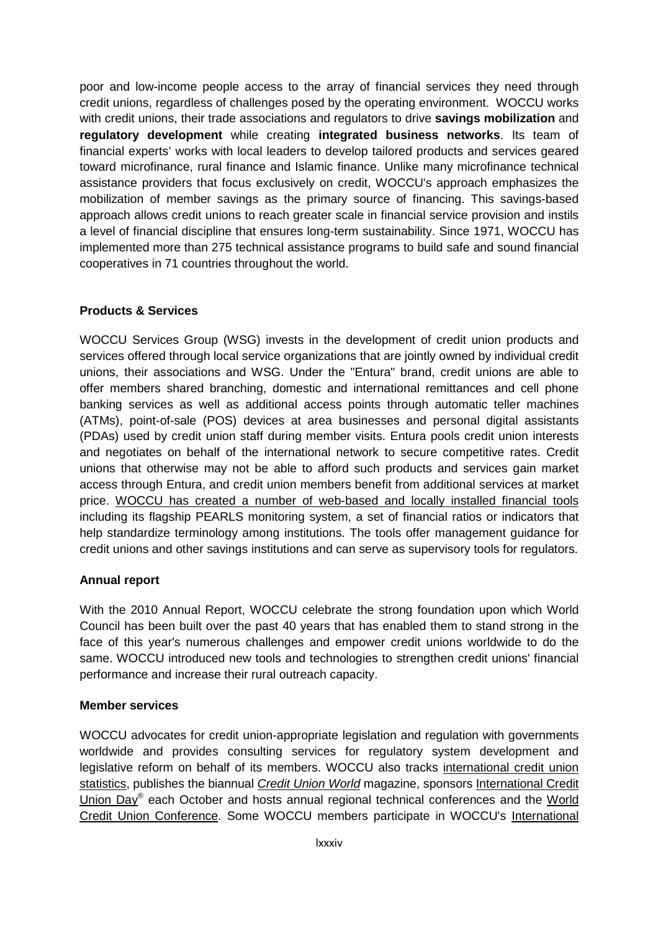poor and low-income people access to the array of financial services they need through credit unions, regardless of challenges posed by the operating environment. WOCCU works with credit unions, their trade associations and regulators to drive **savings mobilization** and **regulatory development** while creating **integrated business networks**. Its team of financial experts' works with local leaders to develop tailored products and services geared toward microfinance, rural finance and Islamic finance. Unlike many microfinance technical assistance providers that focus exclusively on credit, WOCCU's approach emphasizes the mobilization of member savings as the primary source of financing. This savings-based approach allows credit unions to reach greater scale in financial service provision and instils a level of financial discipline that ensures long-term sustainability. Since 1971, WOCCU has implemented more than 275 technical assistance programs to build safe and sound financial cooperatives in 71 countries throughout the world.

#### **Products & Services**

WOCCU Services Group (WSG) invests in the development of credit union products and services offered through local service organizations that are jointly owned by individual credit unions, their associations and WSG. Under the "Entura" brand, credit unions are able to offer members shared branching, domestic and international remittances and cell phone banking services as well as additional access points through automatic teller machines (ATMs), point-of-sale (POS) devices at area businesses and personal digital assistants (PDAs) used by credit union staff during member visits. Entura pools credit union interests and negotiates on behalf of the international network to secure competitive rates. Credit unions that otherwise may not be able to afford such products and services gain market access through Entura, and credit union members benefit from additional services at market price. WOCCU has created a number of web-based and locally installed financial tools including its flagship PEARLS monitoring system, a set of financial ratios or indicators that help standardize terminology among institutions. The tools offer management guidance for credit unions and other savings institutions and can serve as supervisory tools for regulators.

#### **Annual report**

With the 2010 Annual Report, WOCCU celebrate the strong foundation upon which World Council has been built over the past 40 years that has enabled them to stand strong in the face of this year's numerous challenges and empower credit unions worldwide to do the same. WOCCU introduced new tools and technologies to strengthen credit unions' financial performance and increase their rural outreach capacity.

#### **Member services**

WOCCU advocates for credit union-appropriate legislation and regulation with governments worldwide and provides consulting services for regulatory system development and legislative reform on behalf of its members. WOCCU also tracks international credit union statistics, publishes the biannual Credit Union World magazine, sponsors International Credit Union Day® each October and hosts annual regional technical conferences and the World Credit Union Conference. Some WOCCU members participate in WOCCU's International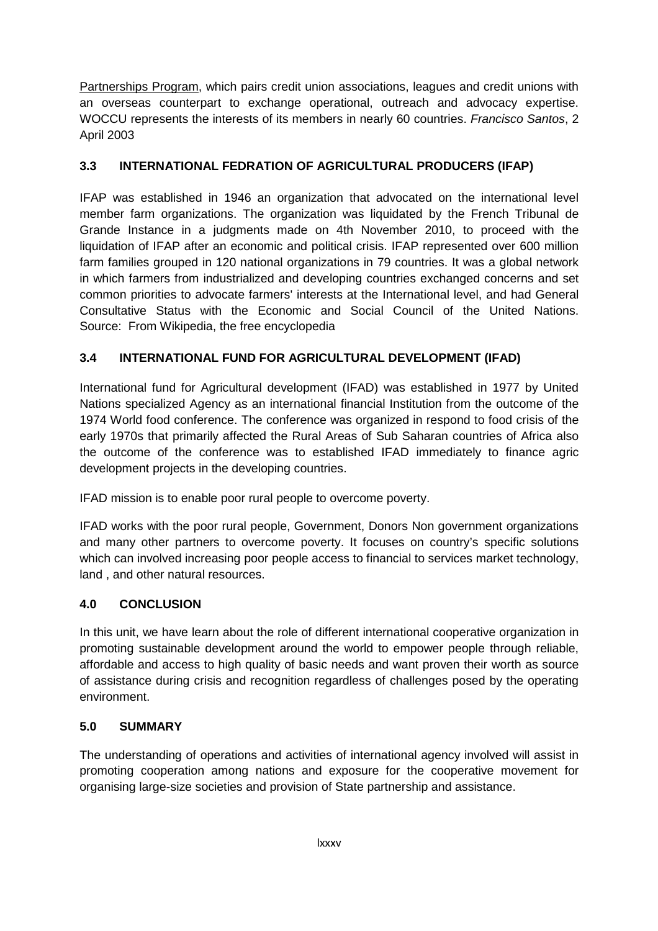Partnerships Program, which pairs credit union associations, leagues and credit unions with an overseas counterpart to exchange operational, outreach and advocacy expertise. WOCCU represents the interests of its members in nearly 60 countries. Francisco Santos, 2 April 2003

#### **3.3 INTERNATIONAL FEDRATION OF AGRICULTURAL PRODUCERS (IFAP)**

IFAP was established in 1946 an organization that advocated on the international level member farm organizations. The organization was liquidated by the French Tribunal de Grande Instance in a judgments made on 4th November 2010, to proceed with the liquidation of IFAP after an economic and political crisis. IFAP represented over 600 million farm families grouped in 120 national organizations in 79 countries. It was a global network in which farmers from industrialized and developing countries exchanged concerns and set common priorities to advocate farmers' interests at the International level, and had General Consultative Status with the Economic and Social Council of the United Nations. Source: From Wikipedia, the free encyclopedia

#### **3.4 INTERNATIONAL FUND FOR AGRICULTURAL DEVELOPMENT (IFAD)**

International fund for Agricultural development (IFAD) was established in 1977 by United Nations specialized Agency as an international financial Institution from the outcome of the 1974 World food conference. The conference was organized in respond to food crisis of the early 1970s that primarily affected the Rural Areas of Sub Saharan countries of Africa also the outcome of the conference was to established IFAD immediately to finance agric development projects in the developing countries.

IFAD mission is to enable poor rural people to overcome poverty.

IFAD works with the poor rural people, Government, Donors Non government organizations and many other partners to overcome poverty. It focuses on country's specific solutions which can involved increasing poor people access to financial to services market technology, land , and other natural resources.

#### **4.0 CONCLUSION**

In this unit, we have learn about the role of different international cooperative organization in promoting sustainable development around the world to empower people through reliable, affordable and access to high quality of basic needs and want proven their worth as source of assistance during crisis and recognition regardless of challenges posed by the operating environment.

#### **5.0 SUMMARY**

The understanding of operations and activities of international agency involved will assist in promoting cooperation among nations and exposure for the cooperative movement for organising large-size societies and provision of State partnership and assistance.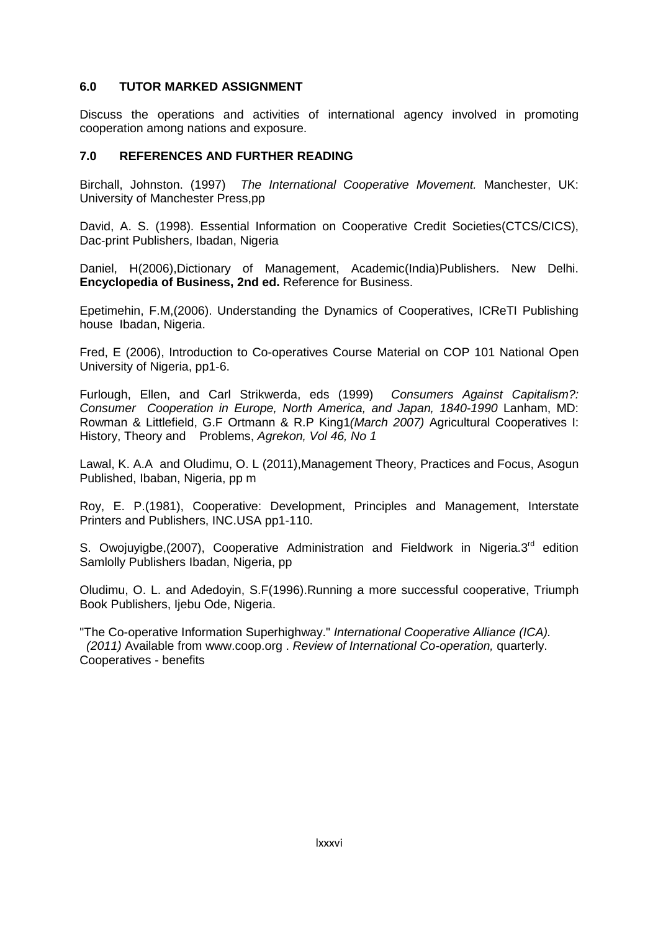#### **6.0 TUTOR MARKED ASSIGNMENT**

Discuss the operations and activities of international agency involved in promoting cooperation among nations and exposure.

#### **7.0 REFERENCES AND FURTHER READING**

Birchall, Johnston. (1997) The International Cooperative Movement. Manchester, UK: University of Manchester Press,pp

David, A. S. (1998). Essential Information on Cooperative Credit Societies(CTCS/CICS), Dac-print Publishers, Ibadan, Nigeria

Daniel, H(2006),Dictionary of Management, Academic(India)Publishers. New Delhi. **Encyclopedia of Business, 2nd ed.** Reference for Business.

Epetimehin, F.M,(2006). Understanding the Dynamics of Cooperatives, ICReTI Publishing house Ibadan, Nigeria.

Fred, E (2006), Introduction to Co-operatives Course Material on COP 101 National Open University of Nigeria, pp1-6.

Furlough, Ellen, and Carl Strikwerda, eds (1999) Consumers Against Capitalism?: Consumer Cooperation in Europe, North America, and Japan, 1840-1990 Lanham, MD: Rowman & Littlefield, G.F Ortmann & R.P King1(March 2007) Agricultural Cooperatives I: History, Theory and Problems, Agrekon, Vol 46, No 1

Lawal, K. A.A and Oludimu, O. L (2011),Management Theory, Practices and Focus, Asogun Published, Ibaban, Nigeria, pp m

Roy, E. P.(1981), Cooperative: Development, Principles and Management, Interstate Printers and Publishers, INC.USA pp1-110.

S. Owojuyigbe,  $(2007)$ , Cooperative Administration and Fieldwork in Nigeria. $3<sup>rd</sup>$  edition Samlolly Publishers Ibadan, Nigeria, pp

Oludimu, O. L. and Adedoyin, S.F(1996).Running a more successful cooperative, Triumph Book Publishers, Ijebu Ode, Nigeria.

"The Co-operative Information Superhighway." International Cooperative Alliance (ICA). (2011) Available from www.coop.org . Review of International Co-operation, quarterly. Cooperatives - benefits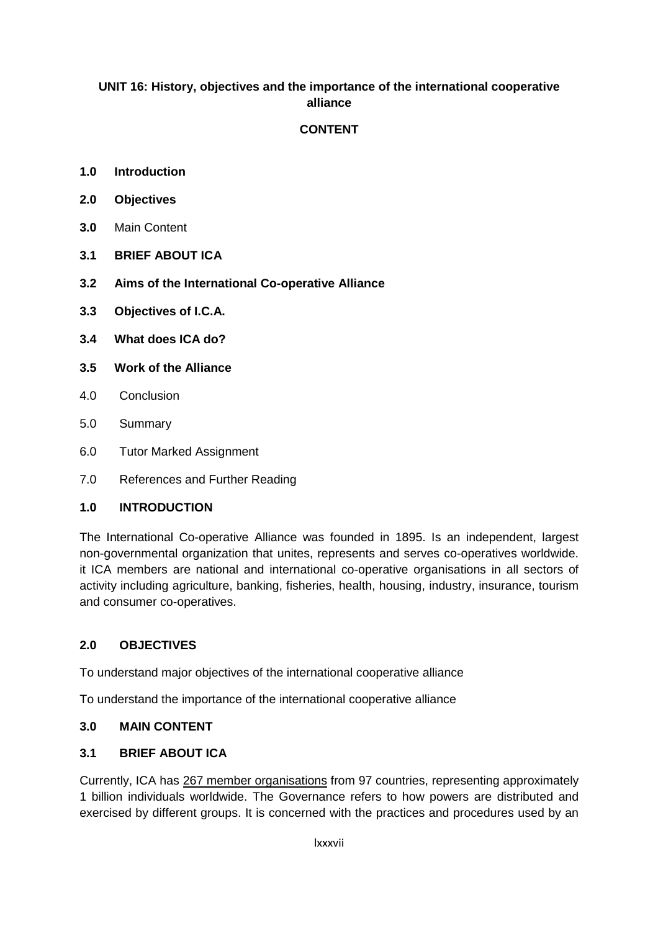#### **UNIT 16: History, objectives and the importance of the international cooperative alliance**

#### **CONTENT**

- **1.0 Introduction**
- **2.0 Objectives**
- **3.0** Main Content
- **3.1 BRIEF ABOUT ICA**
- **3.2 Aims of the International Co-operative Alliance**
- **3.3 Objectives of I.C.A.**
- **3.4 What does ICA do?**
- **3.5 Work of the Alliance**
- 4.0 Conclusion
- 5.0 Summary
- 6.0 Tutor Marked Assignment
- 7.0 References and Further Reading

#### **1.0 INTRODUCTION**

The International Co-operative Alliance was founded in 1895. Is an independent, largest non-governmental organization that unites, represents and serves co-operatives worldwide. it ICA members are national and international co-operative organisations in all sectors of activity including agriculture, banking, fisheries, health, housing, industry, insurance, tourism and consumer co-operatives.

#### **2.0 OBJECTIVES**

To understand major objectives of the international cooperative alliance

To understand the importance of the international cooperative alliance

#### **3.0 MAIN CONTENT**

#### **3.1 BRIEF ABOUT ICA**

Currently, ICA has 267 member organisations from 97 countries, representing approximately 1 billion individuals worldwide. The Governance refers to how powers are distributed and exercised by different groups. It is concerned with the practices and procedures used by an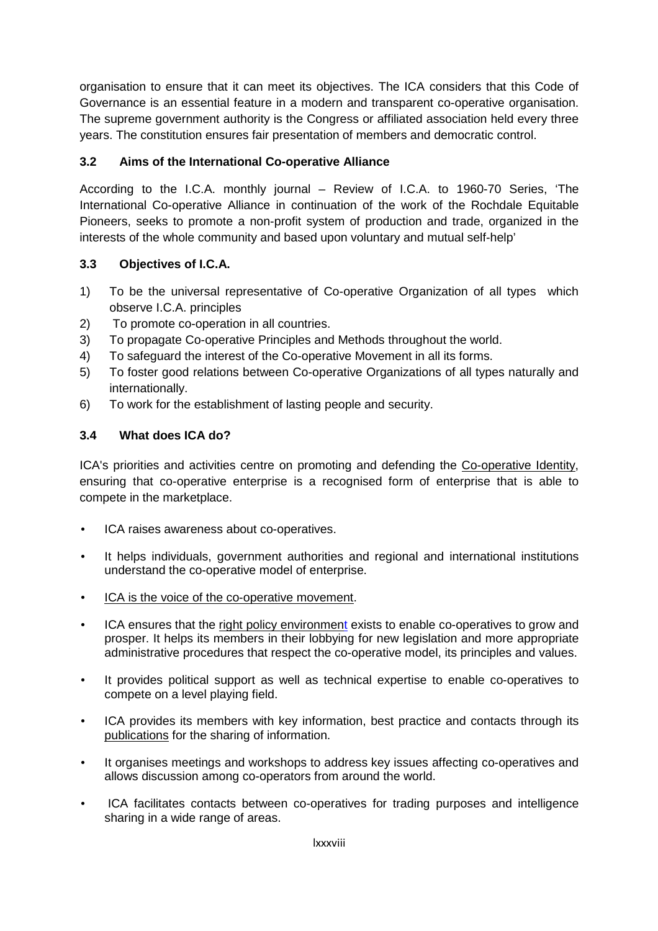organisation to ensure that it can meet its objectives. The ICA considers that this Code of Governance is an essential feature in a modern and transparent co-operative organisation. The supreme government authority is the Congress or affiliated association held every three years. The constitution ensures fair presentation of members and democratic control.

#### **3.2 Aims of the International Co-operative Alliance**

According to the I.C.A. monthly journal – Review of I.C.A. to 1960-70 Series, 'The International Co-operative Alliance in continuation of the work of the Rochdale Equitable Pioneers, seeks to promote a non-profit system of production and trade, organized in the interests of the whole community and based upon voluntary and mutual self-help'

#### **3.3 Objectives of I.C.A.**

- 1) To be the universal representative of Co-operative Organization of all types which observe I.C.A. principles
- 2) To promote co-operation in all countries.
- 3) To propagate Co-operative Principles and Methods throughout the world.
- 4) To safeguard the interest of the Co-operative Movement in all its forms.
- 5) To foster good relations between Co-operative Organizations of all types naturally and internationally.
- 6) To work for the establishment of lasting people and security.

### **3.4 What does ICA do?**

ICA's priorities and activities centre on promoting and defending the Co-operative Identity, ensuring that co-operative enterprise is a recognised form of enterprise that is able to compete in the marketplace.

- ICA raises awareness about co-operatives.
- It helps individuals, government authorities and regional and international institutions understand the co-operative model of enterprise.
- ICA is the voice of the co-operative movement.
- ICA ensures that the right policy environment exists to enable co-operatives to grow and prosper. It helps its members in their lobbying for new legislation and more appropriate administrative procedures that respect the co-operative model, its principles and values.
- It provides political support as well as technical expertise to enable co-operatives to compete on a level playing field.
- ICA provides its members with key information, best practice and contacts through its publications for the sharing of information.
- It organises meetings and workshops to address key issues affecting co-operatives and allows discussion among co-operators from around the world.
- ICA facilitates contacts between co-operatives for trading purposes and intelligence sharing in a wide range of areas.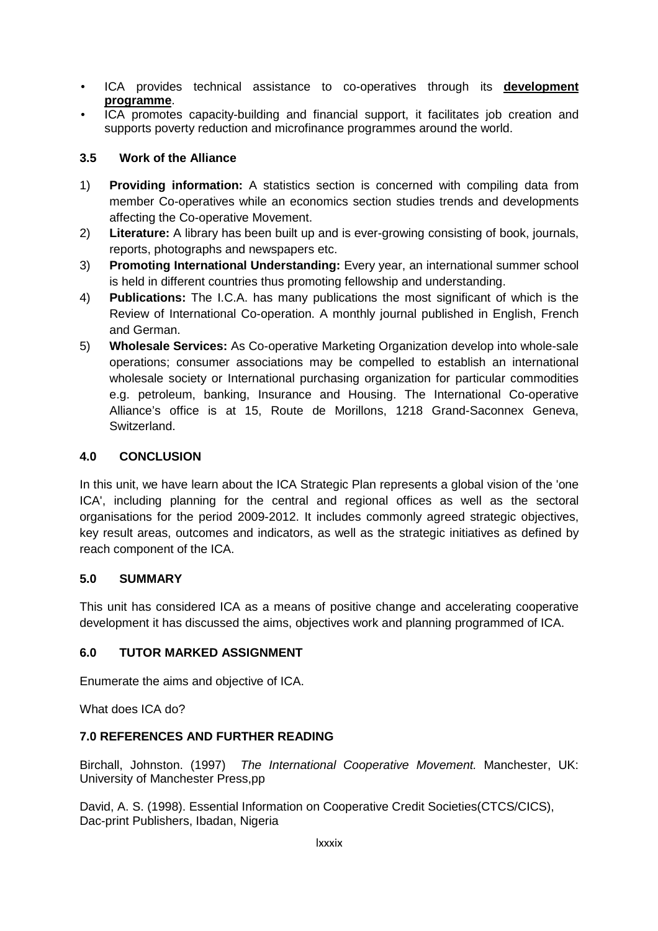- ICA provides technical assistance to co-operatives through its **development programme**.
- ICA promotes capacity-building and financial support, it facilitates job creation and supports poverty reduction and microfinance programmes around the world.

#### **3.5 Work of the Alliance**

- 1) **Providing information:** A statistics section is concerned with compiling data from member Co-operatives while an economics section studies trends and developments affecting the Co-operative Movement.
- 2) **Literature:** A library has been built up and is ever-growing consisting of book, journals, reports, photographs and newspapers etc.
- 3) **Promoting International Understanding:** Every year, an international summer school is held in different countries thus promoting fellowship and understanding.
- 4) **Publications:** The I.C.A. has many publications the most significant of which is the Review of International Co-operation. A monthly journal published in English, French and German.
- 5) **Wholesale Services:** As Co-operative Marketing Organization develop into whole-sale operations; consumer associations may be compelled to establish an international wholesale society or International purchasing organization for particular commodities e.g. petroleum, banking, Insurance and Housing. The International Co-operative Alliance's office is at 15, Route de Morillons, 1218 Grand-Saconnex Geneva, Switzerland.

#### **4.0 CONCLUSION**

In this unit, we have learn about the ICA Strategic Plan represents a global vision of the 'one ICA', including planning for the central and regional offices as well as the sectoral organisations for the period 2009-2012. It includes commonly agreed strategic objectives, key result areas, outcomes and indicators, as well as the strategic initiatives as defined by reach component of the ICA.

#### **5.0 SUMMARY**

This unit has considered ICA as a means of positive change and accelerating cooperative development it has discussed the aims, objectives work and planning programmed of ICA.

#### **6.0 TUTOR MARKED ASSIGNMENT**

Enumerate the aims and objective of ICA.

What does ICA do?

#### **7.0 REFERENCES AND FURTHER READING**

Birchall, Johnston. (1997) The International Cooperative Movement. Manchester, UK: University of Manchester Press,pp

David, A. S. (1998). Essential Information on Cooperative Credit Societies(CTCS/CICS), Dac-print Publishers, Ibadan, Nigeria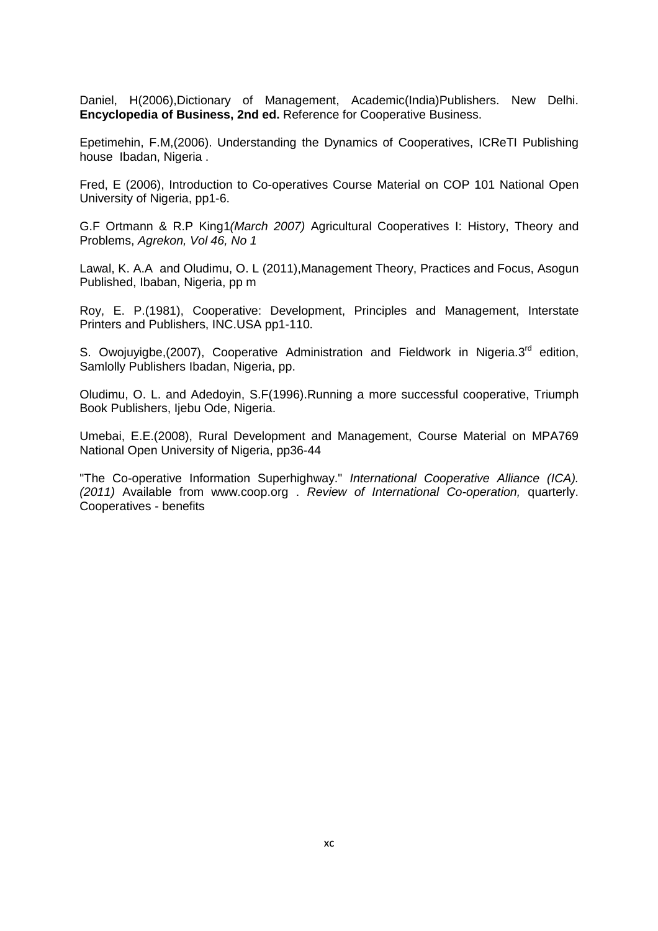Daniel, H(2006),Dictionary of Management, Academic(India)Publishers. New Delhi. **Encyclopedia of Business, 2nd ed.** Reference for Cooperative Business.

Epetimehin, F.M,(2006). Understanding the Dynamics of Cooperatives, ICReTI Publishing house Ibadan, Nigeria .

Fred, E (2006), Introduction to Co-operatives Course Material on COP 101 National Open University of Nigeria, pp1-6.

G.F Ortmann & R.P King1(March 2007) Agricultural Cooperatives I: History, Theory and Problems, Agrekon, Vol 46, No 1

Lawal, K. A.A and Oludimu, O. L (2011),Management Theory, Practices and Focus, Asogun Published, Ibaban, Nigeria, pp m

Roy, E. P.(1981), Cooperative: Development, Principles and Management, Interstate Printers and Publishers, INC.USA pp1-110.

S. Owojuyigbe,(2007), Cooperative Administration and Fieldwork in Nigeria.3<sup>rd</sup> edition, Samlolly Publishers Ibadan, Nigeria, pp.

Oludimu, O. L. and Adedoyin, S.F(1996).Running a more successful cooperative, Triumph Book Publishers, Ijebu Ode, Nigeria.

Umebai, E.E.(2008), Rural Development and Management, Course Material on MPA769 National Open University of Nigeria, pp36-44

"The Co-operative Information Superhighway." International Cooperative Alliance (ICA). (2011) Available from www.coop.org . Review of International Co-operation, quarterly. Cooperatives - benefits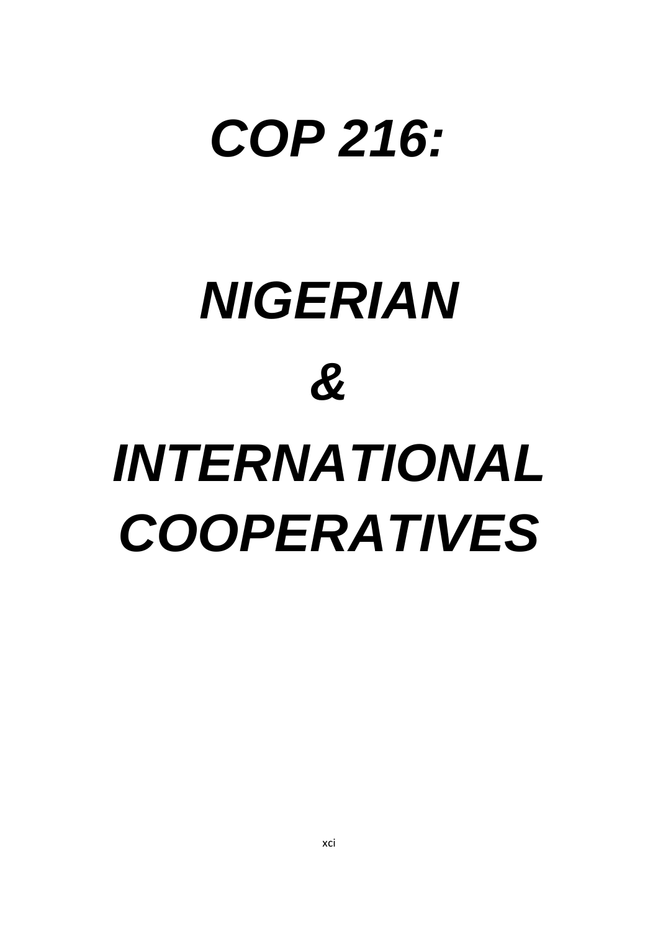# **COP 216:**

# **NIGERIAN & INTERNATIONAL COOPERATIVES**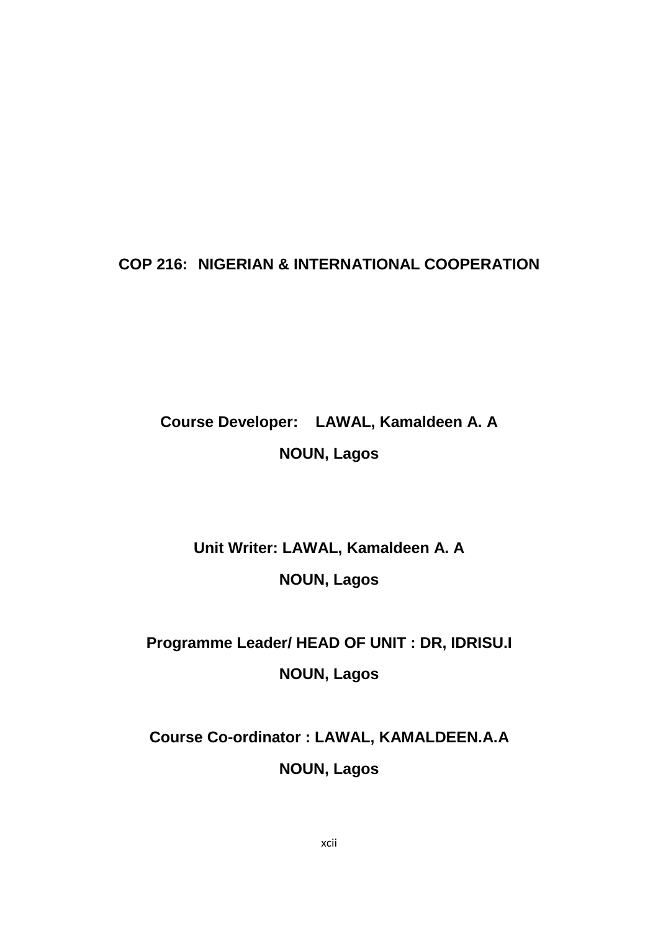### **COP 216: NIGERIAN & INTERNATIONAL COOPERATION**

## **Course Developer: LAWAL, Kamaldeen A. A NOUN, Lagos**

## **Unit Writer: LAWAL, Kamaldeen A. A NOUN, Lagos**

## **Programme Leader/ HEAD OF UNIT : DR, IDRISU.I NOUN, Lagos**

## **Course Co-ordinator : LAWAL, KAMALDEEN.A.A NOUN, Lagos**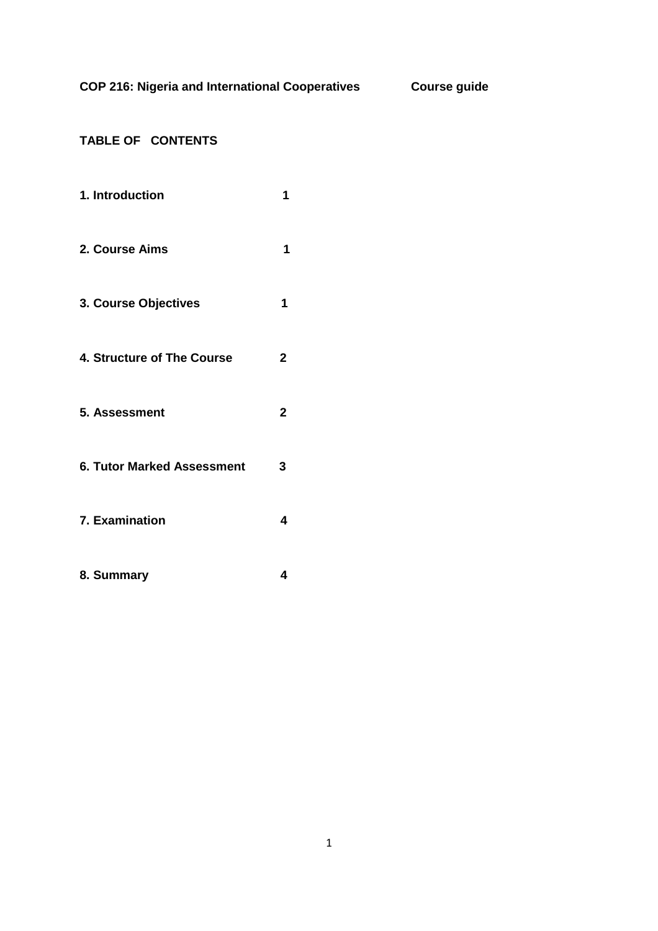#### **TABLE OF CONTENTS**

- **1. Introduction** 1
- **2. Course Aims 1**
- **3. Course Objectives 1**
- **4. Structure of The Course 2**
- **5. Assessment 2**
- **6. Tutor Marked Assessment 3**
- **7. Examination 4**
- **8. Summary 4**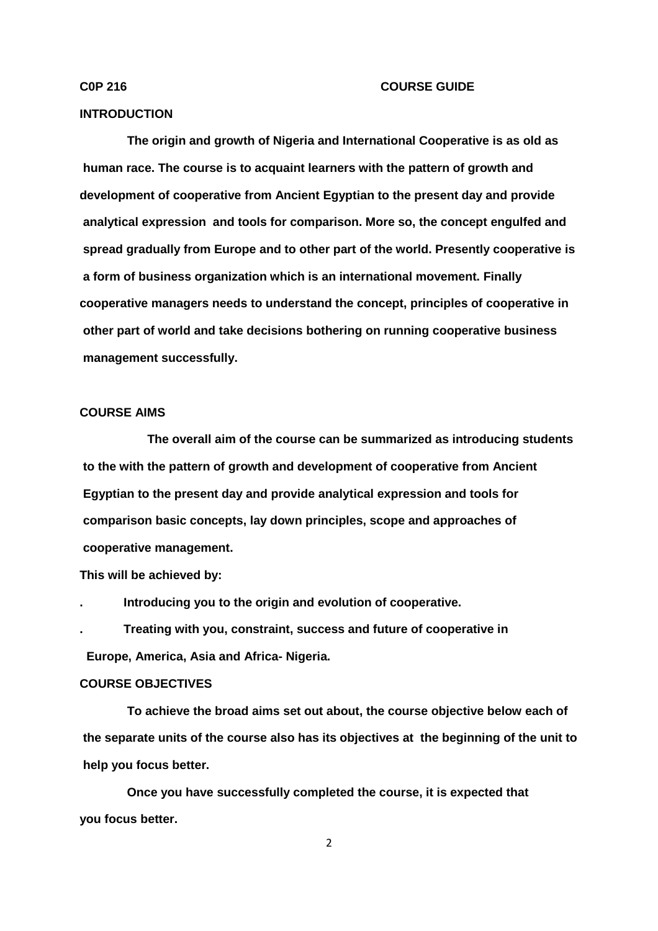#### **C0P 216 COURSE GUIDE**

#### **INTRODUCTION**

 **The origin and growth of Nigeria and International Cooperative is as old as human race. The course is to acquaint learners with the pattern of growth and development of cooperative from Ancient Egyptian to the present day and provide analytical expression and tools for comparison. More so, the concept engulfed and spread gradually from Europe and to other part of the world. Presently cooperative is a form of business organization which is an international movement. Finally cooperative managers needs to understand the concept, principles of cooperative in other part of world and take decisions bothering on running cooperative business management successfully.** 

#### **COURSE AIMS**

 **The overall aim of the course can be summarized as introducing students to the with the pattern of growth and development of cooperative from Ancient Egyptian to the present day and provide analytical expression and tools for comparison basic concepts, lay down principles, scope and approaches of cooperative management.** 

**This will be achieved by:** 

**. Introducing you to the origin and evolution of cooperative.** 

**. Treating with you, constraint, success and future of cooperative in Europe, America, Asia and Africa- Nigeria.** 

#### **COURSE OBJECTIVES**

 **To achieve the broad aims set out about, the course objective below each of the separate units of the course also has its objectives at the beginning of the unit to help you focus better.** 

 **Once you have successfully completed the course, it is expected that you focus better.** 

2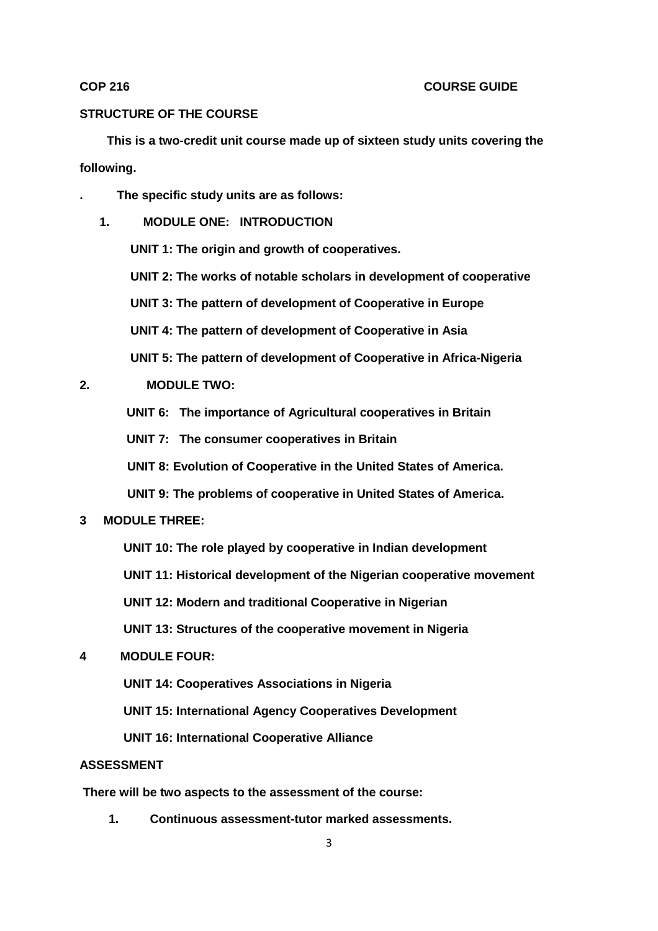#### **COP 216** COURSE GUIDE

#### **STRUCTURE OF THE COURSE**

 **This is a two-credit unit course made up of sixteen study units covering the following.** 

| The specific study units are as follows: |  |  |  |  |
|------------------------------------------|--|--|--|--|
|                                          |  |  |  |  |

**1. MODULE ONE: INTRODUCTION** 

 **UNIT 1: The origin and growth of cooperatives.** 

 **UNIT 2: The works of notable scholars in development of cooperative** 

 **UNIT 3: The pattern of development of Cooperative in Europe** 

 **UNIT 4: The pattern of development of Cooperative in Asia** 

 **UNIT 5: The pattern of development of Cooperative in Africa-Nigeria** 

**2. MODULE TWO:** 

 **UNIT 6: The importance of Agricultural cooperatives in Britain** 

 **UNIT 7: The consumer cooperatives in Britain** 

 **UNIT 8: Evolution of Cooperative in the United States of America.** 

 **UNIT 9: The problems of cooperative in United States of America.** 

#### **3 MODULE THREE:**

 **UNIT 10: The role played by cooperative in Indian development** 

 **UNIT 11: Historical development of the Nigerian cooperative movement** 

 **UNIT 12: Modern and traditional Cooperative in Nigerian** 

 **UNIT 13: Structures of the cooperative movement in Nigeria** 

**4 MODULE FOUR:** 

 **UNIT 14: Cooperatives Associations in Nigeria** 

 **UNIT 15: International Agency Cooperatives Development** 

 **UNIT 16: International Cooperative Alliance** 

#### **ASSESSMENT**

 **There will be two aspects to the assessment of the course:** 

**1. Continuous assessment-tutor marked assessments.**